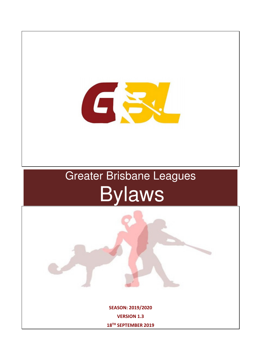

# Greater Brisbane Leagues **Bylaws**

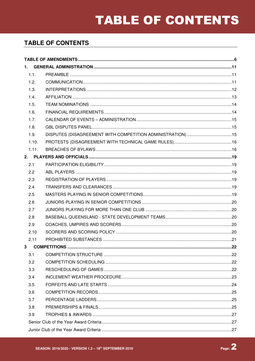| 1.1.  |  |
|-------|--|
| 1.2.  |  |
| 1.3.  |  |
| 1.4.  |  |
| 1.5.  |  |
| 1.6.  |  |
| 1.7.  |  |
| 1.8.  |  |
| 1.9.  |  |
| 1.10. |  |
| 1.11. |  |
|       |  |
| 2.1   |  |
| 2.2   |  |
| 2.3   |  |
| 2.4   |  |
| 2.5   |  |
| 2.6   |  |
| 2.7   |  |
| 2.8   |  |
| 2.9   |  |
| 2.10  |  |
| 2.11  |  |
|       |  |
| 3.1   |  |
| 3.2   |  |
| 3.3   |  |
| 3.4   |  |
| 3.5   |  |
| 3.6   |  |
| 3.7   |  |
| 3.8   |  |
| 3.9   |  |
|       |  |
|       |  |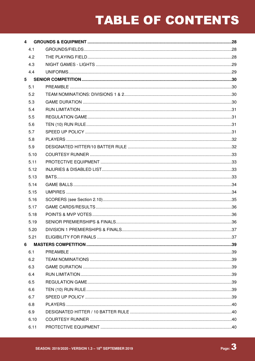| $\overline{4}$ |      |  |
|----------------|------|--|
|                | 4.1  |  |
|                | 4.2  |  |
|                | 4.3  |  |
|                | 4.4  |  |
| 5 <sub>5</sub> |      |  |
|                | 5.1  |  |
|                | 5.2  |  |
|                | 5.3  |  |
|                | 5.4  |  |
|                | 5.5  |  |
|                | 5.6  |  |
|                | 5.7  |  |
|                | 5.8  |  |
|                | 5.9  |  |
|                | 5.10 |  |
|                | 5.11 |  |
|                | 5.12 |  |
|                | 5.13 |  |
|                | 5.14 |  |
|                | 5.15 |  |
|                | 5.16 |  |
|                | 5.17 |  |
|                | 5.18 |  |
|                | 5.19 |  |
|                | 5.20 |  |
|                | 5.21 |  |
| 6              |      |  |
|                | 6.1  |  |
|                | 6.2  |  |
|                | 6.3  |  |
|                | 6.4  |  |
|                | 6.5  |  |
|                | 6.6  |  |
|                | 6.7  |  |
|                | 6.8  |  |
|                | 6.9  |  |
|                | 6.10 |  |
|                | 6.11 |  |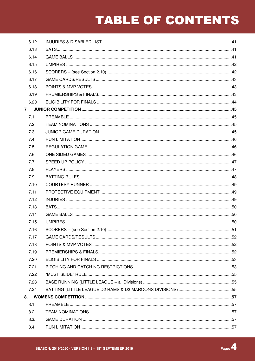| 6.12           |  |
|----------------|--|
| 6.13           |  |
| 6.14           |  |
| 6.15           |  |
| 6.16           |  |
| 6.17           |  |
| 6.18           |  |
| 6.19           |  |
| 6.20           |  |
| 7 <sup>7</sup> |  |
| 7.1            |  |
| 7.2            |  |
| 7.3            |  |
| 7.4            |  |
| 7.5            |  |
| 7.6            |  |
| 7.7            |  |
| 7.8            |  |
| 7.9            |  |
| 7.10           |  |
| 7.11           |  |
| 7.12           |  |
| 7.13           |  |
| 7.14           |  |
| 7.15           |  |
| 7.16           |  |
| 7.17           |  |
| 7.18           |  |
| 7.19           |  |
| 7.20           |  |
| 7.21           |  |
| 7.22           |  |
| 7.23           |  |
| 7.24           |  |
| 8.             |  |
| 8.1.           |  |
| 8.2.           |  |
| 8.3.           |  |
| 8.4.           |  |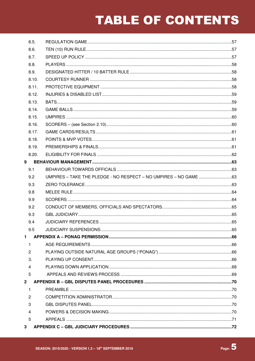| 8.5.           |                                                                  |  |
|----------------|------------------------------------------------------------------|--|
| 8.6.           |                                                                  |  |
| 8.7.           |                                                                  |  |
| 8.8.           |                                                                  |  |
| 8.9.           |                                                                  |  |
| 8.10.          |                                                                  |  |
| 8.11.          |                                                                  |  |
| 8.12.          |                                                                  |  |
| 8.13.          |                                                                  |  |
| 8.14.          |                                                                  |  |
| 8.15.          |                                                                  |  |
| 8.16.          |                                                                  |  |
| 8.17.          |                                                                  |  |
| 8.18.          |                                                                  |  |
| 8.19.          |                                                                  |  |
| 8.20.          |                                                                  |  |
| 9              |                                                                  |  |
| 9.1            |                                                                  |  |
| 9.2            | UMPIRES - TAKE THE PLEDGE - NO RESPECT - NO UMPIRES - NO GAME 63 |  |
| 9.3            |                                                                  |  |
| 9.8            |                                                                  |  |
| 9.9            |                                                                  |  |
| 9.2            |                                                                  |  |
| 9.3            |                                                                  |  |
| 9.4            |                                                                  |  |
| 9.5            |                                                                  |  |
| $\mathbf{1}$   |                                                                  |  |
| $\mathbf{1}$   |                                                                  |  |
| 2              |                                                                  |  |
| 3.             |                                                                  |  |
| $\overline{4}$ |                                                                  |  |
| 5              |                                                                  |  |
| 2 <sup>1</sup> |                                                                  |  |
| $\mathbf{1}$   |                                                                  |  |
| $\overline{2}$ |                                                                  |  |
| 3              |                                                                  |  |
| 4              |                                                                  |  |
| 5              |                                                                  |  |
| 3 <sup>1</sup> |                                                                  |  |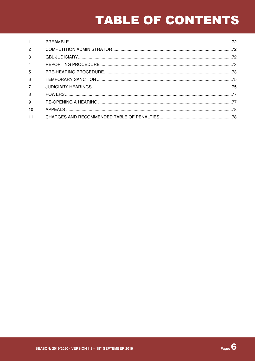| $\mathbf{1}$   |  |
|----------------|--|
| $\overline{2}$ |  |
| 3              |  |
| $\overline{4}$ |  |
| 5              |  |
| 6              |  |
| $\overline{7}$ |  |
| 8              |  |
| 9              |  |
| 10             |  |
| 11             |  |

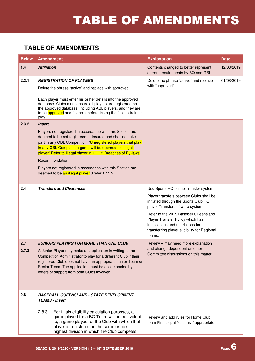| <b>Bylaw</b> | <b>Amendment</b>                                                                                                                                                                                                                                                                                                                                                                                                                                                       | <b>Explanation</b>                                                                                                                                                                                                                                                                                                                       | <b>Date</b> |
|--------------|------------------------------------------------------------------------------------------------------------------------------------------------------------------------------------------------------------------------------------------------------------------------------------------------------------------------------------------------------------------------------------------------------------------------------------------------------------------------|------------------------------------------------------------------------------------------------------------------------------------------------------------------------------------------------------------------------------------------------------------------------------------------------------------------------------------------|-------------|
| $1.4$        | <b>Affiliation</b>                                                                                                                                                                                                                                                                                                                                                                                                                                                     | Contents changed to better represent<br>current requirements by BQ and GBL                                                                                                                                                                                                                                                               | 12/08/2019  |
| 2.3.1        | <b>REGISTRATION OF PLAYERS</b><br>Delete the phrase "active" and replace with approved<br>Each player must enter his or her details into the approved<br>database. Clubs must ensure all players are registered on<br>the approved database, including ABL players, and they are<br>to be approved and financial before taking the field to train or<br>play.                                                                                                          | Delete the phrase "active" and replace<br>with "approved"                                                                                                                                                                                                                                                                                | 01/08/2019  |
| 2.3.2        | <b>Insert</b><br>Players not registered in accordance with this Section are<br>deemed to be not registered or insured and shall not take<br>part in any GBL Competition. "Unregistered players that play<br>in any GBL Competition game will be deemed an illegal<br>player" Refer to Illegal player in 1.11.2 Breaches of By-laws.<br>Recommendation:<br>Players not registered in accordance with this Section are<br>deemed to be an illegal player (Refer 1.11.2). |                                                                                                                                                                                                                                                                                                                                          |             |
| 2.4          | <b>Transfers and Clearances</b>                                                                                                                                                                                                                                                                                                                                                                                                                                        | Use Sports HQ online Transfer system.<br>Player transfers between Clubs shall be<br>initiated through the Sports Club HQ<br>player Transfer software system.<br>Refer to the 2019 Baseball Queensland<br>Player Transfer Policy which has<br>implications and restrictions for<br>transferring player eligibility for Regional<br>teams. |             |
| 2.7<br>2.7.2 | <b>JUNIORS PLAYING FOR MORE THAN ONE CLUB</b><br>A Junior Player may make an application in writing to the<br>Competition Administrator to play for a different Club if their<br>registered Club does not have an appropriate Junior Team or<br>Senior Team. The application must be accompanied by<br>letters of support from both Clubs involved.                                                                                                                    | Review - may need more explanation<br>and change dependent on other<br>Committee discussions on this matter                                                                                                                                                                                                                              |             |
| 2.8          | <b>BASEBALL QUEENSLAND - STATE DEVELOPMENT</b><br><b>TEAMS - Insert</b><br>2.8.3<br>For finals eligibility calculation purposes, a<br>game played for a BQ Team will be equivalent<br>to, a game played for the Club with which that<br>player is registered, in the same or next<br>highest division in which the Club competes.                                                                                                                                      | Review and add rules for Home Club<br>team Finals qualifications if appropriate                                                                                                                                                                                                                                                          |             |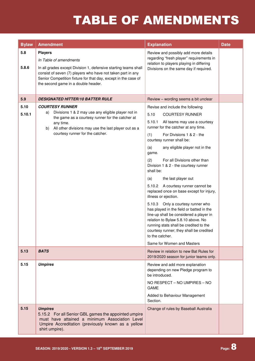| <b>Bylaw</b>   | <b>Amendment</b>                                                                                                                                                                                                                                                                    | <b>Explanation</b>                                                                                                                                                                                                                                                                                                                                                                                                                                                                                                                                                                                                                                                                                                                                                                                                 | <b>Date</b> |
|----------------|-------------------------------------------------------------------------------------------------------------------------------------------------------------------------------------------------------------------------------------------------------------------------------------|--------------------------------------------------------------------------------------------------------------------------------------------------------------------------------------------------------------------------------------------------------------------------------------------------------------------------------------------------------------------------------------------------------------------------------------------------------------------------------------------------------------------------------------------------------------------------------------------------------------------------------------------------------------------------------------------------------------------------------------------------------------------------------------------------------------------|-------------|
| 5.8<br>5.8.6   | <b>Players</b><br>In Table of amendments<br>In all grades except Division 1, defensive starting teams shall<br>consist of seven (7) players who have not taken part in any<br>Senior Competition fixture for that day, except in the case of<br>the second game in a double header. | Review and possibly add more details<br>regarding "fresh player" requirements in<br>relation to players playing in differing<br>Divisions on the same day if required.                                                                                                                                                                                                                                                                                                                                                                                                                                                                                                                                                                                                                                             |             |
| 5.9            | <b>DESIGNATED HITTER/10 BATTER RULE</b>                                                                                                                                                                                                                                             | Review - wording seems a bit unclear                                                                                                                                                                                                                                                                                                                                                                                                                                                                                                                                                                                                                                                                                                                                                                               |             |
| 5.10<br>5.10.1 | <b>COURTESY RUNNER</b><br>Divisions 1 & 2 may use any eligible player not in<br>a)<br>the game as a courtesy runner for the catcher at<br>any time.<br>All other divisions may use the last player out as a<br>b)<br>courtesy runner for the catcher.                               | Revise and include the following<br>5.10<br><b>COURTESY RUNNER</b><br>5.10.1<br>All teams may use a courtesy<br>runner for the catcher at any time.<br>(1)<br>For Divisions 1 & 2 - the<br>courtesy runner shall be:<br>any eligible player not in the<br>(a)<br>game.<br>(2)<br>For all Divisions other than<br>Division 1 & 2 - the courtesy runner<br>shall be:<br>the last player out<br>(a)<br>5.10.2 A courtesy runner cannot be<br>replaced once on base except for injury,<br>illness or ejection.<br>5.10.3 Only a courtesy runner who<br>has played in the field or batted in the<br>line-up shall be considered a player in<br>relation to Bylaw 5.8.10 above. No<br>running stats shall be credited to the<br>courtesy runner; they shall be credited<br>to the catcher.<br>Same for Women and Masters |             |
| 5.13           | <b>BATS</b>                                                                                                                                                                                                                                                                         | Review in relation to new Bat Rules for<br>2019/2020 season for junior teams only.                                                                                                                                                                                                                                                                                                                                                                                                                                                                                                                                                                                                                                                                                                                                 |             |
| 5.15           | <b>Umpires</b>                                                                                                                                                                                                                                                                      | Review and add more explanation<br>depending on new Pledge program to<br>be introduced.<br>NO RESPECT - NO UMPIRES - NO<br><b>GAME</b><br>Added to Behaviour Management<br>Section.                                                                                                                                                                                                                                                                                                                                                                                                                                                                                                                                                                                                                                |             |
| 5.15           | <b>Umpires</b><br>5.15.2 For all Senior GBL games the appointed umpire<br>must have attained a minimum Association Level<br>Umpire Accreditation (previously known as a yellow<br>shirt umpire).                                                                                    | Change of rules by Baseball Australia                                                                                                                                                                                                                                                                                                                                                                                                                                                                                                                                                                                                                                                                                                                                                                              |             |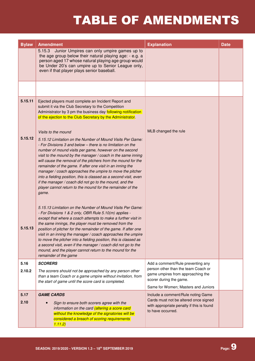| <b>Bylaw</b> | <b>Amendment</b>                                                                                                                                                                                                                                                                                                                                                                                                                                                                                                                                                                                                                                                              | <b>Explanation</b>                                                                                                                            | <b>Date</b> |
|--------------|-------------------------------------------------------------------------------------------------------------------------------------------------------------------------------------------------------------------------------------------------------------------------------------------------------------------------------------------------------------------------------------------------------------------------------------------------------------------------------------------------------------------------------------------------------------------------------------------------------------------------------------------------------------------------------|-----------------------------------------------------------------------------------------------------------------------------------------------|-------------|
|              | 5.15.3<br>Junior Umpires can only umpire games up to<br>the age group below their natural playing age: - e.g. a<br>person aged 17 whose natural playing age group would<br>be Under 20's can umpire up to Senior League only,<br>even if that player plays senior baseball.                                                                                                                                                                                                                                                                                                                                                                                                   |                                                                                                                                               |             |
|              |                                                                                                                                                                                                                                                                                                                                                                                                                                                                                                                                                                                                                                                                               |                                                                                                                                               |             |
| 5.15.11      | Ejected players must complete an Incident Report and<br>submit it via the Club Secretary to the Competition<br>Administrator by 3 pm the business day following notification<br>of the ejection to the Club Secretary by the Administrator.                                                                                                                                                                                                                                                                                                                                                                                                                                   |                                                                                                                                               |             |
| 5.15.12      | Visits to the mound<br>5.15.12 Limitation on the Number of Mound Visits Per Game:<br>- For Divisions 3 and below - there is no limitation on the<br>number of mound visits per game, however on the second<br>visit to the mound by the manager / coach in the same inning<br>will cause the removal of the pitchers from the mound for the<br>remainder of the game. If after one visit in an inning the<br>manager / coach approaches the umpire to move the pitcher<br>into a fielding position, this is classed as a second visit, even<br>if the manager / coach did not go to the mound, and the<br>player cannot return to the mound for the remainder of the<br>game. | MLB changed the rule                                                                                                                          |             |
| 5.15.13      | 5.15.13 Limitation on the Number of Mound Visits Per Game:<br>- For Divisions 1 & 2 only, OBR Rule 5.10(m) applies -<br>except that where a coach attempts to make a further visit in<br>the same innings, the player must be removed from the<br>position of pitcher for the remainder of the game. If after one<br>visit in an inning the manager / coach approaches the umpire<br>to move the pitcher into a fielding position, this is classed as<br>a second visit, even if the manager / coach did not go to the<br>mound, and the player cannot return to the mound for the<br>remainder of the game                                                                   |                                                                                                                                               |             |
| 5.16         | <b>SCORERS</b>                                                                                                                                                                                                                                                                                                                                                                                                                                                                                                                                                                                                                                                                | Add a comment/Rule preventing any                                                                                                             |             |
| 2.10.2       | The scorers should not be approached by any person other<br>than a team Coach or a game umpire without invitation, from<br>the start of game until the score card is completed.                                                                                                                                                                                                                                                                                                                                                                                                                                                                                               | person other than the team Coach or<br>game umpires from approaching the<br>scorer during the game.<br>Same for Women; Masters and Juniors    |             |
| 5.17<br>2.10 | <b>GAME CARDS</b><br>Sign to ensure both scorers agree with the<br>information on the card <i>(altering a score card</i><br>without the knowledge of the signatories will be<br>considered a breach of scoring requirements<br>1.11.2)                                                                                                                                                                                                                                                                                                                                                                                                                                        | Include a comment/Rule noting Game<br>Cards must not be altered once signed<br>with appropriate penalty if this is found<br>to have occurred. |             |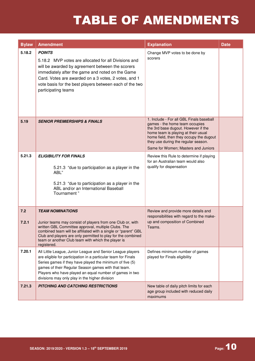| <b>Bylaw</b> | <b>Amendment</b>                                                                                                                                                                                                                                                                                                                                             | <b>Explanation</b>                                                                                                                                                                                                                                                                | <b>Date</b> |
|--------------|--------------------------------------------------------------------------------------------------------------------------------------------------------------------------------------------------------------------------------------------------------------------------------------------------------------------------------------------------------------|-----------------------------------------------------------------------------------------------------------------------------------------------------------------------------------------------------------------------------------------------------------------------------------|-------------|
| 5.18.2       | <b>POINTS</b><br>5.18.2 MVP votes are allocated for all Divisions and<br>will be awarded by agreement between the scorers<br>immediately after the game and noted on the Game<br>Card. Votes are awarded on a 3 votes, 2 votes, and 1<br>vote basis for the best players between each of the two<br>participating teams                                      | Change MVP votes to be done by<br>scorers                                                                                                                                                                                                                                         |             |
| 5.19         | <b>SENIOR PREMIERSHIPS &amp; FINALS</b>                                                                                                                                                                                                                                                                                                                      | 1. Include - For all GBL Finals baseball<br>games - the home team occupies<br>the 3rd base dugout. However if the<br>home team is playing at their usual<br>home field, then they occupy the dugout<br>they use during the regular season.<br>Same for Women; Masters and Juniors |             |
| 5.21.3       | <b>ELIGIBILITY FOR FINALS</b><br>5.21.3 "due to participation as a player in the<br>ABL"<br>5.21.3 "due to participation as a player in the<br>ABL and/or an International Baseball<br>Tournament"                                                                                                                                                           | Review this Rule to determine if playing<br>for an Australian team would also<br>qualify for dispensation                                                                                                                                                                         |             |
| 7.2<br>7.2.1 | <b>TEAM NOMINATIONS</b><br>Junior teams may consist of players from one Club or, with<br>written GBL Committee approval, multiple Clubs. The<br>combined team will be affiliated with a single or "parent" GBL<br>Club and players are only permitted to play for the combined<br>team or another Club team with which the player is<br>registered.          | Review and provide more details and<br>responsibilities with regard to the make-<br>up and composition of Combined<br>Teams.                                                                                                                                                      |             |
| 7.20.1       | All Little League, Junior League and Senior League players<br>are eligible for participation in a particular team for Finals<br>Series games if they have played the minimum of five (5)<br>games of their Regular Season games with that team.<br>Players who have played an equal number of games in two<br>divisions may only play in the higher division | Defines minimum number of games<br>played for Finals eligibility                                                                                                                                                                                                                  |             |
| 7.21.3       | PITCHING AND CATCHING RESTRICTIONS                                                                                                                                                                                                                                                                                                                           | New table of daily pitch limits for each<br>age group included with reduced daily<br>maximums                                                                                                                                                                                     |             |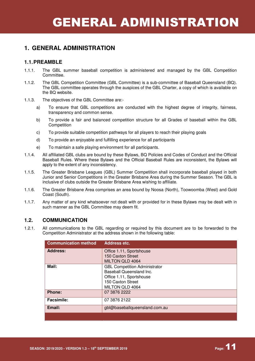#### **1.1. PREAMBLE**

- 1.1.1. The GBL summer baseball competition is administered and managed by the GBL Competition Committee.
- 1.1.2. The GBL Competition Committee (GBL Committee) is a sub-committee of Baseball Queensland (BQ). The GBL committee operates through the auspices of the GBL Charter, a copy of which is available on the BQ website.
- 1.1.3. The objectives of the GBL Committee are:
	- a) To ensure that GBL competitions are conducted with the highest degree of integrity, fairness, transparency and common sense.
	- b) To provide a fair and balanced competition structure for all Grades of baseball within the GBL **Competition**
	- c) To provide suitable competition pathways for all players to reach their playing goals
	- d) To provide an enjoyable and fulfilling experience for all participants
	- e) To maintain a safe playing environment for all participants.
- 1.1.4. All affiliated GBL clubs are bound by these Bylaws, BQ Policies and Codes of Conduct and the Official Baseball Rules. Where these Bylaws and the Official Baseball Rules are inconsistent, the Bylaws will apply to the extent of any inconsistency.
- 1.1.5. The Greater Brisbane Leagues (GBL) Summer Competition shall incorporate baseball played in both Junior and Senior Competitions in the Greater Brisbane Area during the Summer Season. The GBL is inclusive of clubs outside the Greater Brisbane Area wishing to affiliate.
- 1.1.6. The Greater Brisbane Area comprises an area bound by Noosa (North), Toowoomba (West) and Gold Coast (South).
- 1.1.7. Any matter of any kind whatsoever not dealt with or provided for in these Bylaws may be dealt with in such manner as the GBL Committee may deem fit.

#### **1.2. COMMUNICATION**

1.2.1. All communications to the GBL regarding or required by this document are to be forwarded to the Competition Administrator at the address shown in the following table:

| <b>Communication method</b> | Address etc.                         |
|-----------------------------|--------------------------------------|
| <b>Address:</b>             | Office 1.11, Sportshouse             |
|                             | 150 Caxton Street                    |
|                             | <b>MILTON QLD 4064</b>               |
| Mail:                       | <b>GBL Competition Administrator</b> |
|                             | Baseball Queensland Inc.             |
|                             | Office 1.11, Sportshouse             |
|                             | 150 Caxton Street                    |
|                             | MILTON QLD 4064                      |
| <b>Phone:</b>               | 07 3876 2222                         |
| <b>Facsimile:</b>           | 07 3876 2122                         |
| Email:                      | gbl@baseballqueensland.com.au        |
|                             |                                      |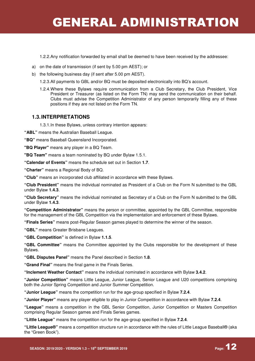1.2.2. Any notification forwarded by email shall be deemed to have been received by the addressee:

- a) on the date of transmission (if sent by 5.00 pm AEST); or
- b) the following business day (if sent after 5.00 pm AEST).
	- 1.2.3. All payments to GBL and/or BQ must be deposited electronically into BQ's account.
	- 1.2.4. Where these Bylaws require communication from a Club Secretary, the Club President, Vice President or Treasurer (as listed on the Form TN) may send the communication on their behalf. Clubs must advise the Competition Administrator of any person temporarily filling any of these positions if they are not listed on the Form TN.

#### **1.3. INTERPRETATIONS**

1.3.1. In these Bylaws, unless contrary intention appears:

**"ABL"** means the Australian Baseball League.

**"BQ"** means Baseball Queensland Incorporated.

**"BQ Player"** means any player in a BQ Team.

**"BQ Team"** means a team nominated by BQ under Bylaw 1.5.1.

**"Calendar of Events"** means the schedule set out in Section **1.7**.

**"Charter"** means a Regional Body of BQ.

**"Club"** means an incorporated club affiliated in accordance with these Bylaws.

**"Club President"** means the individual nominated as President of a Club on the Form N submitted to the GBL under Bylaw **1.4.3**.

**"Club Secretary"** means the individual nominated as Secretary of a Club on the Form N submitted to the GBL under Bylaw **1.4.3**.

**"Competition Administrator"** means the person or committee, appointed by the GBL Committee, responsible for the management of the GBL Competition via the implementation and enforcement of these Bylaws.

**"Finals Series"** means post-Regular Season games played to determine the winner of the season.

**"GBL"** means Greater Brisbane Leagues.

**"GBL Competition"** is defined in Bylaw **1.1.5**.

**"GBL Committee"** means the Committee appointed by the Clubs responsible for the development of these Bylaws.

**"GBL Disputes Panel"** means the Panel described in Section **1.8**.

**"Grand Final"** means the final game in the Finals Series.

**"Inclement Weather Contact"** means the individual nominated in accordance with Bylaw **3.4.2**.

**"Junior Competition"** means Little League, Junior League, Senior League and U20 competitions comprising both the Junior Spring Competition and Junior Summer Competition.

**"Junior League"** means the competition run for the age-group specified in Bylaw **7.2.4**.

**"Junior Player"** means any player eligible to play in Junior Competition in accordance with Bylaw **7.2.4**.

**"League"** means a competition in the GBL Senior Competition, Junior Competition or Masters Competition comprising Regular Season games and Finals Series games.

**"Little League"** means the competition run for the age-group specified in Bylaw **7.2.4**.

**"Little League®"** means a competition structure run in accordance with the rules of Little League Baseball® (aka the "Green Book").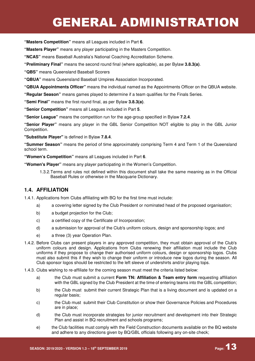**"Masters Competition"** means all Leagues included in Part **6**.

**"Masters Player"** means any player participating in the Masters Competition.

**"NCAS"** means Baseball Australia's National Coaching Accreditation Scheme.

**"Preliminary Final"** means the second round final (where applicable), as per Bylaw **3.8.3(a)**.

**"QBS"** means Queensland Baseball Scorers

**"QBUA"** means Queensland Baseball Umpires Association Incorporated.

**"QBUA Appointments Officer"** means the individual named as the Appointments Officer on the QBUA website.

**"Regular Season"** means games played to determine if a team qualifies for the Finals Series.

**"Semi Final"** means the first round final, as per Bylaw **3.8.3(a)**.

**"Senior Competition"** means all Leagues included in Part **5**.

**"Senior League"** means the competition run for the age-group specified in Bylaw **7.2.4**.

**"Senior Player"** means any player in the GBL Senior Competition NOT eligible to play in the GBL Junior Competition.

**"Substitute Player"** is defined in Bylaw **7.8.4**.

**"Summer Season"** means the period of time approximately comprising Term 4 and Term 1 of the Queensland school term.

**"Women's Competition"** means all Leagues included in Part **6**.

**"Women's Player"** means any player participating in the Women's Competition.

1.3.2. Terms and rules not defined within this document shall take the same meaning as in the Official Baseball Rules or otherwise in the Macquarie Dictionary.

#### **1.4. AFFILIATION**

1.4.1. Applications from Clubs affiliating with BQ for the first time must include:

- a) a covering letter signed by the Club President or nominated head of the proposed organisation;
- b) a budget projection for the Club;
- c) a certified copy of the Certificate of Incorporation;
- d) a submission for approval of the Club's uniform colours, design and sponsorship logos; and
- e) a three (3) year Operation Plan.
- 1.4.2. Before Clubs can present players in any approved competition, they must obtain approval of the Club's uniform colours and design. Applications from Clubs renewing their affiliation must include the Club uniforms if they propose to change their authorised uniform colours, design or sponsorship logos. Clubs must also submit this if they wish to change their uniform or introduce new logos during the season. All Club sponsor logos should be restricted to the left sleeve of undershirts and/or playing tops.
- 1.4.3. Clubs wishing to re-affiliate for the coming season must meet the criteria listed below:
	- a) the Club must submit a current **Form TN: Affiliation & Team entry form** requesting affiliation with the GBL signed by the Club President at the time of entering teams into the GBL competition;
	- b) the Club must submit their current Strategic Plan that is a living document and is updated on a regular basis;
	- c) the Club must submit their Club Constitution or show their Governance Policies and Procedures are in place;
	- d) the Club must incorporate strategies for junior recruitment and development into their Strategic Plan and assist in BQ recruitment and schools programs;
	- e) the Club facilities must comply with the Field Construction documents available on the BQ website and adhere to any directions given by BQ/GBL officials following any on-site check;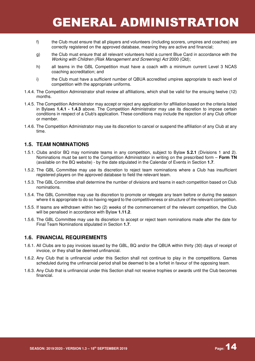- f) the Club must ensure that all players and volunteers (including scorers, umpires and coaches) are correctly registered on the approved database, meaning they are active and financial;
- g) the Club must ensure that all relevant volunteers hold a current Blue Card in accordance with the Working with Children (Risk Management and Screening) Act 2000 (Qld);
- h) all teams in the GBL Competition must have a coach with a minimum current Level 3 NCAS coaching accreditation; and
- i) the Club must have a sufficient number of QBUA accredited umpires appropriate to each level of competition with the appropriate uniforms.
- 1.4.4. The Competition Administrator shall review all affiliations, which shall be valid for the ensuing twelve (12) months.
- 1.4.5. The Competition Administrator may accept or reject any application for affiliation based on the criteria listed in Bylaws **1.4.1 - 1.4.3** above. The Competition Administrator may use its discretion to impose certain conditions in respect of a Club's application. These conditions may include the rejection of any Club officer or member.
- 1.4.6. The Competition Administrator may use its discretion to cancel or suspend the affiliation of any Club at any time.

#### **1.5. TEAM NOMINATIONS**

- 1.5.1. Clubs and/or BQ may nominate teams in any competition, subject to Bylaw **5.2.1** (Divisions 1 and 2). Nominations must be sent to the Competition Administrator in writing on the prescribed form – **Form TN** (available on the BQ website) - by the date stipulated in the Calendar of Events in Section **1.7**.
- 1.5.2. The GBL Committee may use its discretion to reject team nominations where a Club has insufficient registered players on the approved database to field the relevant team.
- 1.5.3. The GBL Committee shall determine the number of divisions and teams in each competition based on Club nominations.
- 1.5.4. The GBL Committee may use its discretion to promote or relegate any team before or during the season where it is appropriate to do so having regard to the competitiveness or structure of the relevant competition.
- 1.5.5. If teams are withdrawn within two (2) weeks of the commencement of the relevant competition, the Club will be penalised in accordance with Bylaw **1.11.2**.
- 1.5.6. The GBL Committee may use its discretion to accept or reject team nominations made after the date for Final Team Nominations stipulated in Section **1.7**.

#### **1.6. FINANCIAL REQUIREMENTS**

- 1.6.1. All Clubs are to pay invoices issued by the GBL, BQ and/or the QBUA within thirty (30) days of receipt of invoice, or they shall be deemed unfinancial.
- 1.6.2. Any Club that is unfinancial under this Section shall not continue to play in the competitions. Games scheduled during the unfinancial period shall be deemed to be a forfeit in favour of the opposing team.
- 1.6.3. Any Club that is unfinancial under this Section shall not receive trophies or awards until the Club becomes financial.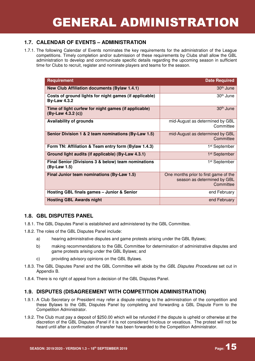#### **1.7. CALENDAR OF EVENTS – ADMINISTRATION**

1.7.1. The following Calendar of Events nominates the key requirements for the administration of the League competitions. Timely completion and/or submission of these requirements by Clubs shall allow the GBL administration to develop and communicate specific details regarding the upcoming season in sufficient time for Clubs to recruit, register and nominate players and teams for the season.

| <b>Requirement</b>                                                            | <b>Date Required</b>                                                              |
|-------------------------------------------------------------------------------|-----------------------------------------------------------------------------------|
| <b>New Club Affiliation documents (Bylaw 1.4.1)</b>                           | 30 <sup>th</sup> June                                                             |
| Costs of ground lights for night games (if applicable)<br><b>By-Law 4.3.2</b> | 30 <sup>th</sup> June                                                             |
| Time of light curfew for night games (if applicable)<br>(By-Law 4.3.2 (c))    | 30 <sup>th</sup> June                                                             |
| <b>Availability of grounds</b>                                                | mid-August as determined by GBL<br>Committee                                      |
| Senior Division 1 & 2 team nominations (By-Law 1.5)                           | mid-August as determined by GBL<br>Committee                                      |
| Form TN: Affiliation & Team entry form (Bylaw 1.4.3)                          | 1 <sup>st</sup> September                                                         |
| Ground light audits (if applicable) (By-Law 4.3.1)                            | 1 <sup>st</sup> September                                                         |
| Final Senior (Divisions 3 & below) team nominations<br>(By-Law 1.5)           | 1 <sup>st</sup> September                                                         |
| Final Junior team nominations (By-Law 1.5)                                    | One months prior to first game of the<br>season as determined by GBL<br>Committee |
| Hosting GBL finals games - Junior & Senior                                    | end February                                                                      |
| <b>Hosting GBL Awards night</b>                                               | end February                                                                      |

#### **1.8. GBL DISPUTES PANEL**

- 1.8.1. The GBL Disputes Panel is established and administered by the GBL Committee.
- 1.8.2. The roles of the GBL Disputes Panel include:
	- a) hearing administrative disputes and game protests arising under the GBL Bylaws;
	- b) making recommendations to the GBL Committee for determination of administrative disputes and game protests arising under the GBL Bylaws; and
	- c) providing advisory opinions on the GBL Bylaws.
- 1.8.3. The GBL Disputes Panel and the GBL Committee will abide by the GBL Disputes Procedures set out in Appendix B.
- 1.8.4. There is no right of appeal from a decision of the GBL Disputes Panel.

#### **1.9. DISPUTES (DISAGREEMENT WITH COMPETITION ADMINISTRATION)**

- 1.9.1. A Club Secretary or President may refer a dispute relating to the administration of the competition and these Bylaws to the GBL Disputes Panel by completing and forwarding a GBL Dispute Form to the Competition Administrator.
- 1.9.2. The Club must pay a deposit of \$250.00 which will be refunded if the dispute is upheld or otherwise at the discretion of the GBL Disputes Panel if it is not considered frivolous or vexatious. The protest will not be heard until after a confirmation of transfer has been forwarded to the Competition Administrator.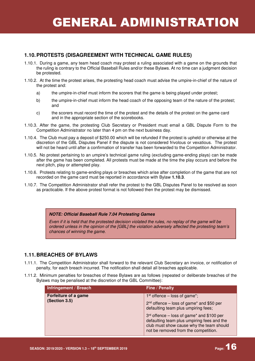#### **1.10. PROTESTS (DISAGREEMENT WITH TECHNICAL GAME RULES)**

- 1.10.1. During a game, any team head coach may protest a ruling associated with a game on the grounds that the ruling is contrary to the Official Baseball Rules and/or these Bylaws. At no time can a judgment decision be protested.
- 1.10.2. At the time the protest arises, the protesting head coach must advise the umpire-in-chief of the nature of the protest and:
	- a) the umpire-in-chief must inform the scorers that the game is being played under protest;
	- b) the umpire-in-chief must inform the head coach of the opposing team of the nature of the protest; and
	- c) the scorers must record the time of the protest and the details of the protest on the game card and in the appropriate section of the scorebooks.
- 1.10.3. After the game, the protesting Club Secretary or President must email a GBL Dispute Form to the Competition Administrator no later than 4 pm on the next business day.
- 1.10.4. The Club must pay a deposit of \$250.00 which will be refunded if the protest is upheld or otherwise at the discretion of the GBL Disputes Panel if the dispute is not considered frivolous or vexatious. The protest will not be heard until after a confirmation of transfer has been forwarded to the Competition Administrator.
- 1.10.5. No protest pertaining to an umpire's technical game ruling (excluding game-ending plays) can be made after the game has been completed. All protests must be made at the time the play occurs and before the next pitch, play or attempted play.
- 1.10.6. Protests relating to game-ending plays or breaches which arise after completion of the game that are not recorded on the game card must be reported in accordance with Bylaw **1.10.3**.
- 1.10.7. The Competition Administrator shall refer the protest to the GBL Disputes Panel to be resolved as soon as practicable. If the above protest format is not followed then the protest may be dismissed.

#### **NOTE: Official Baseball Rule 7.04 Protesting Games**

Even if it is held that the protested decision violated the rules, no replay of the game will be ordered unless in the opinion of the [GBL] the violation adversely affected the protesting team's chances of winning the game.

#### **1.11. BREACHES OF BYLAWS**

- 1.11.1. The Competition Administrator shall forward to the relevant Club Secretary an invoice, or notification of penalty, for each breach incurred. The notification shall detail all breaches applicable.
- 1.11.2. Minimum penalties for breaches of these Bylaws are as follows (repeated or deliberate breaches of the Bylaws may be penalised at the discretion of the GBL Committee):

| Infringement / Breach                 | Fine / Penalty                                                                                                                                                                |
|---------------------------------------|-------------------------------------------------------------------------------------------------------------------------------------------------------------------------------|
| Forfeiture of a game<br>(Section 3.5) | $1st$ offence – loss of game <sup>*</sup> ;<br>2 <sup>nd</sup> offence – loss of game* and \$50 per<br>defaulting team plus umpiring fees;                                    |
|                                       | $3rd$ offence – loss of game* and \$100 per<br>defaulting team plus umpiring fees and the<br>club must show cause why the team should<br>not be removed from the competition. |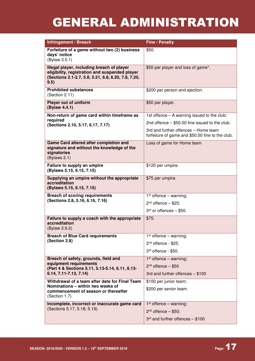| Infringement / Breach                                                                                                                                       | Fine / Penalty                                                                           |
|-------------------------------------------------------------------------------------------------------------------------------------------------------------|------------------------------------------------------------------------------------------|
| Forfeiture of a game without two (2) business<br>days' notice<br>(Bylaw 3.5.1)                                                                              | \$50.                                                                                    |
| Illegal player, including breach of player<br>eligibility, registration and suspended player<br>(Sections 2.1-2.7, 5.8, 5.21, 6.8, 6.20, 7.8, 7.20,<br>9.5) | \$50 per player and loss of game*.                                                       |
| <b>Prohibited substances</b><br>(Section 2.11)                                                                                                              | \$200 per person and ejection.                                                           |
| <b>Player out of uniform</b><br>(Bylaw 4.4.1)                                                                                                               | \$50 per player.                                                                         |
| Non-return of game card within timeframe as                                                                                                                 | 1st offence $-$ A warning issued to the club;                                            |
| required<br>(Sections 2.10, 5.17, 6.17, 7.17)                                                                                                               | 2nd offence $-$ \$50.00 fine issued to the club;                                         |
|                                                                                                                                                             | 3rd and further offences - Home team<br>forfeiture of game and \$50.00 fine to the club. |
| Game Card altered after completion and<br>signature and without the knowledge of the<br>signatories<br>(Bylaws 2.1)                                         | Loss of game for Home team                                                               |
| Failure to supply an umpire<br>(Bylaws 5.15, 6.15, 7.15)                                                                                                    | \$120 per umpire.                                                                        |
| Supplying an umpire without the appropriate<br>accreditation<br>(Bylaws 5.15, 6.15, 7.15)                                                                   | \$75 per umpire.                                                                         |
| <b>Breach of scoring requirements</b><br>(Sections 2.8, 5.16, 6.16, 7.16)                                                                                   | $1st$ offence – warning;<br>$2nd$ offence $-$ \$25;                                      |
|                                                                                                                                                             | $3rd$ or offences $-$ \$50.                                                              |
| Failure to supply a coach with the appropriate<br>accreditation<br>(Bylaw 2.9.2)                                                                            | \$75.                                                                                    |
| <b>Breach of Blue Card requirements</b>                                                                                                                     | $1st$ offence – warning;                                                                 |
| (Section 2.8)                                                                                                                                               | $2nd$ offence - \$25;                                                                    |
|                                                                                                                                                             | 3rd offence - \$50.                                                                      |
| Breach of safety, grounds, field and                                                                                                                        | $1st$ offence – warning;                                                                 |
| equipment requirements<br>(Part 4 & Sections 5.11, 5.13-5.14, 6.11, 6.13-                                                                                   | $2nd$ offence $-$ \$50                                                                   |
| 6.14, 7.11-7.13, 7.14)                                                                                                                                      | 3rd and further offences - \$100                                                         |
| Withdrawal of a team after date for Final Team                                                                                                              | \$100 per junior team;                                                                   |
| Nominations - within two weeks of<br>commencement of season or thereafter<br>(Section 1.7)                                                                  | \$200 per senior team.                                                                   |
| Incomplete, incorrect or inaccurate game card                                                                                                               | $1st$ offence – warning;                                                                 |
| (Sections 5.17, 5.18, 5.19)                                                                                                                                 | $2nd$ offence $-$ \$50;                                                                  |
|                                                                                                                                                             | $3rd$ and further offences $- $100$                                                      |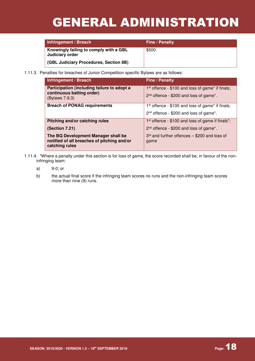| Infringement / Breach                                     | <b>Fine / Penalty</b> |
|-----------------------------------------------------------|-----------------------|
| Knowingly failing to comply with a GBL<br>Judiciary order | \$500.                |
| <b>GBL Judiciary Procedures, Section 8B)</b>              |                       |

1.11.3. Penalties for breaches of Junior Competition specific Bylaws are as follows:

| Infringement / Breach                                                                                | Fine / Penalty                                                                                                                  |
|------------------------------------------------------------------------------------------------------|---------------------------------------------------------------------------------------------------------------------------------|
| Participation (including failure to adopt a<br>continuous batting order)<br>(Bylaws 7.9.3)           | 1 <sup>st</sup> offence - \$100 and loss of game* if finals;<br>2 <sup>nd</sup> offence - \$200 and loss of game <sup>*</sup> . |
| <b>Breach of PONAG requirements</b>                                                                  | 1 <sup>st</sup> offence - \$100 and loss of game* if finals;                                                                    |
|                                                                                                      | 2 <sup>nd</sup> offence - \$200 and loss of game*.                                                                              |
| Pitching and/or catching rules                                                                       | 1 <sup>st</sup> offence - \$100 and loss of game if finals <sup>*</sup> ;                                                       |
| (Section 7.21)                                                                                       | $2nd$ offence - \$200 and loss of game*.                                                                                        |
| The BQ Development Manager shall be<br>notified of all breaches of pitching and/or<br>catching rules | $3rd$ and further offences $-$ \$200 and loss of<br>game                                                                        |

- 1.11.4. \*Where a penalty under this section is for loss of game, the score recorded shall be, in favour of the noninfringing team:
	- a) 9-0; or
	- b) the actual final score if the infringing team scores no runs and the non-infringing team scores more than nine (9) runs.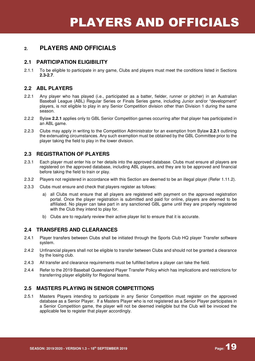### PLAYERS AND OFFICIALS

### **2. PLAYERS AND OFFICIALS**

#### **2.1 PARTICIPATION ELIGIBILITY**

2.1.1 To be eligible to participate in any game, Clubs and players must meet the conditions listed in Sections **2.3-2.7**.

#### **2.2 ABL PLAYERS**

- 2.2.1 Any player who has played (i.e., participated as a batter, fielder, runner or pitcher) in an Australian Baseball League (ABL) Regular Series or Finals Series game, including Junior and/or "development" players, is not eligible to play in any Senior Competition division other than Division 1 during the same season.
- 2.2.2 Bylaw **2.2.1** applies only to GBL Senior Competition games occurring after that player has participated in an ABL game.
- 2.2.3 Clubs may apply in writing to the Competition Administrator for an exemption from Bylaw **2.2.1** outlining the extenuating circumstances. Any such exemption must be obtained by the GBL Committee prior to the player taking the field to play in the lower division.

#### **2.3 REGISTRATION OF PLAYERS**

- 2.3.1 Each player must enter his or her details into the approved database. Clubs must ensure all players are registered on the approved database, including ABL players, and they are to be approved and financial before taking the field to train or play.
- 2.3.2 Players not registered in accordance with this Section are deemed to be an illegal player (Refer 1.11.2).
- 2.3.3 Clubs must ensure and check that players register as follows:
	- a) all Clubs must ensure that all players are registered with payment on the approved registration portal. Once the player registration is submitted and paid for online, players are deemed to be affiliated. No player can take part in any sanctioned GBL game until they are properly registered with the Club they intend to play for.
	- b) Clubs are to regularly review their active player list to ensure that it is accurate.

#### **2.4 TRANSFERS AND CLEARANCES**

- 2.4.1 Player transfers between Clubs shall be initiated through the Sports Club HQ player Transfer software system.
- 2.4.2 Unfinancial players shall not be eligible to transfer between Clubs and should not be granted a clearance by the losing club.
- 2.4.3 All transfer and clearance requirements must be fulfilled before a player can take the field.
- 2.4.4 Refer to the 2019 Baseball Queensland Player Transfer Policy which has implications and restrictions for transferring player eligibility for Regional teams.

#### **2.5 MASTERS PLAYING IN SENIOR COMPETITIONS**

2.5.1 Masters Players intending to participate in any Senior Competition must register on the approved database as a Senior Player. If a Masters Player who is not registered as a Senior Player participates in a Senior Competition game, the player will not be deemed ineligible but the Club will be invoiced the applicable fee to register that player accordingly.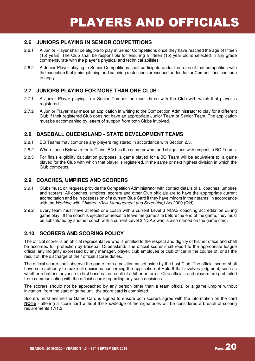#### **2.6 JUNIORS PLAYING IN SENIOR COMPETITIONS**

- 2.6.1 A Junior Player shall be eligible to play in Senior Competitions once they have reached the age of fifteen (15) years. The Club shall be responsible for ensuring a fifteen (15) year old is selected in any grade commensurate with the player's physical and technical abilities.
- 2.6.2 A Junior Player playing in Senior Competitions shall participate under the rules of that competition with the exception that junior pitching and catching restrictions prescribed under Junior Competitions continue to apply.

#### **2.7 JUNIORS PLAYING FOR MORE THAN ONE CLUB**

- 2.7.1 A Junior Player playing in a Senior Competition must do so with the Club with which that player is registered.
- 2.7.2 A Junior Player may make an application in writing to the Competition Administrator to play for a different Club if their registered Club does not have an appropriate Junior Team or Senior Team. The application must be accompanied by letters of support from both Clubs involved.

#### **2.8 BASEBALL QUEENSLAND - STATE DEVELOPMENT TEAMS**

- 2.8.1 BQ Teams may comprise any players registered in accordance with Section 2.3.
- 2.8.2 Where these Bylaws refer to Clubs, BQ has the same powers and obligations with respect to BQ Teams.
- 2.8.3 For finals eligibility calculation purposes, a game played for a BQ Team will be equivalent to, a game played for the Club with which that player is registered, in the same or next highest division in which the Club competes.

#### **2.9 COACHES, UMPIRES AND SCORERS**

- 2.9.1 Clubs must, on request, provide the Competition Administrator with contact details of all coaches, umpires and scorers. All coaches, umpires, scorers and other Club officials are to have the appropriate current accreditation and be in possession of a current Blue Card if they have minors in their teams, in accordance with the Working with Children (Risk Management and Screening) Act 2000 (Qld).
- 2.9.2 Every team must have at least one coach with a current Level 3 NCAS coaching accreditation during game play. If the coach is ejected or needs to leave the game site before the end of the game, they must be substituted by another coach with a current Level 3 NCAS who is also named on the game card.

#### **2.10 SCORERS AND SCORING POLICY**

The official scorer is an official representative who is entitled to the respect and dignity of his/her office and shall be accorded full protection by Baseball Queensland. The official scorer shall report to the appropriate league official any indignity expressed by any manager, player, club employee or club officer in the course of, or as the result of, the discharge of their official scorer duties.

The official scorer shall observe the game from a position as set aside by the host Club. The official scorer shall have sole authority to make all decisions concerning the application of Rule 9 that involves judgment, such as whether a batter's advance to first base is the result of a hit or an error. Club officials and players are prohibited from communicating with the official scorer regarding any such decisions.

The scorers should not be approached by any person other than a team official or a game umpire without invitation, from the start of game until the score card is completed.

Scorers must ensure the Game Card is signed to ensure both scorers agree with the information on the card **NOTE** - altering a score card without the knowledge of the signatories will be considered a breach of scoring requirements 1.11.2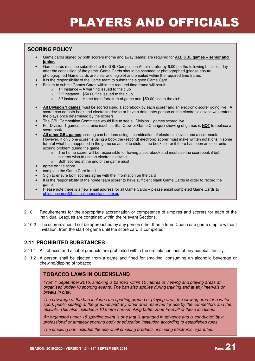### PLAYERS AND OFFICIALS

#### **SCORING POLICY**

- Game cards signed by both scorers (home and away teams) are required for **ALL GBL games senior and junior.**
- Game cards must be submitted to the GBL Competition Administrator by 6.00 pm the following business day after the conclusion of the game. Game Cards should be scanned or photographed (please ensure photographed Game cards are clear and legible) and emailed within the required time frame.
- It is the responsibility of the Home team to submit the signed Game Card.
- Failure to submit Games Cards within the required time frame will result:
	- $\circ$  1<sup>st</sup> Instance A warning issued to the club
	- $\degree$  2<sup>nd</sup> Instance \$50.00 fine issued to the club
	- 3<sup>rd</sup> instance Home team forfeiture of game and \$50.00 fine to the club.
- **All Division 1 games** must be scored using a scorebook by each scorer and an electronic scorer going live. A scorer can do both book and electronic device or have a data entry person on the electronic device who enters the plays once determined by the scorers.
- The GBL Competition Committee would like to see all Division 1 games scored live.
- For Division 1 games, electronic (such as Stat Crew or Game Changer) showing of games is **NOT** to replace a score book.
- **All other GBL games**, scoring can be done using a combination of electronic device and a scorebook. However, if only one scorer is using a book the (second) electronic scorer must make written notations in some form of what has happened in the game so as not to distract the book scorer if there has been an electronic scoring problem during the game.
	- o The home scorer will be responsible for having a scorebook and must use the scorebook if both scorers wish to use an electronic device.
	- o Both scorers at the end of the game must:
- agree on the score
- complete the Game Card in full
- Sign to ensure both scorers agree with the information on the card
- It is the responsibility of the home team scorer to have sufficient blank Game Cards in order to record the game.
- Please note there is a new email address for all Game Cards please email completed Game Cards to gblgamecards@baseballqueensland.com.au
- 2.10.1 Requirements for the appropriate accreditation or competence of umpires and scorers for each of the individual Leagues are contained within the relevant Sections.
- 2.10.2 The scorers should not be approached by any person other than a team Coach or a game umpire without invitation, from the start of game until the score card is completed.

#### **2.11 PROHIBITED SUBSTANCES**

- 2.11.1 All tobacco and alcohol products are prohibited within the on-field confines of any baseball facility.
- 2.11.2 A person shall be ejected from a game and fined for smoking, consuming an alcoholic beverage or chewing/dipping of tobacco.

#### **TOBACCO LAWS IN QUEENSLAND**

From 1 September 2016, smoking is banned within 10 metres of viewing and playing areas at organised under-18 sporting events. The ban also applies during training and at any intervals or breaks in play.

The coverage of the ban includes the sporting ground or playing area, the viewing area for a water sport, public seating at the grounds and any other area reserved for use by the competitors and the officials. This also includes a 10 metre non-smoking buffer zone from all of these locations.

An organised under-18 sporting event is one that is arranged in advance and is conducted by a professional or amateur sporting body or education institution according to established rules.

The smoking ban includes the use of all smoking products, including electronic cigarettes.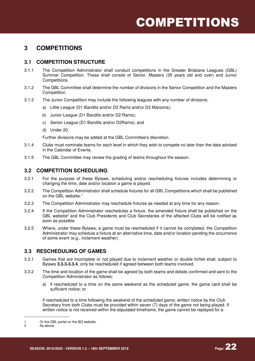### **3 COMPETITIONS**

#### **3.1 COMPETITION STRUCTURE**

- 3.1.1 The Competition Administrator shall conduct competitions in the Greater Brisbane Leagues (GBL) Summer Competition. These shall consist of Senior, Masters (35 years old and over) and Junior Competitions.
- 3.1.2 The GBL Committee shall determine the number of divisions in the Senior Competition and the Masters Competition.
- 3.1.3 The Junior Competition may include the following leagues with any number of divisions:
	- a) Little League (D1 Bandits and/or D2 Rams and/or D3 Maroons);
	- b) Junior League (D1 Bandits and/or D2 Rams);
	- c) Senior League (D1 Bandits and/or D2Rams); and
	- d) Under 20.

Further divisions may be added at the GBL Committee's discretion.

- 3.1.4 Clubs must nominate teams for each level in which they wish to compete no later than the date advised in the Calendar of Events.
- 3.1.5 The GBL Committee may review the grading of teams throughout the season.

#### **3.2 COMPETITION SCHEDULING**

- 3.2.1 For the purpose of these Bylaws, scheduling and/or rescheduling fixtures includes determining or changing the time, date and/or location a game is played.
- 3.2.2 The Competition Administrator shall schedule fixtures for all GBL Competitions which shall be published on the GBL website.<sup>1</sup>
- 3.2.3 The Competition Administrator may reschedule fixtures as needed at any time for any reason.
- 3.2.4 If the Competition Administrator reschedules a fixture, the amended fixture shall be published on the GBL website<sup>2</sup> and the Club Presidents and Club Secretaries of the affected Clubs will be notified as soon as possible.
- 3.2.5 Where, under these Bylaws, a game must be rescheduled if it cannot be completed, the Competition Administrator may schedule a fixture at an alternative time, date and/or location pending the occurrence of some event (e.g., inclement weather).

#### **3.3 RESCHEDULING OF GAMES**

- 3.3.1 Games that are incomplete or not played due to inclement weather or double forfeit shall, subject to Bylaws **3.3.3-3.3.4**, only be rescheduled if agreed between both teams involved.
- 3.3.2 The time and location of the game shall be agreed by both teams and details confirmed and sent to the Competition Administrator as follows:
	- a) if rescheduled to a time on the same weekend as the scheduled game, the game card shall be sufficient notice; or

if rescheduled to a time following the weekend of the scheduled game, written notice by the Club Secretary from both Clubs must be provided within seven (7) days of the game not being played. If written notice is not received within the stipulated timeframe, the game cannot be replayed for a

As above.

\_\_\_\_\_\_\_\_\_\_\_\_\_\_\_\_\_\_\_

<sup>1</sup> Or the GBL portal on the BQ website.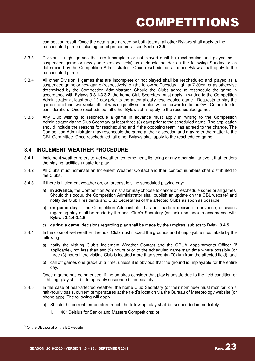competition result. Once the details are agreed by both teams, all other Bylaws shall apply to the rescheduled game (including forfeit procedures - see Section **3.5**).

- 3.3.3 Division 1 night games that are incomplete or not played shall be rescheduled and played as a suspended game or new game (respectively) as a double header on the following Sunday or as determined by the Competition Administrator. Once rescheduled, all other Bylaws shall apply to the rescheduled game.
- 3.3.4 All other Division 1 games that are incomplete or not played shall be rescheduled and played as a suspended game or new game (respectively) on the following Tuesday night at 7.30pm or as otherwise determined by the Competition Administrator. Should the Clubs agree to reschedule the game in accordance with Bylaws **3.3.1-3.3.2**, the home Club Secretary must apply in writing to the Competition Administrator at least one (1) day prior to the automatically rescheduled game. Requests to play the game more than two weeks after it was originally scheduled will be forwarded to the GBL Committee for consideration. Once rescheduled, all other Bylaws shall apply to the rescheduled game.
- 3.3.5 Any Club wishing to reschedule a game in advance must apply in writing to the Competition Administrator via the Club Secretary at least three (3) days prior to the scheduled game. The application should include the reasons for rescheduling and if the opposing team has agreed to the change. The Competition Administrator may reschedule the game at their discretion and may refer the matter to the GBL Committee. Once rescheduled, all other Bylaws shall apply to the rescheduled game.

#### **3.4 INCLEMENT WEATHER PROCEDURE**

- 3.4.1 Inclement weather refers to wet weather, extreme heat, lightning or any other similar event that renders the playing facilities unsafe for play.
- 3.4.2 All Clubs must nominate an Inclement Weather Contact and their contact numbers shall distributed to the Clubs.
- 3.4.3 If there is inclement weather on, or forecast for, the scheduled playing day:
	- a) **in advance**, the Competition Administrator may choose to cancel or reschedule some or all games. Should this occur, the Competition Administrator shall publish an update on the GBL website<sup>3</sup> and notify the Club Presidents and Club Secretaries of the affected Clubs as soon as possible.
	- b) **on game day**, if the Competition Administrator has not made a decision in advance, decisions regarding play shall be made by the host Club's Secretary (or their nominee) in accordance with Bylaws **3.4.4-3.4.5**.
	- c) **during a game**, decisions regarding play shall be made by the umpires, subject to Bylaw **3.4.5**.
- 3.4.4 In the case of wet weather, the host Club must inspect the grounds and if unplayable must abide by the following:
	- a) notify the visiting Club's Inclement Weather Contact and the QBUA Appointments Officer (if applicable), not less than two (2) hours prior to the scheduled game start time where possible (or three (3) hours if the visiting Club is located more than seventy (70) km from the affected field); and
	- b) call off games one grade at a time, unless it is obvious that the ground is unplayable for the entire day.

Once a game has commenced, if the umpires consider that play is unsafe due to the field condition or lightning, play shall be temporarily suspended immediately.

- 3.4.5 In the case of heat-affected weather, the home Club Secretary (or their nominee) must monitor, on a half-hourly basis, current temperatures at the field's location via the Bureau of Meteorology website (or phone app). The following will apply:
	- a) Should the current temperature reach the following, play shall be suspended immediately:
		- i. 40° Celsius for Senior and Masters Competitions; or

\_\_\_\_\_\_\_\_\_\_\_\_\_\_\_\_\_\_\_

<sup>&</sup>lt;sup>3</sup> Or the GBL portal on the BQ website.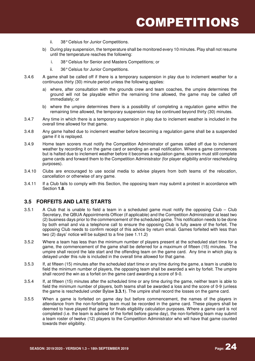- ii. 38° Celsius for Junior Competitions.
- b) During play suspension, the temperature shall be monitored every 10 minutes. Play shall not resume until the temperature reaches the following:
	- i. 38° Celsius for Senior and Masters Competitions; or
	- ii. 36° Celsius for Junior Competitions.
- 3.4.6 A game shall be called off if there is a temporary suspension in play due to inclement weather for a continuous thirty (30) minute period unless the following applies:
	- a) where, after consultation with the grounds crew and team coaches, the umpire determines the ground will not be playable within the remaining time allowed, the game may be called off immediately; or
	- b) where the umpire determines there is a possibility of completing a regulation game within the remaining time allowed, the temporary suspension may be continued beyond thirty (30) minutes.
- 3.4.7 Any time in which there is a temporary suspension in play due to inclement weather is included in the overall time allowed for that game.
- 3.4.8 Any game halted due to inclement weather before becoming a regulation game shall be a suspended game if it is replayed.
- 3.4.9 Home team scorers must notify the Competition Administrator of games called off due to inclement weather by recording it on the game card or sending an email notification. Where a game commences but is halted due to inclement weather before it becomes a regulation game, scorers must still complete game cards and forward them to the Competition Administrator (for player eligibility and/or rescheduling purposes).
- 3.4.10 Clubs are encouraged to use social media to advise players from both teams of the relocation, cancellation or otherwise of any game.
- 3.4.11 If a Club fails to comply with this Section, the opposing team may submit a protest in accordance with Section **1.8**.

#### **3.5 FORFEITS AND LATE STARTS**

- 3.5.1 A Club that is unable to field a team in a scheduled game must notify the opposing Club Club Secretary, the QBUA Appointments Officer (if applicable) and the Competition Administrator at least two (2) business days prior to the commencement of the scheduled game. This notification needs to be done by both email and via a telephone call to ensure the opposing Club is fully aware of the forfeit. The opposing Club needs to confirm receipt of this advice by return email. Games forfeited with less than two (2) days' notice will be subject to a fine (see 1.11.2)
- 3.5.2 Where a team has less than the minimum number of players present at the scheduled start time for a game, the commencement of the game shall be deferred for a maximum of fifteen (15) minutes. The umpire shall record the late start and the offending team on the game card. Any time in which play is delayed under this rule is included in the overall time allowed for that game.
- 3.5.3 If, at fifteen (15) minutes after the scheduled start time or any time during the game, a team is unable to field the minimum number of players, the opposing team shall be awarded a win by forfeit. The umpire shall record the win as a forfeit on the game card awarding a score of 9-0.
- 3.5.4 If, at fifteen (15) minutes after the scheduled time or any time during the game, neither team is able to field the minimum number of players, both teams shall be awarded a loss and the score of 0-9 (unless the game is rescheduled under Bylaw **3.3.1**). The umpire shall record the losses on the game card.
- 3.5.5 When a game is forfeited on game day but before commencement, the names of the players in attendance from the non-forfeiting team must be recorded in the game card. These players shall be deemed to have played that game for finals eligibility calculation purposes. Where a game card is not completed (i.e. the team is advised of the forfeit before game day), the non-forfeiting team may submit a team roster of twelve (12) players to the Competition Administrator who will have that game counted towards their eligibility.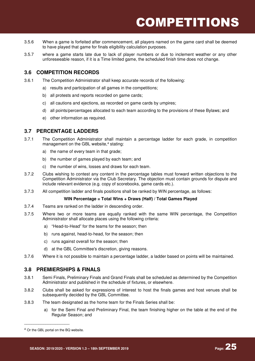- 3.5.6 When a game is forfeited after commencement, all players named on the game card shall be deemed to have played that game for finals eligibility calculation purposes.
- 3.5.7 where a game starts late due to lack of player numbers or due to inclement weather or any other unforeseeable reason, if it is a Time limited game, the scheduled finish time does not change.

#### **3.6 COMPETITION RECORDS**

3.6.1 The Competition Administrator shall keep accurate records of the following:

- a) results and participation of all games in the competitions;
- b) all protests and reports recorded on game cards;
- c) all cautions and ejections, as recorded on game cards by umpires;
- d) all points/percentages allocated to each team according to the provisions of these Bylaws; and
- e) other information as required.

#### **3.7 PERCENTAGE LADDERS**

- 3.7.1 The Competition Administrator shall maintain a percentage ladder for each grade, in competition management on the GBL website,<sup>4</sup> stating:
	- a) the name of every team in that grade;
	- b) the number of games played by each team; and
	- c) the number of wins, losses and draws for each team.
- 3.7.2 Clubs wishing to contest any content in the percentage tables must forward written objections to the Competition Administrator via the Club Secretary. The objection must contain grounds for dispute and include relevant evidence (e.g. copy of scorebooks, game cards etc.).
- 3.7.3 All competition ladder and finals positions shall be ranked by WIN percentage, as follows:

#### **WIN Percentage = Total Wins + Draws (Half) / Total Games Played**

- 3.7.4 Teams are ranked on the ladder in descending order.
- 3.7.5 Where two or more teams are equally ranked with the same WIN percentage, the Competition Administrator shall allocate places using the following criteria:
	- a) "Head-to-Head" for the teams for the season; then
	- b) runs against, head-to-head, for the season; then
	- c) runs against overall for the season; then
	- d) at the GBL Committee's discretion, giving reasons.
- 3.7.6 Where it is not possible to maintain a percentage ladder, a ladder based on points will be maintained.

#### **3.8 PREMIERSHIPS & FINALS**

- 3.8.1 Semi Finals, Preliminary Finals and Grand Finals shall be scheduled as determined by the Competition Administrator and published in the schedule of fixtures, or elsewhere.
- 3.8.2 Clubs shall be asked for expressions of interest to host the finals games and host venues shall be subsequently decided by the GBL Committee.
- 3.8.3 The team designated as the home team for the Finals Series shall be:
	- a) for the Semi Final and Preliminary Final, the team finishing higher on the table at the end of the Regular Season; and

 $\_$ 

<sup>4</sup> Or the GBL portal on the BQ website.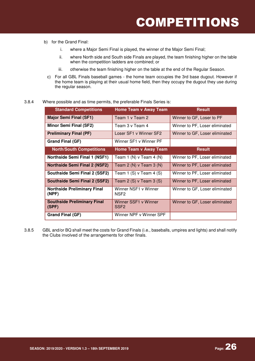- b) for the Grand Final:
	- i. where a Major Semi Final is played, the winner of the Major Semi Final;
	- ii. where North side and South side Finals are played, the team finishing higher on the table when the competition ladders are combined; or
	- iii. otherwise the team finishing higher on the table at the end of the Regular Season.
	- c) For all GBL Finals baseball games the home team occupies the 3rd base dugout. However if the home team is playing at their usual home field, then they occupy the dugout they use during the regular season.

#### 3.8.4 Where possible and as time permits, the preferable Finals Series is:

| <b>Standard Competitions</b>                | <b>Home Team v Away Team</b>             | <b>Result</b>                  |
|---------------------------------------------|------------------------------------------|--------------------------------|
| <b>Major Semi Final (SF1)</b>               | Team 1 v Team 2                          | Winner to GF, Loser to PF      |
| <b>Minor Semi Final (SF2)</b>               | Team 3 v Team 4                          | Winner to PF, Loser eliminated |
| <b>Preliminary Final (PF)</b>               | Loser SF1 v Winner SF2                   | Winner to GF, Loser eliminated |
| Grand Final (GF)                            | Winner SF1 v Winner PF                   |                                |
| <b>North/South Competitions</b>             | <b>Home Team v Away Team</b>             | <b>Result</b>                  |
| <b>Northside Semi Final 1 (NSF1)</b>        | Team 1 (N) $\vee$ Team 4 (N)             | Winner to PF, Loser eliminated |
| <b>Northside Semi Final 2 (NSF2)</b>        | Team 2 (N) $\vee$ Team 3 (N)             | Winner to PF, Loser eliminated |
| Southside Semi Final 2 (SSF2)               | Team 1 $(S)$ v Team 4 $(S)$              | Winner to PF, Loser eliminated |
| <b>Southside Semi Final 2 (SSF2)</b>        | Team $2(S)$ v Team $3(S)$                | Winner to PF, Loser eliminated |
| <b>Northside Preliminary Final</b><br>(NPF) | Winner NSF1 v Winner<br>NSF <sub>2</sub> | Winner to GF, Loser eliminated |
| <b>Southside Preliminary Final</b><br>(SPF) | Winner SSF1 v Winner<br>SSF <sub>2</sub> | Winner to GF, Loser eliminated |
| Grand Final (GF)                            | Winner NPF v Winner SPF                  |                                |

3.8.5 GBL and/or BQ shall meet the costs for Grand Finals (i.e., baseballs, umpires and lights) and shall notify the Clubs involved of the arrangements for other finals.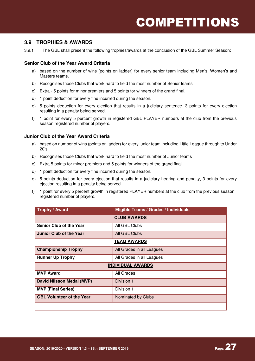#### **3.9 TROPHIES & AWARDS**

3.9.1 The GBL shall present the following trophies/awards at the conclusion of the GBL Summer Season:

#### **Senior Club of the Year Award Criteria**

- a) based on the number of wins (points on ladder) for every senior team including Men's, Women's and Masters teams.
- b) Recognises those Clubs that work hard to field the most number of Senior teams
- c) Extra 5 points for minor premiers and 5 points for winners of the grand final.
- d) 1 point deduction for every fine incurred during the season.
- e) 5 points deduction for every ejection that results in a judiciary sentence. 3 points for every ejection resulting in a penalty being served.
- f) 1 point for every 5 percent growth in registered GBL PLAYER numbers at the club from the previous season registered number of players.

#### **Junior Club of the Year Award Criteria**

- a) based on number of wins (points on ladder) for every junior team including Little League through to Under 20's
- b) Recognises those Clubs that work hard to field the most number of Junior teams
- c) Extra 5 points for minor premiers and 5 points for winners of the grand final.
- d) 1 point deduction for every fine incurred during the season.
- e) 5 points deduction for every ejection that results in a judiciary hearing and penalty, 3 points for every ejection resulting in a penalty being served.
- f) 1 point for every 5 percent growth in registered PLAYER numbers at the club from the previous season registered number of players.

| Trophy / Award                   | Eligible Teams / Grades / Individuals |  |
|----------------------------------|---------------------------------------|--|
|                                  | <b>CLUB AWARDS</b>                    |  |
| <b>Senior Club of the Year</b>   | All GBL Clubs                         |  |
| Junior Club of the Year          | All GBL Clubs                         |  |
|                                  | <b>TEAM AWARDS</b>                    |  |
| <b>Championship Trophy</b>       | All Grades in all Leagues             |  |
| <b>Runner Up Trophy</b>          | All Grades in all Leagues             |  |
| <b>INDIVIDUAL AWARDS</b>         |                                       |  |
| <b>MVP Award</b>                 | All Grades                            |  |
| David Nilsson Medal (MVP)        | Division 1                            |  |
| <b>MVP (Final Series)</b>        | Division 1                            |  |
| <b>GBL Volunteer of the Year</b> | Nominated by Clubs                    |  |
|                                  |                                       |  |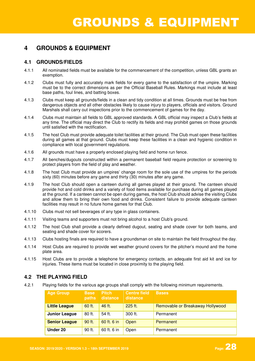### **4 GROUNDS & EQUIPMENT**

#### **4.1 GROUNDS/FIELDS**

- 4.1.1 All nominated fields must be available for the commencement of the competition, unless GBL grants an exemption.
- 4.1.2 Clubs must fully and accurately mark fields for every game to the satisfaction of the umpire. Marking must be to the correct dimensions as per the Official Baseball Rules. Markings must include at least base paths, foul lines, and batting boxes.
- 4.1.3 Clubs must keep all grounds/fields in a clean and tidy condition at all times. Grounds must be free from dangerous objects and all other obstacles likely to cause injury to players, officials and visitors. Ground Marshals shall carry out inspections prior to the commencement of games for the day.
- 4.1.4 Clubs must maintain all fields to GBL approved standards. A GBL official may inspect a Club's fields at any time. The official may direct the Club to rectify its fields and may prohibit games on those grounds until satisfied with the rectification.
- 4.1.5 The host Club must provide adequate toilet facilities at their ground. The Club must open these facilities during all games at that ground. Clubs must keep these facilities in a clean and hygienic condition in compliance with local government regulations.
- 4.1.6 All grounds must have a properly enclosed playing field and home run fence.
- 4.1.7 All benches/dugouts constructed within a permanent baseball field require protection or screening to protect players from the field of play and weather.
- 4.1.8 The host Club must provide an umpires' change room for the sole use of the umpires for the periods sixty (60) minutes before any game and thirty (30) minutes after any game.
- 4.1.9 The host Club should open a canteen during all games played at their ground. The canteen should provide hot and cold drinks and a variety of food items available for purchase during all games played at the ground. If a canteen cannot be open during games, the host Club should advise the visiting Clubs and allow them to bring their own food and drinks. Consistent failure to provide adequate canteen facilities may result in no future home games for that Club.
- 4.1.10 Clubs must not sell beverages of any type in glass containers.
- 4.1.11 Visiting teams and supporters must not bring alcohol to a host Club's ground.
- 4.1.12 The host Club shall provide a clearly defined dugout, seating and shade cover for both teams, and seating and shade cover for scorers.
- 4.1.13 Clubs hosting finals are required to have a groundsman on site to maintain the field throughout the day.
- 4.1.14 Host Clubs are required to provide wet weather ground covers for the pitcher's mound and the home plate area.
- 4.1.15 Host Clubs are to provide a telephone for emergency contacts, an adequate first aid kit and ice for injuries. These items must be located in close proximity to the playing field.

#### **4.2 THE PLAYING FIELD**

4.2.1 Playing fields for the various age groups shall comply with the following minimum requirements.

| <b>Age Group</b>     | <b>Base</b><br>paths | <b>Pitch</b><br>distance | <b>Centre field</b><br>distance | <b>Bases</b>                     |
|----------------------|----------------------|--------------------------|---------------------------------|----------------------------------|
| <b>Little League</b> | 60 ft.               | 46 ft.                   | 225 ft.                         | Removable or Breakaway Hollywood |
| Junior League        | 80 ft.               | 54 ft.                   | 300 ft.                         | Permanent                        |
| <b>Senior League</b> | 90 ft.               | 60 ft. 6 in              | Open                            | Permanent                        |
| Under 20             | 90 ft.               | 60 ft. 6 in              | Open                            | Permanent                        |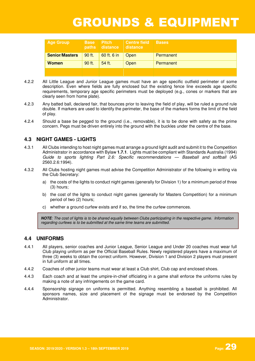### GROUNDS & EQUIPMENT

| <b>Age Group</b>      | <b>Base</b> | <b>Pitch</b><br>paths distance | <b>Centre field</b><br><b>distance</b> | <b>Bases</b> |
|-----------------------|-------------|--------------------------------|----------------------------------------|--------------|
| <b>Senior/Masters</b> | 90 ft.      | 60 ft. 6 in                    | Open                                   | Permanent    |
| <b>Women</b>          | 90 ft.      | 54 ft.                         | Open                                   | Permanent    |
|                       |             |                                |                                        |              |

- 4.2.2 All Little League and Junior League games must have an age specific outfield perimeter of some description. Even where fields are fully enclosed but the existing fence line exceeds age specific requirements, temporary age specific perimeters must be deployed (e.g., cones or markers that are clearly seen from home plate).
- 4.2.3 Any batted ball, declared fair, that bounces prior to leaving the field of play, will be ruled a ground rule double. If markers are used to identify the perimeter, the base of the markers forms the limit of the field of play.
- 4.2.4 Should a base be pegged to the ground (i.e., removable), it is to be done with safety as the prime concern. Pegs must be driven entirely into the ground with the buckles under the centre of the base.

#### **4.3 NIGHT GAMES - LIGHTS**

- 4.3.1 All Clubs intending to host night games must arrange a ground light audit and submit it to the Competition Administrator in accordance with Bylaw **1.7.1**. Lights must be compliant with Standards Australia (1994) Guide to sports lighting Part 2.6: Specific recommendations — Baseball and softball (AS 2560.2.6:1994).
- 4.3.2 All Clubs hosting night games must advise the Competition Administrator of the following in writing via the Club Secretary:
	- a) the costs of the lights to conduct night games (generally for Division 1) for a minimum period of three (3) hours;
	- b) the cost of the lights to conduct night games (generally for Masters Competition) for a minimum period of two (2) hours;
	- c) whether a ground curfew exists and if so, the time the curfew commences.

**NOTE**: The cost of lights is to be shared equally between Clubs participating in the respective game. Information regarding curfews is to be submitted at the same time teams are submitted.

#### **4.4 UNIFORMS**

- 4.4.1 All players, senior coaches and Junior League, Senior League and Under 20 coaches must wear full Club playing uniform as per the Official Baseball Rules. Newly registered players have a maximum of three (3) weeks to obtain the correct uniform. However, Division 1 and Division 2 players must present in full uniform at all times.
- 4.4.2 Coaches of other junior teams must wear at least a Club shirt, Club cap and enclosed shoes.
- 4.4.3 Each coach and at least the umpire-in-chief officiating in a game shall enforce the uniforms rules by making a note of any infringements on the game card.
- 4.4.4 Sponsorship signage on uniforms is permitted. Anything resembling a baseball is prohibited. All sponsors names, size and placement of the signage must be endorsed by the Competition Administrator.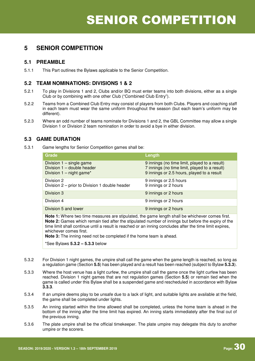#### **5.1 PREAMBLE**

5.1.1 This Part outlines the Bylaws applicable to the Senior Competition.

#### **5.2 TEAM NOMINATIONS: DIVISIONS 1 & 2**

- 5.2.1 To play in Divisions 1 and 2, Clubs and/or BQ must enter teams into both divisions, either as a single Club or by combining with one other Club ("Combined Club Entry").
- 5.2.2 Teams from a Combined Club Entry may consist of players from both Clubs. Players and coaching staff in each team must wear the same uniform throughout the season (but each team's uniform may be different).
- 5.2.3 Where an odd number of teams nominate for Divisions 1 and 2, the GBL Committee may allow a single Division 1 or Division 2 team nomination in order to avoid a bye in either division.

#### **5.3 GAME DURATION**

5.3.1 Game lengths for Senior Competition games shall be:

| <b>Grade</b>                                                                                | Length                                                                                                                                       |
|---------------------------------------------------------------------------------------------|----------------------------------------------------------------------------------------------------------------------------------------------|
| Division $1 - \text{single game}$<br>Division 1 - double header<br>Division 1 - night game* | 9 innings (no time limit, played to a result)<br>7 innings (no time limit, played to a result)<br>9 innings or 2.5 hours, played to a result |
| Division 2<br>Division 2 – prior to Division 1 double header                                | 9 innings or 2.5 hours<br>9 innings or 2 hours                                                                                               |
| Division 3                                                                                  | 9 innings or 2 hours                                                                                                                         |
| Division 4                                                                                  | 9 innings or 2 hours                                                                                                                         |
| Division 5 and lower                                                                        | 9 innings or 2 hours                                                                                                                         |

**Note 1:** Where two time measures are stipulated, the game length shall be whichever comes first. **Note 2:** Games which remain tied after the stipulated number of innings but before the expiry of the time limit shall continue until a result is reached or an inning concludes after the time limit expires, whichever comes first.

**Note 3:** The inning need not be completed if the home team is ahead.

\*See Bylaws **5.3.2 – 5.3.3** below

- 5.3.2 For Division 1 night games, the umpire shall call the game when the game length is reached, so long as a regulation game (Section **5.5**) has been played and a result has been reached (subject to Bylaw **5.3.3**).
- 5.3.3 Where the host venue has a light curfew, the umpire shall call the game once the light curfew has been reached. Division 1 night games that are not regulation games (Section **5.5**) or remain tied when the game is called under this Bylaw shall be a suspended game and rescheduled in accordance with Bylaw **3.3.3**.
- 5.3.4 If an umpire deems play to be unsafe due to a lack of light, and suitable lights are available at the field, the game shall be completed under lights.
- 5.3.5 An inning started within the time allowed shall be completed, unless the home team is ahead in the bottom of the inning after the time limit has expired. An inning starts immediately after the final out of the previous inning.
- 5.3.6 The plate umpire shall be the official timekeeper. The plate umpire may delegate this duty to another umpire or the scorers.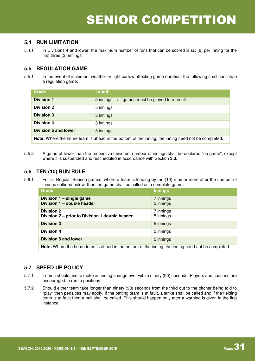#### **5.4 RUN LIMITATION**

5.4.1 In Divisions 4 and lower, the maximum number of runs that can be scored is six (6) per inning for the first three (3) innings.

#### **5.5 REGULATION GAME**

5.5.1 In the event of inclement weather or light curfew affecting game duration, the following shall constitute a regulation game:

| Grade                                                                                                    | Length                                           |  |
|----------------------------------------------------------------------------------------------------------|--------------------------------------------------|--|
| <b>Division 1</b>                                                                                        | 5 innings – all games must be played to a result |  |
| <b>Division 2</b>                                                                                        | 5 innings                                        |  |
| <b>Division 3</b>                                                                                        | 3 innings                                        |  |
| <b>Division 4</b>                                                                                        | 3 innings                                        |  |
| <b>Division 5 and lower</b>                                                                              | 3 innings                                        |  |
| <b>Note:</b> Where the home team is ahead in the bottom of the inning, the inning need not be completed. |                                                  |  |

5.5.2 A game of fewer than the respective minimum number of innings shall be declared "no game", except where it is suspended and rescheduled in accordance with Section **3.3**.

#### **5.6 TEN (10) RUN RULE**

5.6.1 For all Regular Season games, where a team is leading by ten (10) runs or more after the number of innings outlined below, then the game shall be called as a complete game:

| <b>Grade</b>                                                        | Innings                |
|---------------------------------------------------------------------|------------------------|
| Division 1 - single game<br>Division 1 - double header              | 7 innings<br>5 innings |
| <b>Division 2</b><br>Division 2 – prior to Division 1 double header | 7 innings<br>5 innings |
| <b>Division 3</b>                                                   | 5 innings              |
| <b>Division 4</b>                                                   | 5 innings              |
| <b>Division 5 and lower</b>                                         | 5 innings              |

**Note:** Where the home team is ahead in the bottom of the inning, the inning need not be completed.

#### **5.7 SPEED UP POLICY**

- 5.7.1 Teams should aim to make an inning change over within ninety (90) seconds. Players and coaches are encouraged to run to positions.
- 5.7.2 Should either team take longer than ninety (90) seconds from the third out to the pitcher being told to "play" then penalties may apply. If the batting team is at fault, a strike shall be called and if the fielding team is at fault then a ball shall be called. This should happen only after a warning is given in the first instance.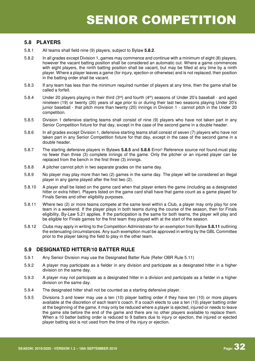#### **5.8 PLAYERS**

- 5.8.1 All teams shall field nine (9) players, subject to Bylaw **5.8.2**.
- 5.8.2 In all grades except Division 1, games may commence and continue with a minimum of eight (8) players, however the vacant batting position shall be considered an automatic out. Where a game commences with eight players, the ninth batting position shall be vacant, but may be filled at any time by a ninth player. Where a player leaves a game (for injury, ejection or otherwise) and is not replaced, their position in the batting order shall be vacant.
- 5.8.3 If any team has less than the minimum required number of players at any time, then the game shall be called a forfeit.
- 5.8.4 Under 20 players playing in their third (3rd) and fourth (4th) seasons of Under 20's baseball and aged nineteen (19) or twenty (20) years of age prior to or during their last two seasons playing Under 20's junior baseball - that pitch more than twenty (20) innings in Division 1 - cannot pitch in the Under 20 competition.
- 5.8.5 Division 1 defensive starting teams shall consist of nine (9) players who have not taken part in any Senior Competition fixture for that day, except in the case of the second game in a double header.
- 5.8.6 In all grades except Division 1, defensive starting teams shall consist of seven (7) players who have not taken part in any Senior Competition fixture for that day, except in the case of the second game in a double header.
- 5.8.7 The starting defensive players in Bylaws **5.8.5** and **5.8.6** Error! Reference source not found.must play no fewer than three (3) complete innings of the game. Only the pitcher or an injured player can be replaced from the bench in the first three (3) innings.
- 5.8.8 A pitcher cannot pitch in two separate grades on the same day.
- 5.8.9 No player may play more than two (2) games in the same day. The player will be considered an illegal player in any game played after the first two (2).
- 5.8.10 A player shall be listed on the game card when that player enters the game (including as a designated hitter or extra hitter). Players listed on the game card shall have that game count as a game played for Finals Series and other eligibility purposes.
- 5.8.11 Where two (2) or more teams compete at the same level within a Club, a player may only play for one team in a weekend. If the player plays in both teams during the course of the season, then for Finals eligibility, By-Law 5.21 applies. If the participation is the same for both teams, the player will play and be eligible for Finals games for the first team they played with at the start of the season.
- 5.8.12 Clubs may apply in writing to the Competition Administrator for an exemption from Bylaw **5.8.11** outlining the extenuating circumstances. Any such exemption must be approved in writing by the GBL Committee prior to the player taking the field to play in the other team.

#### **5.9 DESIGNATED HITTER/10 BATTER RULE**

- 5.9.1 Any Senior Division may use the Designated Batter Rule (Refer OBR Rule 5.11)
- 5.9.2 A player may participate as a fielder in any division and participate as a designated hitter in a higher division on the same day.
- 5.9.3 A player may not participate as a designated hitter in a division and participate as a fielder in a higher division on the same day.
- 5.9.4 The designated hitter shall not be counted as a starting defensive player.
- 5.9.5 Divisions 3 and lower may use a ten (10) player batting order if they have ten (10) or more players available at the discretion of each team's coach. If a coach elects to use a ten (10) player batting order at the beginning of the game, it may only be reduced where a player is ejected, injured or needs to leave the game site before the end of the game and there are no other players available to replace them. When a 10 batter batting order is reduced to 9 batters due to injury or ejection, the injured or ejected player batting slot is not used from the time of the injury or ejection.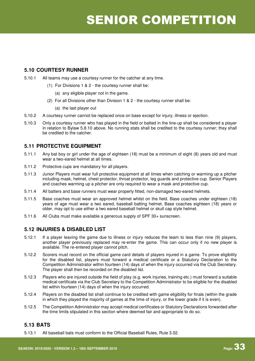#### **5.10 COURTESY RUNNER**

- 5.10.1 All teams may use a courtesy runner for the catcher at any time.
	- (1) For Divisions 1 & 2 the courtesy runner shall be:
		- (a) any eligible player not in the game.
	- (2) For all Divisions other than Division 1 & 2 the courtesy runner shall be:
		- (a) the last player out
- 5.10.2 A courtesy runner cannot be replaced once on base except for injury, illness or ejection.
- 5.10.3 Only a courtesy runner who has played in the field or batted in the line-up shall be considered a player in relation to Bylaw 5.8.10 above. No running stats shall be credited to the courtesy runner; they shall be credited to the catcher.

#### **5.11 PROTECTIVE EQUIPMENT**

- 5.11.1 Any bat boy or girl under the age of eighteen (18) must be a minimum of eight (8) years old and must wear a two-eared helmet at all times.
- 5.11.2 Protective cups are mandatory for all players.
- 5.11.3 Junior Players must wear full protective equipment at all times when catching or warming up a pitcher including mask, helmet, chest protector, throat protector, leg guards and protective cup. Senior Players and coaches warming up a pitcher are only required to wear a mask and protective cup.
- 5.11.4 All batters and base runners must wear properly fitted, non-damaged two-eared helmets.
- 5.11.5 Base coaches must wear an approved helmet whilst on the field. Base coaches under eighteen (18) years of age must wear a two eared, baseball batting helmet. Base coaches eighteen (18) years or older, may opt to use either a two eared baseball helmet or skull cap style helmet.
- 5.11.6 All Clubs must make available a generous supply of SPF 30+ sunscreen.

#### **5.12 INJURIES & DISABLED LIST**

- 5.12.1 If a player leaving the game due to illness or injury reduces the team to less than nine (9) players, another player previously replaced may re-enter the game. This can occur only if no new player is available. The re-entered player cannot pitch.
- 5.12.2 Scorers must record on the official game card details of players injured in a game. To prove eligibility for the disabled list, players must forward a medical certificate or a Statutory Declaration to the Competition Administrator within fourteen (14) days of when the injury occurred via the Club Secretary. The player shall then be recorded on the disabled list.
- 5.12.3 Players who are injured outside the field of play (e.g. work injuries, training etc.) must forward a suitable medical certificate via the Club Secretary to the Competition Administrator to be eligible for the disabled list within fourteen (14) days of when the injury occurred.
- 5.12.4 Players on the disabled list shall continue to be credited with game eligibility for finals (within the grade in which they played the majority of games at the time of injury, or the lower grade if it is even).
- 5.12.5 The Competition Administrator may accept medical certificates or Statutory Declarations forwarded after the time limits stipulated in this section where deemed fair and appropriate to do so.

#### **5.13 BATS**

5.13.1 All baseball bats must conform to the Official Baseball Rules, Rule 3.02.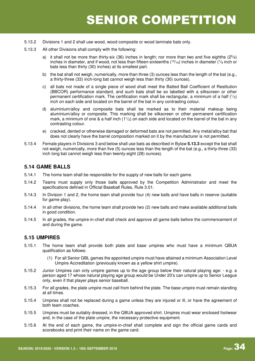- 5.13.2 Divisions 1 and 2 shall use wood, wood composite or wood laminate bats only.
- 5.13.3 All other Divisions shall comply with the following:
	- a) it shall not be more than thirty-six (36) inches in length; nor more than two and five eighths  $(2^{5}/<sub>8</sub>)$ inches in diameter, and if wood, not less than fifteen-sixteenths ( $15/16$ ) inches in diameter ( $7/8$  inch or bats less than thirty (30) inches) at its smallest part.
	- b) the bat shall not weigh, numerically, more than three (3) ounces less than the length of the bat (e.g., a thirty-three (33) inch-long bat cannot weigh less than thirty (30) ounces).
	- c) all bats not made of a single piece of wood shall meet the Batted Ball Coefficient of Restitution (BBCOR) performance standard, and such bats shall be so labelled with a silkscreen or other permanent certification mark. The certification mark shall be rectangular, a minimum of a half  $(1/2)$ inch on each side and located on the barrel of the bat in any contrasting colour.
	- d) aluminium/alloy and composite bats shall be marked as to their material makeup being aluminium/alloy or composite. This marking shall be silkscreen or other permanent certification mark, a minimum of one & a half inch  $(1<sup>1</sup>/2)$  on each side and located on the barrel of the bat in any contrasting colour.
	- e) cracked, dented or otherwise damaged or deformed bats are not permitted. Any metal/alloy bat that does not clearly have the barrel composition marked on it by the manufacturer is not permitted.
- 5.13.4 Female players in Divisions 3 and below shall use bats as described in Bylaw **5.13.3** except the bat shall not weigh, numerically, more than five (5) ounces less than the length of the bat (e.g., a thirty-three (33) inch long bat cannot weigh less than twenty-eight (28) ounces).

#### **5.14 GAME BALLS**

- 5.14.1 The home team shall be responsible for the supply of new balls for each game.
- 5.14.2 Teams must supply only those balls approved by the Competition Administrator and meet the specifications defined in Official Baseball Rules, Rule 3.01.
- 5.14.3 In Division 1 and 2, the home team shall provide four (4) new balls and have balls in reserve (suitable for game play).
- 5.14.4 In all other divisions, the home team shall provide two (2) new balls and make available additional balls in good condition.
- 5.14.5 In all grades, the umpire-in-chief shall check and approve all game balls before the commencement of and during the game.

#### **5.15 UMPIRES**

- 5.15.1 The home team shall provide both plate and base umpires who must have a minimum QBUA qualification as follows:
	- (1) For all Senior GBL games the appointed umpire must have attained a minimum Association Level Umpire Accreditation (previously known as a yellow shirt umpire).
- 5.15.2 Junior Umpires can only umpire games up to the age group below their natural playing age: e.g. a person aged 17 whose natural playing age group would be Under 20's can umpire up to Senior League only, even if that player plays senior baseball.
- 5.15.3 For all grades, the plate umpire must call from behind the plate. The base umpire must remain standing at all times.
- 5.15.4 Umpires shall not be replaced during a game unless they are injured or ill, or have the agreement of both team coaches.
- 5.15.5 Umpires must be suitably dressed, in the QBUA approved shirt. Umpires must wear enclosed footwear and, in the case of the plate umpire, the necessary protective equipment.
- 5.15.6 At the end of each game, the umpire-in-chief shall complete and sign the official game cards and scorebooks and print their name on the game card.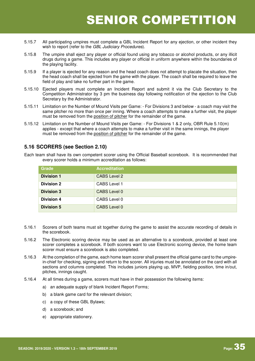- 5.15.7 All participating umpires must complete a GBL Incident Report for any ejection, or other incident they wish to report (refer to the GBL Judiciary Procedures).
- 5.15.8 The umpire shall eject any player or official found using any tobacco or alcohol products, or any illicit drugs during a game. This includes any player or official in uniform anywhere within the boundaries of the playing facility.
- 5.15.9 If a player is ejected for any reason and the head coach does not attempt to placate the situation, then the head coach shall be ejected from the game with the player. The coach shall be required to leave the field of play and take no further part in the game.
- 5.15.10 Ejected players must complete an Incident Report and submit it via the Club Secretary to the Competition Administrator by 3 pm the business day following notification of the ejection to the Club Secretary by the Administrator.
- 5.15.11 Limitation on the Number of Mound Visits per Game: For Divisions 3 and below a coach may visit the same pitcher no more than once per inning. Where a coach attempts to make a further visit, the player must be removed from the position of pitcher for the remainder of the game.
- 5.15.12 Limitation on the Number of Mound Visits per Game: For Divisions 1 & 2 only, OBR Rule 5.10(m) applies - except that where a coach attempts to make a further visit in the same innings, the player must be removed from the position of pitcher for the remainder of the game.

#### **5.16 SCORERS (see Section 2.10)**

Each team shall have its own competent scorer using the Official Baseball scorebook. It is recommended that every scorer holds a minimum accreditation as follows:

| <b>Grade</b>      | <b>Accreditation</b> |
|-------------------|----------------------|
| <b>Division 1</b> | <b>CABS Level 2</b>  |
| <b>Division 2</b> | CABS Level 1         |
| <b>Division 3</b> | CABS Level 0         |
| <b>Division 4</b> | CABS Level 0         |
| <b>Division 5</b> | CABS Level 0         |

- 5.16.1 Scorers of both teams must sit together during the game to assist the accurate recording of details in the scorebook.
- 5.16.2 The Electronic scoring device may be used as an alternative to a scorebook, provided at least one scorer completes a scorebook. If both scorers want to use Electronic scoring device, the home team scorer must ensure a scorebook is also completed.
- 5.16.3 At the completion of the game, each home team scorer shall present the official game card to the umpirein-chief for checking, signing and return to the scorer. All injuries must be annotated on the card with all sections and columns completed. This includes juniors playing up, MVP, fielding position, time in/out, pitches, innings caught.
- 5.16.4 At all times during a game, scorers must have in their possession the following items:
	- a) an adequate supply of blank Incident Report Forms;
	- b) a blank game card for the relevant division:
	- c) a copy of these GBL Bylaws;
	- d) a scorebook; and
	- e) appropriate stationery.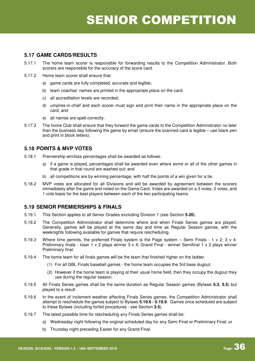# SENIOR COMPETITION

### **5.17 GAME CARDS/RESULTS**

- 5.17.1 The home team scorer is responsible for forwarding results to the Competition Administrator. Both scorers are responsible for the accuracy of the score card.
- 5.17.2 Home team scorer shall ensure that:
	- a) game cards are fully completed, accurate and legible;
	- b) team coaches' names are printed in the appropriate place on the card;
	- c) all accreditation levels are recorded;
	- d) umpires-in-chief and each scorer must sign and print their name in the appropriate place on the card; and
	- e) all names are spelt correctly.
- 5.17.3 The home Club shall ensure that they forward the game cards to the Competition Administrator no later than the business day following the game by email (ensure the scanned card is legible – use black pen and print in block letters).

### **5.18 POINTS & MVP VOTES**

- 5.18.1 Premiership win/loss percentages shall be awarded as follows:
	- a) if a game is played, percentages shall be awarded even where some or all of the other games in that grade in that round are washed out; and
	- b) all competitions are by winning percentage, with half the points of a win given for a tie.
- 5.18.2 MVP votes are allocated for all Divisions and will be awarded by agreement between the scorers immediately after the game and noted on the Game Card. Votes are awarded on a 3 votes, 2 votes, and 1 vote basis for the best players between each of the two participating teams.

### **5.19 SENIOR PREMIERSHIPS & FINALS**

- 5.19.1 This Section applies to all Senior Grades excluding Division 1 (see Section **5.20**).
- 5.19.2 The Competition Administrator shall determine where and when Finals Series games are played. Generally, games will be played at the same day and time as Regular Season games, with the weeknights following available for games that require rescheduling.
- 5.19.3 Where time permits, the preferred Finals system is the Page system Semi Finals 1 v 2; 3 v 4: Preliminary finals - loser 1 v 2 plays winner 3 v 4; Grand Final - winner Semifinal 1 v 2 plays winner Preliminary final.
- 5.19.4 The home team for all finals games will be the team that finished higher on the ladder.
	- (1) For all GBL Finals baseball games the home team occupies the 3rd base dugout.
	- (2) However if the home team is playing at their usual home field, then they occupy the dugout they use during the regular season.
- 5.19.5 All Finals Series games shall be the same duration as Regular Season games (Bylaws **5.3**, **5.5**) but played to a result.
- 5.19.6 In the event of inclement weather affecting Finals Series games, the Competition Administrator shall attempt to reschedule the games subject to Bylaws **5.19.6 - 5.19.9**. Games once scheduled are subject to these Bylaws (including forfeit procedures - see Section **3.5**).
- 5.19.7 The latest possible time for rescheduling any Finals Series games shall be:
	- a) Wednesday night following the original scheduled day for any Semi Final or Preliminary Final; or
	- b) Thursday night preceding Easter for any Grand Final.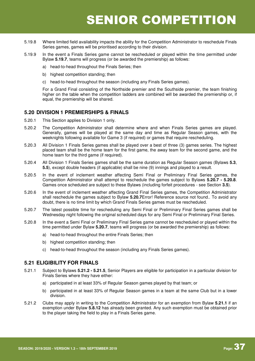# SENIOR COMPETITION

- 5.19.8 Where limited field availability impacts the ability for the Competition Administrator to reschedule Finals Series games, games will be prioritised according to their division.
- 5.19.9 In the event a Finals Series game cannot be rescheduled or played within the time permitted under Bylaw **5.19.7**, teams will progress (or be awarded the premiership) as follows:
	- a) head-to-head throughout the Finals Series; then
	- b) highest competition standing; then
	- c) head-to-head throughout the season (including any Finals Series games).

For a Grand Final consisting of the Northside premier and the Southside premier, the team finishing higher on the table when the competition ladders are combined will be awarded the premiership or, if equal, the premiership will be shared.

#### **5.20 DIVISION 1 PREMIERSHIPS & FINALS**

- 5.20.1 This Section applies to Division 1 only.
- 5.20.2 The Competition Administrator shall determine where and when Finals Series games are played. Generally, games will be played at the same day and time as Regular Season games, with the weeknights following available for Game 3 (if required) or games that require rescheduling.
- 5.20.3 All Division 1 Finals Series games shall be played over a best of three (3) games series. The highest placed team shall be the home team for the first game, the away team for the second game, and the home team for the third game (if required).
- 5.20.4 All Division 1 Finals Series games shall be the same duration as Regular Season games (Bylaws **5.3**, **5.5**), except double headers (if applicable) shall be nine (9) innings and played to a result.
- 5.20.5 In the event of inclement weather affecting Semi Final or Preliminary Final Series games, the Competition Administrator shall attempt to reschedule the games subject to Bylaws **5.20.7 - 5.20.8**. Games once scheduled are subject to these Bylaws (including forfeit procedures - see Section **3.5**).
- 5.20.6 In the event of inclement weather affecting Grand Final Series games, the Competition Administrator shall reschedule the games subject to Bylaw **5.20.7**Error! Reference source not found.. To avoid any doubt, there is no time limit by which Grand Finals Series games must be rescheduled.
- 5.20.7 The latest possible time for rescheduling any Semi Final or Preliminary Final Series games shall be Wednesday night following the original scheduled days for any Semi Final or Preliminary Final Series.
- 5.20.8 In the event a Semi Final or Preliminary Final Series game cannot be rescheduled or played within the time permitted under Bylaw **5.20.7**, teams will progress (or be awarded the premiership) as follows:
	- a) head-to-head throughout the entire Finals Series; then
	- b) highest competition standing; then
	- c) head-to-head throughout the season (including any Finals Series games).

#### **5.21 ELIGIBILITY FOR FINALS**

- 5.21.1 Subject to Bylaws **5.21.2 5.21.5**, Senior Players are eligible for participation in a particular division for Finals Series where they have either:
	- a) participated in at least 33% of Regular Season games played by that team; or
	- b) participated in at least 33% of Regular Season games in a team at the same Club but in a lower division.
- 5.21.2 Clubs may apply in writing to the Competition Administrator for an exemption from Bylaw **5.21.1** if an exemption under Bylaw **5.8.12** has already been granted. Any such exemption must be obtained prior to the player taking the field to play in a Finals Series game.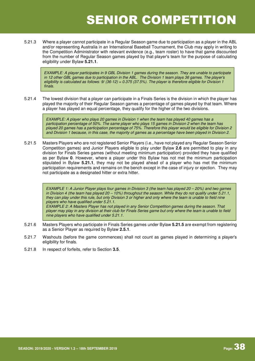# SENIOR COMPETITION

5.21.3 Where a player cannot participate in a Regular Season game due to participation as a player in the ABL and/or representing Australia in an International Baseball Tournament, the Club may apply in writing to the Competition Administrator with relevant evidence (e.g., team roster) to have that game discounted from the number of Regular Season games played by that player's team for the purpose of calculating eligibility under Bylaw **5.21.1**.

EXAMPLE: A player participates in 9 GBL Division 1 games during the season. They are unable to participate in 12 other GBL games due to participation in the ABL. The Division 1 team plays 36 games. The player's eligibility is calculated as follows: 9/ (36-12) = 0.375 (37.5%). The player is therefore eligible for Division 1 finals.

5.21.4 The lowest division that a player can participate in a Finals Series is the division in which the player has played the majority of their Regular Season games a percentage of games played by that team. Where a player has played an equal percentage, they qualify for the higher of the two divisions.

> EXAMPLE: A player who plays 20 games in Division 1 when the team has played 40 games has a participation percentage of 50%. The same player who plays 15 games in Division 2 when the team has played 20 games has a participation percentage of 75%. Therefore this player would be eligible for Division 2 and Division 1 because, in this case, the majority of games as a percentage have been played in Division 2.

5.21.5 Masters Players who are not registered Senior Players (i.e., have not played any Regular Season Senior Competition games) and Junior Players eligible to play under Bylaw **2.6** are permitted to play in any division for Finals Series games (without meeting minimum participation) provided they have qualified as per Bylaw **0**. However, where a player under this Bylaw has not met the minimum participation stipulated in Bylaw **5.21.1**, they may not be played ahead of a player who has met the minimum participation requirements and remains on the bench except in the case of injury or ejection. They may not participate as a designated hitter or extra hitter.

> EXAMPLE 1: A Junior Player plays four games in Division 3 (the team has played 20 – 20%) and two games in Division 4 (the team has played 20 – 10%) throughout the season. While they do not qualify under 5.21.1, they can play under this rule, but only Division 3 or higher and only where the team is unable to field nine players who have qualified under 5.21.1. EXAMPLE 2: A Masters Player has not played in any Senior Competition games during the season. That player may play in any division at their club for Finals Series game but only where the team is unable to field

nine players who have qualified under 5.21.1.

- 5.21.6 Masters Players who participate in Finals Series games under Bylaw **5.21.5** are exempt from registering as a Senior Player as required by Bylaw **2.5.1**.
- 5.21.7 Washouts (before the game commences) shall not count as games played in determining a player's eligibility for finals.
- 5.21.8 In respect of forfeits, refer to Section **3.5**.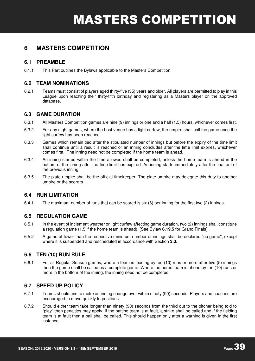### **6.1 PREAMBLE**

6.1.1 This Part outlines the Bylaws applicable to the Masters Competition.

### **6.2 TEAM NOMINATIONS**

6.2.1 Teams must consist of players aged thirty-five (35) years and older. All players are permitted to play in this League upon reaching their thirty-fifth birthday and registering as a Masters player on the approved database.

### **6.3 GAME DURATION**

- 6.3.1 All Masters Competition games are nine (9) innings or one and a half (1.5) hours, whichever comes first.
- 6.3.2 For any night games, where the host venue has a light curfew, the umpire shall call the game once the light curfew has been reached.
- 6.3.3 Games which remain tied after the stipulated number of innings but before the expiry of the time limit shall continue until a result is reached or an inning concludes after the time limit expires, whichever comes first. The inning need not be completed if the home team is ahead.
- 6.3.4 An inning started within the time allowed shall be completed, unless the home team is ahead in the bottom of the inning after the time limit has expired. An inning starts immediately after the final out of the previous inning.
- 6.3.5 The plate umpire shall be the official timekeeper. The plate umpire may delegate this duty to another umpire or the scorers.

### **6.4 RUN LIMITATION**

6.4.1 The maximum number of runs that can be scored is six (6) per inning for the first two (2) innings.

### **6.5 REGULATION GAME**

- 6.5.1 In the event of inclement weather or light curfew affecting game duration, two (2) innings shall constitute a regulation game (1.5 if the home team is ahead). [See Bylaw **6.19.5** for Grand Finals]
- 6.5.2 A game of fewer than the respective minimum number of innings shall be declared "no game", except where it is suspended and rescheduled in accordance with Section **3.3**.

### **6.6 TEN (10) RUN RULE**

6.6.1 For all Regular Season games, where a team is leading by ten (10) runs or more after five (5) innings then the game shall be called as a complete game. Where the home team is ahead by ten (10) runs or more in the bottom of the inning, the inning need not be completed.

### **6.7 SPEED UP POLICY**

- 6.7.1 Teams should aim to make an inning change over within ninety (90) seconds. Players and coaches are encouraged to move quickly to positions.
- 6.7.2 Should either team take longer than ninety (90) seconds from the third out to the pitcher being told to "play" then penalties may apply. If the batting team is at fault, a strike shall be called and if the fielding team is at fault then a ball shall be called. This should happen only after a warning is given in the first instance.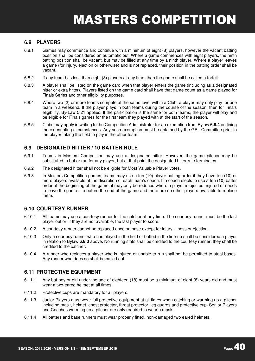### **6.8 PLAYERS**

- 6.8.1 Games may commence and continue with a minimum of eight (8) players, however the vacant batting position shall be considered an automatic out. Where a game commences with eight players, the ninth batting position shall be vacant, but may be filled at any time by a ninth player. Where a player leaves a game (for injury, ejection or otherwise) and is not replaced, their position in the batting order shall be vacant.
- 6.8.2 If any team has less than eight (8) players at any time, then the game shall be called a forfeit.
- 6.8.3 A player shall be listed on the game card when that player enters the game (including as a designated hitter or extra hitter). Players listed on the game card shall have that game count as a game played for Finals Series and other eligibility purposes.
- 6.8.4 Where two (2) or more teams compete at the same level within a Club, a player may only play for one team in a weekend. If the player plays in both teams during the course of the season, then for Finals eligibility, By-Law 5.21 applies. If the participation is the same for both teams, the player will play and be eligible for Finals games for the first team they played with at the start of the season.
- 6.8.5 Clubs may apply in writing to the Competition Administrator for an exemption from Bylaw **6.8.4** outlining the extenuating circumstances. Any such exemption must be obtained by the GBL Committee prior to the player taking the field to play in the other team.

### **6.9 DESIGNATED HITTER / 10 BATTER RULE**

- 6.9.1 Teams in Masters Competition may use a designated hitter. However, the game pitcher may be substituted to bat or run for any player, but at that point the designated hitter rule terminates.
- 6.9.2 The designated hitter shall not be eligible for Most Valuable Player votes.
- 6.9.3 In Masters Competition games, teams may use a ten (10) player batting order if they have ten (10) or more players available at the discretion of each team's coach. If a coach elects to use a ten (10) batter order at the beginning of the game, it may only be reduced where a player is ejected, injured or needs to leave the game site before the end of the game and there are no other players available to replace them.

### **6.10 COURTESY RUNNER**

- 6.10.1 All teams may use a courtesy runner for the catcher at any time. The courtesy runner must be the last player out or, if they are not available, the last player to score.
- 6.10.2 A courtesy runner cannot be replaced once on base except for injury, illness or ejection.
- 6.10.3 Only a courtesy runner who has played in the field or batted in the line-up shall be considered a player in relation to Bylaw **6.8.3** above. No running stats shall be credited to the courtesy runner; they shall be credited to the catcher.
- 6.10.4 A runner who replaces a player who is injured or unable to run shall not be permitted to steal bases. Any runner who does so shall be called out.

### **6.11 PROTECTIVE EQUIPMENT**

- 6.11.1 Any bat boy or girl under the age of eighteen (18) must be a minimum of eight (8) years old and must wear a two-eared helmet at all times.
- 6.11.2 Protective cups are mandatory for all players.
- 6.11.3 Junior Players must wear full protective equipment at all times when catching or warming up a pitcher including mask, helmet, chest protector, throat protector, leg guards and protective cup. Senior Players and Coaches warming up a pitcher are only required to wear a mask.
- 6.11.4 All batters and base runners must wear properly fitted, non-damaged two eared helmets.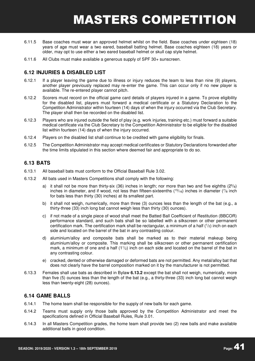- 6.11.5 Base coaches must wear an approved helmet whilst on the field. Base coaches under eighteen (18) years of age must wear a two eared, baseball batting helmet. Base coaches eighteen (18) years or older, may opt to use either a two eared baseball helmet or skull cap style helmet.
- 6.11.6 All Clubs must make available a generous supply of SPF 30+ sunscreen.

### **6.12 INJURIES & DISABLED LIST**

- 6.12.1 If a player leaving the game due to illness or injury reduces the team to less than nine (9) players, another player previously replaced may re-enter the game. This can occur only if no new player is available. The re-entered player cannot pitch.
- 6.12.2 Scorers must record on the official game card details of players injured in a game. To prove eligibility for the disabled list, players must forward a medical certificate or a Statutory Declaration to the Competition Administrator within fourteen (14) days of when the injury occurred via the Club Secretary. The player shall then be recorded on the disabled list.
- 6.12.3 Players who are injured outside the field of play (e.g. work injuries, training etc.) must forward a suitable medical certificate via the Club Secretary to the Competition Administrator to be eligible for the disabled list within fourteen (14) days of when the injury occurred.
- 6.12.4 Players on the disabled list shall continue to be credited with game eligibility for finals.
- 6.12.5 The Competition Administrator may accept medical certificates or Statutory Declarations forwarded after the time limits stipulated in this section where deemed fair and appropriate to do so.

### **6.13 BATS**

- 6.13.1 All baseball bats must conform to the Official Baseball Rule 3.02.
- 6.13.2 All bats used in Masters Competitions shall comply with the following:
	- a) it shall not be more than thirty-six (36) inches in length; nor more than two and five eighths  $(2^{5}/<sub>8</sub>)$ inches in diameter, and if wood, not less than fifteen-sixteenths ( $15/16$ ) inches in diameter ( $7/8$  inch for bats less than thirty (30) inches) at its smallest part.
	- b) it shall not weigh, numerically, more than three (3) ounces less than the length of the bat (e.g., a thirty-three (33) inch long bat cannot weigh less than thirty (30) ounces).
	- c) if not made of a single piece of wood shall meet the Batted Ball Coefficient of Restitution (BBCOR) performance standard, and such bats shall be so labelled with a silkscreen or other permanent certification mark. The certification mark shall be rectangular, a minimum of a half (<sup>1</sup> /2) inch on each side and located on the barrel of the bat in any contrasting colour.
	- d) aluminium/alloy and composite bats shall be marked as to their material makeup being aluminium/alloy or composite. This marking shall be silkscreen or other permanent certification mark, a minimum of one and a half  $(11/2)$  inch on each side and located on the barrel of the bat in any contrasting colour.
	- e) cracked, dented or otherwise damaged or deformed bats are not permitted. Any metal/alloy bat that does not clearly have the barrel composition marked on it by the manufacturer is not permitted.
- 6.13.3 Females shall use bats as described in Bylaw **6.13.2** except the bat shall not weigh, numerically, more than five (5) ounces less than the length of the bat (e.g., a thirty-three (33) inch long bat cannot weigh less than twenty-eight (28) ounces).

#### **6.14 GAME BALLS**

- 6.14.1 The home team shall be responsible for the supply of new balls for each game.
- 6.14.2 Teams must supply only those balls approved by the Competition Administrator and meet the specifications defined in Official Baseball Rules, Rule 3.01.
- 6.14.3 In all Masters Competition grades, the home team shall provide two (2) new balls and make available additional balls in good condition.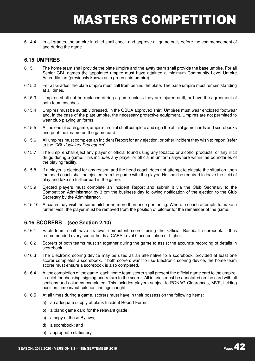6.14.4 In all grades, the umpire-in-chief shall check and approve all game balls before the commencement of and during the game.

### **6.15 UMPIRES**

- 6.15.1 The home team shall provide the plate umpire and the away team shall provide the base umpire. For all Senior GBL games the appointed umpire must have attained a minimum Community Level Umpire Accreditation (previously known as a green shirt umpire).
- 6.15.2 For all Grades, the plate umpire must call from behind the plate. The base umpire must remain standing at all times.
- 6.15.3 Umpires shall not be replaced during a game unless they are injured or ill, or have the agreement of both team coaches.
- 6.15.4 Umpires must be suitably dressed, in the QBUA approved shirt. Umpires must wear enclosed footwear and, in the case of the plate umpire, the necessary protective equipment. Umpires are not permitted to wear club playing uniforms.
- 6.15.5 At the end of each game, umpire-in-chief shall complete and sign the official game cards and scorebooks and print their name on the game card.
- 6.15.6 All umpires must complete an Incident Report for any ejection, or other incident they wish to report (refer to the GBL Judiciary Procedures).
- 6.15.7 The umpire shall eject any player or official found using any tobacco or alcohol products, or any illicit drugs during a game. This includes any player or official in uniform anywhere within the boundaries of the playing facility.
- 6.15.8 If a player is ejected for any reason and the head coach does not attempt to placate the situation, then the head coach shall be ejected from the game with the player. He shall be required to leave the field of play and take no further part in the game.
- 6.15.9 Ejected players must complete an Incident Report and submit it via the Club Secretary to the Competition Administrator by 3 pm the business day following notification of the ejection to the Club Secretary by the Administrator.
- 6.15.10 A coach may visit the same pitcher no more than once per inning. Where a coach attempts to make a further visit, the player must be removed from the position of pitcher for the remainder of the game.

#### **6.16 SCORERS – (see Section 2.10)**

- 6.16.1 Each team shall have its own competent scorer using the Official Baseball scorebook. It is recommended every scorer holds a CABS Level 0 accreditation or higher.
- 6.16.2 Scorers of both teams must sit together during the game to assist the accurate recording of details in scorebook.
- 6.16.3 The Electronic scoring device may be used as an alternative to a scorebook, provided at least one scorer completes a scorebook. If both scorers want to use Electronic scoring device, the home team scorer must ensure a scorebook is also completed.
- 6.16.4 At the completion of the game, each home team scorer shall present the official game card to the umpirein-chief for checking, signing and return to the scorer. All injuries must be annotated on the card with all sections and columns completed. This includes players subject to PONAG Clearances, MVP, fielding position, time in/out, pitches, innings caught.
- 6.16.5 At all times during a game, scorers must have in their possession the following items:
	- a) an adequate supply of blank Incident Report Forms;
	- b) a blank game card for the relevant grade;
	- c) a copy of these Bylaws;
	- d) a scorebook; and
	- e) appropriate stationery.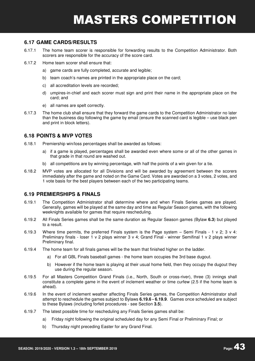### **6.17 GAME CARDS/RESULTS**

- 6.17.1 The home team scorer is responsible for forwarding results to the Competition Administrator. Both scorers are responsible for the accuracy of the score card.
- 6.17.2 Home team scorer shall ensure that:
	- a) game cards are fully completed, accurate and legible;
	- b) team coach's names are printed in the appropriate place on the card;
	- c) all accreditation levels are recorded;
	- d) umpires-in-chief and each scorer must sign and print their name in the appropriate place on the card; and
	- e) all names are spelt correctly.
- 6.17.3 The home club shall ensure that they forward the game cards to the Competition Administrator no later than the business day following the game by email (ensure the scanned card is legible – use black pen and print in block letters).

### **6.18 POINTS & MVP VOTES**

- 6.18.1 Premiership win/loss percentages shall be awarded as follows:
	- a) if a game is played, percentages shall be awarded even where some or all of the other games in that grade in that round are washed out.
	- b) all competitions are by winning percentage, with half the points of a win given for a tie.
- 6.18.2 MVP votes are allocated for all Divisions and will be awarded by agreement between the scorers immediately after the game and noted on the Game Card. Votes are awarded on a 3 votes, 2 votes, and 1 vote basis for the best players between each of the two participating teams.

#### **6.19 PREMIERSHIPS & FINALS**

- 6.19.1 The Competition Administrator shall determine where and when Finals Series games are played. Generally, games will be played at the same day and time as Regular Season games, with the following weeknights available for games that require rescheduling.
- 6.19.2 All Finals Series games shall be the same duration as Regular Season games (Bylaw **6.3**) but played to a result.
- 6.19.3 Where time permits, the preferred Finals system is the Page system Semi Finals 1 v 2; 3 v 4: Preliminary finals - loser 1 v 2 plays winner 3 v 4; Grand Final - winner Semifinal 1 v 2 plays winner Preliminary final.
- 6.19.4 The home team for all finals games will be the team that finished higher on the ladder.
	- a) For all GBL Finals baseball games the home team occupies the 3rd base dugout.
	- b) However if the home team is playing at their usual home field, then they occupy the dugout they use during the regular season.
- 6.19.5 For all Masters Competition Grand Finals (i.e., North, South or cross-river), three (3) innings shall constitute a complete game in the event of inclement weather or time curfew (2.5 if the home team is ahead).
- 6.19.6 In the event of inclement weather affecting Finals Series games, the Competition Administrator shall attempt to reschedule the games subject to Bylaws **6.19.6 - 6.19.9**. Games once scheduled are subject to these Bylaws (including forfeit procedures - see Section **3.5**).
- 6.19.7 The latest possible time for rescheduling any Finals Series games shall be:
	- a) Friday night following the original scheduled day for any Semi Final or Preliminary Final; or
	- b) Thursday night preceding Easter for any Grand Final.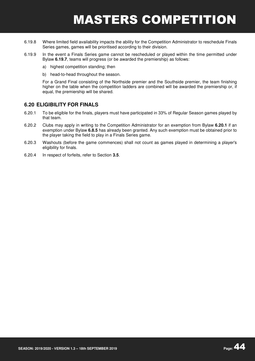- 6.19.8 Where limited field availability impacts the ability for the Competition Administrator to reschedule Finals Series games, games will be prioritised according to their division.
- 6.19.9 In the event a Finals Series game cannot be rescheduled or played within the time permitted under Bylaw **6.19.7**, teams will progress (or be awarded the premiership) as follows:
	- a) highest competition standing; then
	- b) head-to-head throughout the season.

For a Grand Final consisting of the Northside premier and the Southside premier, the team finishing higher on the table when the competition ladders are combined will be awarded the premiership or, if equal, the premiership will be shared.

#### **6.20 ELIGIBILITY FOR FINALS**

- 6.20.1 To be eligible for the finals, players must have participated in 33% of Regular Season games played by that team.
- 6.20.2 Clubs may apply in writing to the Competition Administrator for an exemption from Bylaw **6.20.1** if an exemption under Bylaw **6.8.5** has already been granted. Any such exemption must be obtained prior to the player taking the field to play in a Finals Series game.
- 6.20.3 Washouts (before the game commences) shall not count as games played in determining a player's eligibility for finals.
- 6.20.4 In respect of forfeits, refer to Section **3.5**.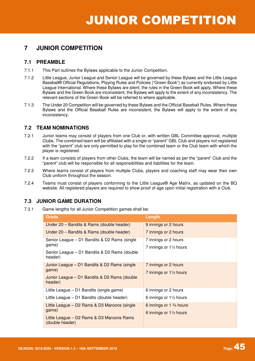### **7.1 PREAMBLE**

- 7.1.1 This Part outlines the Bylaws applicable to the Junior Competition.
- 7.1.2 Little League, Junior League and Senior League will be governed by these Bylaws and the Little League Baseball® Official Regulations, Playing Rules and Policies ("Green Book") as currently endorsed by Little League International. Where these Bylaws are silent, the rules in the Green Book will apply. Where these Bylaws and the Green Book are inconsistent, the Bylaws will apply to the extent of any inconsistency. The relevant sections of the Green Book will be referred to where applicable.
- 7.1.3 The Under 20 Competition will be governed by these Bylaws and the Official Baseball Rules. Where these Bylaws and the Official Baseball Rules are inconsistent, the Bylaws will apply to the extent of any inconsistency.

### **7.2 TEAM NOMINATIONS**

- 7.2.1 Junior teams may consist of players from one Club or, with written GBL Committee approval, multiple Clubs. The combined team will be affiliated with a single or "parent" GBL Club and players not registered with the "parent" club are only permitted to play for the combined team or the Club team with which the player is registered.
- 7.2.2 If a team consists of players from other Clubs, the team will be named as per the "parent" Club and the "parent" club will be responsible for all responsibilities and liabilities for the team.
- 7.2.3 Where teams consist of players from multiple Clubs, players and coaching staff may wear their own Club uniform throughout the season.
- 7.2.4 Teams must consist of players conforming to the Little League® Age Matrix, as updated on the BQ website. All registered players are required to show proof of age upon initial registration with a Club.

### **7.3 JUNIOR GAME DURATION**

7.3.1 Game lengths for all Junior Competition games shall be:

| <b>Grade</b>                                                 | Length                                           |
|--------------------------------------------------------------|--------------------------------------------------|
| Under 20 - Bandits & Rams (double header)                    | 9 innings or 2 hours                             |
| Under 20 – Bandits & Rams (double header)                    | 7 innings or 2 hours                             |
| Senior League - D1 Bandits & D2 Rams (single                 | 7 innings or 2 hours                             |
| game)                                                        | 7 innings or $1\frac{1}{2}$ hours                |
| Senior League – D1 Bandits & D2 Rams (double<br>header)      |                                                  |
| Junior League - D1 Bandits & D2 Rams (single                 | 7 innings or 2 hours                             |
| game)                                                        | 7 innings or $1\frac{1}{2}$ hours                |
| Junior League - D1 Bandits & D2 Rams (double<br>header)      |                                                  |
| Little League – D1 Bandits (single game)                     | 6 innings or 2 hours                             |
| Little League – D1 Bandits (double header)                   | 6 innings or $1\frac{1}{2}$ hours                |
| Little League - D2 Rams & D3 Maroons (single                 | 6 innings or 1 <sup>3</sup> / <sub>4</sub> hours |
| game)                                                        | 6 innings or $1\frac{1}{2}$ hours                |
| Little League – D2 Rams & D3 Maroons Rams<br>(double header) |                                                  |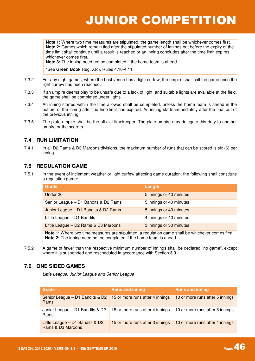**Note 1:** Where two time measures are stipulated, the game length shall be whichever comes first. **Note 2:** Games which remain tied after the stipulated number of innings but before the expiry of the time limit shall continue until a result is reached or an inning concludes after the time limit expires, whichever comes first.

**Note 3:** The inning need not be completed if the home team is ahead.

\*See **Green Book** Reg. X(c), Rules 4.10-4.11.

- 7.3.2 For any night games, where the host venue has a light curfew, the umpire shall call the game once the light curfew has been reached.
- 7.3.3 If an umpire deems play to be unsafe due to a lack of light, and suitable lights are available at the field, the game shall be completed under lights.
- 7.3.4 An inning started within the time allowed shall be completed, unless the home team is ahead in the bottom of the inning after the time limit has expired. An inning starts immediately after the final out of the previous inning.
- 7.3.5 The plate umpire shall be the official timekeeper. The plate umpire may delegate this duty to another umpire or the scorers.

### **7.4 RUN LIMITATION**

7.4.1 In all D2 Rams & D3 Maroons divisions, the maximum number of runs that can be scored is six (6) per inning.

### **7.5 REGULATION GAME**

7.5.1 In the event of inclement weather or light curfew affecting game duration, the following shall constitute a regulation game:

| <b>Grade</b>                                                                                                                                                             | Length                  |
|--------------------------------------------------------------------------------------------------------------------------------------------------------------------------|-------------------------|
| Under 20                                                                                                                                                                 | 5 innings or 40 minutes |
| Senior League - D1 Bandits & D2 Rams                                                                                                                                     | 5 innings or 40 minutes |
| Junior League - D1 Bandits & D2 Rams                                                                                                                                     | 5 innings or 40 minutes |
| Little League - D1 Bandits                                                                                                                                               | 4 innings or 40 minutes |
| Little League - D2 Rams & D3 Maroons                                                                                                                                     | 3 innings or 30 minutes |
| Note 1: Where two time measures are stipulated, a regulation game shall be whichever comes first.<br>Note 2: The inning need not be completed if the home team is ahead. |                         |

7.5.2 A game of fewer than the respective minimum number of innings shall be declared "no game", except where it is suspended and rescheduled in accordance with Section **3.3**.

### **7.6 ONE SIDED GAMES**

Little League, Junior League and Senior League

| Grade                                                                              | <b>Runs and inning</b>          | <b>Runs and inning</b>          |
|------------------------------------------------------------------------------------|---------------------------------|---------------------------------|
| Senior League $-$ D1 Bandits & D2   15 or more runs after 4 innings<br><b>Rams</b> |                                 | 10 or more runs after 5 innings |
| Junior League - D1 Bandits & D2<br>Rams                                            | 15 or more runs after 4 innings | 10 or more runs after 5 innings |
| Little League - D1 Bandits & D2<br>Rams & D3 Maroons                               | 15 or more runs after 3 innings | 10 or more runs after 4 innings |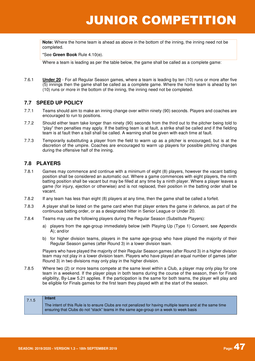**Note:** Where the home team is ahead as above in the bottom of the inning, the inning need not be completed.

\*See **Green Book** Rule 4.10(e).

Where a team is leading as per the table below, the game shall be called as a complete game:

7.6.1 **Under 20** - For all Regular Season games, where a team is leading by ten (10) runs or more after five (5) innings then the game shall be called as a complete game. Where the home team is ahead by ten (10) runs or more in the bottom of the inning, the inning need not be completed.

### **7.7 SPEED UP POLICY**

- 7.7.1 Teams should aim to make an inning change over within ninety (90) seconds. Players and coaches are encouraged to run to positions.
- 7.7.2 Should either team take longer than ninety (90) seconds from the third out to the pitcher being told to "play" then penalties may apply. If the batting team is at fault, a strike shall be called and if the fielding team is at fault then a ball shall be called. A warning shall be given with each time at fault.
- 7.7.3 Temporarily substituting a player from the field to warm up as a pitcher is encouraged, but is at the discretion of the umpire. Coaches are encouraged to warm up players for possible pitching changes during the offensive half of the inning.

### **7.8 PLAYERS**

- 7.8.1 Games may commence and continue with a minimum of eight (8) players, however the vacant batting position shall be considered an automatic out. Where a game commences with eight players, the ninth batting position shall be vacant but may be filled at any time by a ninth player. Where a player leaves a game (for injury, ejection or otherwise) and is not replaced, their position in the batting order shall be vacant.
- 7.8.2 If any team has less than eight (8) players at any time, then the game shall be called a forfeit.
- 7.8.3 A player shall be listed on the game card when that player enters the game in defence, as part of the continuous batting order, or as a designated hitter in Senior League or Under 20.
- 7.8.4 Teams may use the following players during the Regular Season (Substitute Players):
	- a) players from the age-group immediately below (with Playing Up (Type 1) Consent, see Appendix A); and/or
	- b) for higher division teams, players in the same age-group who have played the majority of their Regular Season games (after Round 3) in a lower division team.

Players who have played the majority of their Regular Season games (after Round 3) in a higher division team may not play in a lower division team. Players who have played an equal number of games (after Round 3) in two divisions may only play in the higher division.

7.8.5 Where two (2) or more teams compete at the same level within a Club, a player may only play for one team in a weekend. If the player plays in both teams during the course of the season, then for Finals eligibility, By-Law 5.21 applies. If the participation is the same for both teams, the player will play and be eligible for Finals games for the first team they played with at the start of the season.

| 7.1.5 | Intent                                                                                                                                                                                                |
|-------|-------------------------------------------------------------------------------------------------------------------------------------------------------------------------------------------------------|
|       | The intent of this Rule is to ensure Clubs are not penalized for having multiple teams and at the same time<br>ensuring that Clubs do not "stack" teams in the same age-group on a week to week basis |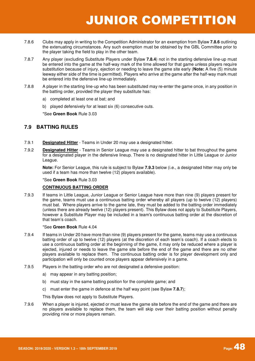- 7.8.6 Clubs may apply in writing to the Competition Administrator for an exemption from Bylaw **7.8.6** outlining the extenuating circumstances. Any such exemption must be obtained by the GBL Committee prior to the player taking the field to play in the other team.
- 7.8.7 Any player (excluding Substitute Players under Bylaw **7.8.4**) not in the starting defensive line-up must be entered into the game at the half-way mark of the time allowed for that game unless players require substitution because of injury, ejection or needing to leave the game site early (**Note:** A five (5) minute leeway either side of the time is permitted). Players who arrive at the game after the half-way mark must be entered into the defensive line-up immediately.
- 7.8.8 A player in the starting line-up who has been substituted may re-enter the game once, in any position in the batting order, provided the player they substitute has:
	- a) completed at least one at bat; and
	- b) played defensively for at least six (6) consecutive outs.

\*See **Green Book** Rule 3.03

### **7.9 BATTING RULES**

- 7.9.1 **Designated Hitter** Teams in Under 20 may use a designated hitter.
- 7.9.2 **Designated Hitter** Teams in Senior League may use a designated hitter to bat throughout the game for a designated player in the defensive lineup. There is no designated hitter in Little League or Junior League.

**Note:** For Senior League, this rule is subject to Bylaw **7.9.3** below (i.e., a designated hitter may only be used if a team has more than twelve (12) players available).

#### \*See **Green Book** Rule 3.03

#### **CONTINUOUS BATTING ORDER**

7.9.3 If teams in Little League, Junior League or Senior League have more than nine (9) players present for the game, teams must use a continuous batting order whereby all players (up to twelve (12) players) must bat. Where players arrive to the game late, they must be added to the batting order immediately (unless there are already twelve (12) players present). This Bylaw does not apply to Substitute Players, however a Substitute Player may be included in a team's continuous batting order at the discretion of that team's coach.

#### \*See **Green Book** Rule 4.04

- 7.9.4 If teams in Under 20 have more than nine (9) players present for the game, teams may use a continuous batting order of up to twelve (12) players (at the discretion of each team's coach). If a coach elects to use a continuous batting order at the beginning of the game, it may only be reduced where a player is ejected, injured or needs to leave the game site before the end of the game and there are no other players available to replace them. The continuous batting order is for player development only and participation will only be counted once players appear defensively in a game.
- 7.9.5 Players in the batting order who are not designated a defensive position:
	- a) may appear in any batting position;
	- b) must stay in the same batting position for the complete game; and
	- c) must enter the game in defence at the half way point (see Bylaw **7.8.7**);

This Bylaw does not apply to Substitute Players.

7.9.6 When a player is injured, ejected or must leave the game site before the end of the game and there are no players available to replace them, the team will skip over their batting position without penalty providing nine or more players remain.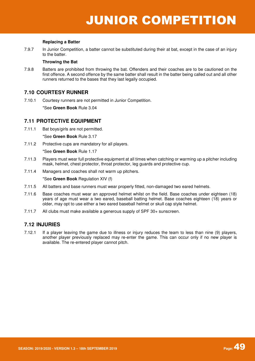#### **Replacing a Batter**

7.9.7 In Junior Competition, a batter cannot be substituted during their at bat, except in the case of an injury to the batter.

#### **Throwing the Bat**

7.9.8 Batters are prohibited from throwing the bat. Offenders and their coaches are to be cautioned on the first offence. A second offence by the same batter shall result in the batter being called out and all other runners returned to the bases that they last legally occupied.

### **7.10 COURTESY RUNNER**

7.10.1 Courtesy runners are not permitted in Junior Competition.

\*See **Green Book** Rule 3.04

### **7.11 PROTECTIVE EQUIPMENT**

7.11.1 Bat boys/girls are not permitted.

\*See **Green Book** Rule 3.17

7.11.2 Protective cups are mandatory for all players.

\*See **Green Book** Rule 1.17

- 7.11.3 Players must wear full protective equipment at all times when catching or warming up a pitcher including mask, helmet, chest protector, throat protector, leg guards and protective cup.
- 7.11.4 Managers and coaches shall not warm up pitchers.

\*See **Green Book** Regulation XIV (f)

- 7.11.5 All batters and base runners must wear properly fitted, non-damaged two eared helmets.
- 7.11.6 Base coaches must wear an approved helmet whilst on the field. Base coaches under eighteen (18) years of age must wear a two eared, baseball batting helmet. Base coaches eighteen (18) years or older, may opt to use either a two eared baseball helmet or skull cap style helmet.
- 7.11.7 All clubs must make available a generous supply of SPF 30+ sunscreen.

### **7.12 INJURIES**

7.12.1 If a player leaving the game due to illness or injury reduces the team to less than nine (9) players, another player previously replaced may re-enter the game. This can occur only if no new player is available. The re-entered player cannot pitch.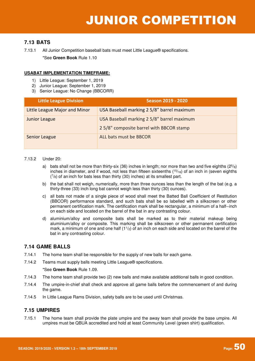### **7.13 BATS**

\*See **Green Book** Rule 1.10

#### **USABAT IMPLEMENTATION TIMEFRAME:**

- 1) Little League: September 1, 2019
- 2) Junior League: September 1, 2019
- 3) Senior League: No Change (BBCORR)

| <b>Little League Division</b> | <b>Season 2019 - 2020</b>                                                             |
|-------------------------------|---------------------------------------------------------------------------------------|
| Little League Major and Minor | USA Baseball marking 2 5/8" barrel maximum                                            |
| <b>Junior League</b>          | USA Baseball marking 2 5/8" barrel maximum<br>25/8" composite barrel with BBCOR stamp |
| <b>Senior League</b>          | ALL bats must be BBCOR                                                                |

#### 7.13.2 Under 20:

- a) bats shall not be more than thirty-six (36) inches in length; nor more than two and five eighths ( $2^{5}/<sub>8</sub>$ ) inches in diameter, and if wood, not less than fifteen sixteenths (<sup>15</sup>/16) of an inch in (seven eighths  $(7/8)$  of an inch for bats less than thirty (30) inches) at its smallest part.
- b) the bat shall not weigh, numerically, more than three ounces less than the length of the bat (e.g. a thirty-three (33) inch long bat cannot weigh less than thirty (30) ounces).
- c) all bats not made of a single piece of wood shall meet the Batted Ball Coefficient of Restitution (BBCOR) performance standard, and such bats shall be so labelled with a silkscreen or other permanent certification mark. The certification mark shall be rectangular, a minimum of a half-‐inch on each side and located on the barrel of the bat in any contrasting colour.
- d) aluminium/alloy and composite bats shall be marked as to their material makeup being aluminium/alloy or composite. This marking shall be silkscreen or other permanent certification mark, a minimum of one and one half  $(1<sup>1</sup>/<sub>2</sub>)$  of an inch on each side and located on the barrel of the bat in any contrasting colour.

### **7.14 GAME BALLS**

- 7.14.1 The home team shall be responsible for the supply of new balls for each game.
- 7.14.2 Teams must supply balls meeting Little League® specifications.

#### \*See **Green Book** Rule 1.09.

- 7.14.3 The home team shall provide two (2) new balls and make available additional balls in good condition.
- 7.14.4 The umpire-in-chief shall check and approve all game balls before the commencement of and during the game.
- 7.14.5 In Little League Rams Division, safety balls are to be used until Christmas.

### **7.15 UMPIRES**

7.15.1 The home team shall provide the plate umpire and the away team shall provide the base umpire. All umpires must be QBUA accredited and hold at least Community Level (green shirt) qualification.

<sup>7.13.1</sup> All Junior Competition baseball bats must meet Little League® specifications.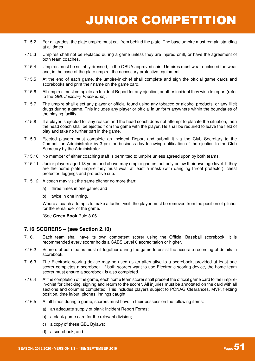- 7.15.2 For all grades, the plate umpire must call from behind the plate. The base umpire must remain standing at all times.
- 7.15.3 Umpires shall not be replaced during a game unless they are injured or ill, or have the agreement of both team coaches.
- 7.15.4 Umpires must be suitably dressed, in the QBUA approved shirt. Umpires must wear enclosed footwear and, in the case of the plate umpire, the necessary protective equipment.
- 7.15.5 At the end of each game, the umpire-in-chief shall complete and sign the official game cards and scorebooks and print their name on the game card.
- 7.15.6 All umpires must complete an Incident Report for any ejection, or other incident they wish to report (refer to the GBL Judiciary Procedures).
- 7.15.7 The umpire shall eject any player or official found using any tobacco or alcohol products, or any illicit drugs during a game. This includes any player or official in uniform anywhere within the boundaries of the playing facility.
- 7.15.8 If a player is ejected for any reason and the head coach does not attempt to placate the situation, then the head coach shall be ejected from the game with the player. He shall be required to leave the field of play and take no further part in the game.
- 7.15.9 Ejected players must complete an Incident Report and submit it via the Club Secretary to the Competition Administrator by 3 pm the business day following notification of the ejection to the Club Secretary by the Administrator.
- 7.15.10 No member of either coaching staff is permitted to umpire unless agreed upon by both teams.
- 7.15.11 Junior players aged 13 years and above may umpire games, but only below their own age level. If they are the home plate umpire they must wear at least a mask (with dangling throat protector), chest protector, leggings and protective cup.
- 7.15.12 A coach may visit the same pitcher no more than:
	- a) three times in one game; and
	- b) twice in one inning.

Where a coach attempts to make a further visit, the player must be removed from the position of pitcher for the remainder of the game.

\*See **Green Book** Rule 8.06.

#### **7.16 SCORERS – (see Section 2.10)**

- 7.16.1 Each team shall have its own competent scorer using the Official Baseball scorebook. It is recommended every scorer holds a CABS Level 0 accreditation or higher.
- 7.16.2 Scorers of both teams must sit together during the game to assist the accurate recording of details in scorebook.
- 7.16.3 The Electronic scoring device may be used as an alternative to a scorebook, provided at least one scorer completes a scorebook. If both scorers want to use Electronic scoring device, the home team scorer must ensure a scorebook is also completed.
- 7.16.4 At the completion of the game, each home team scorer shall present the official game card to the umpirein-chief for checking, signing and return to the scorer. All injuries must be annotated on the card with all sections and columns completed. This includes players subject to PONAG Clearances, MVP, fielding position, time in/out, pitches, innings caught.
- 7.16.5 At all times during a game, scorers must have in their possession the following items:
	- a) an adequate supply of blank Incident Report Forms;
	- b) a blank game card for the relevant division;
	- c) a copy of these GBL Bylaws;
	- d) a scorebook; and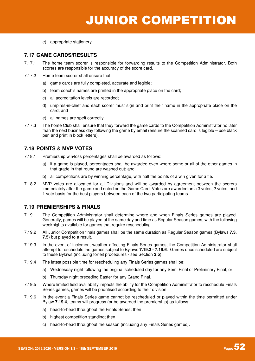e) appropriate stationery.

### **7.17 GAME CARDS/RESULTS**

- 7.17.1 The home team scorer is responsible for forwarding results to the Competition Administrator. Both scorers are responsible for the accuracy of the score card.
- 7.17.2 Home team scorer shall ensure that:
	- a) game cards are fully completed, accurate and legible;
	- b) team coach's names are printed in the appropriate place on the card;
	- c) all accreditation levels are recorded;
	- d) umpires-in-chief and each scorer must sign and print their name in the appropriate place on the card; and
	- e) all names are spelt correctly.
- 7.17.3 The home Club shall ensure that they forward the game cards to the Competition Administrator no later than the next business day following the game by email (ensure the scanned card is legible – use black pen and print in block letters).

### **7.18 POINTS & MVP VOTES**

- 7.18.1 Premiership win/loss percentages shall be awarded as follows:
	- a) if a game is played, percentages shall be awarded even where some or all of the other games in that grade in that round are washed out; and
	- b) all competitions are by winning percentage, with half the points of a win given for a tie.
- 7.18.2 MVP votes are allocated for all Divisions and will be awarded by agreement between the scorers immediately after the game and noted on the Game Card. Votes are awarded on a 3 votes, 2 votes, and 1 vote basis for the best players between each of the two participating teams.

### **7.19 PREMIERSHIPS & FINALS**

- 7.19.1 The Competition Administrator shall determine where and when Finals Series games are played. Generally, games will be played at the same day and time as Regular Season games, with the following weeknights available for games that require rescheduling.
- 7.19.2 All Junior Competition finals games shall be the same duration as Regular Season games (Bylaws **7.3**, **7.5**) but played to a result.
- 7.19.3 In the event of inclement weather affecting Finals Series games, the Competition Administrator shall attempt to reschedule the games subject to Bylaws **7.19.3 - 7.19.6**. Games once scheduled are subject to these Bylaws (including forfeit procedures - see Section **3.5**).
- 7.19.4 The latest possible time for rescheduling any Finals Series games shall be:
	- a) Wednesday night following the original scheduled day for any Semi Final or Preliminary Final; or
		- b) Thursday night preceding Easter for any Grand Final.
- 7.19.5 Where limited field availability impacts the ability for the Competition Administrator to reschedule Finals Series games, games will be prioritised according to their division.
- 7.19.6 In the event a Finals Series game cannot be rescheduled or played within the time permitted under Bylaw **7.19.4**, teams will progress (or be awarded the premiership) as follows:
	- a) head-to-head throughout the Finals Series; then
	- b) highest competition standing; then
	- c) head-to-head throughout the season (including any Finals Series games).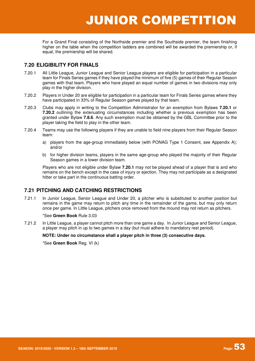For a Grand Final consisting of the Northside premier and the Southside premier, the team finishing higher on the table when the competition ladders are combined will be awarded the premiership or, if equal, the premiership will be shared.

### **7.20 ELIGIBILITY FOR FINALS**

- 7.20.1 All Little League, Junior League and Senior League players are eligible for participation in a particular team for Finals Series games if they have played the minimum of five (5) games of their Regular Season games with that team. Players who have played an equal number of games in two divisions may only play in the higher division.
- 7.20.2 Players in Under 20 are eligible for participation in a particular team for Finals Series games where they have participated in 33% of Regular Season games played by that team.
- 7.20.3 Clubs may apply in writing to the Competition Administrator for an exemption from Bylaws **7.20.1** or **7.20.2** outlining the extenuating circumstances including whether a previous exemption has been granted under Bylaw **7.8.6**. Any such exemption must be obtained by the GBL Committee prior to the player taking the field to play in the other team.
- 7.20.4 Teams may use the following players if they are unable to field nine players from their Regular Season team:
	- a) players from the age-group immediately below (with PONAG Type 1 Consent, see Appendix A); and/or
	- b) for higher division teams, players in the same age-group who played the majority of their Regular Season games in a lower division team.

Players who are not eligible under Bylaw **7.20.1** may not be played ahead of a player that is and who remains on the bench except in the case of injury or ejection. They may not participate as a designated hitter or take part in the continuous batting order.

### **7.21 PITCHING AND CATCHING RESTRICTIONS**

7.21.1 In Junior League, Senior League and Under 20, a pitcher who is substituted to another position but remains in the game may return to pitch any time in the remainder of the game, but may only return once per game. In Little League, pitchers once removed from the mound may not return as pitchers.

#### \*See **Green Book** Rule 3.03

7.21.2 In Little League, a player cannot pitch more than one game a day. In Junior League and Senior League, a player may pitch in up to two games in a day (but must adhere to mandatory rest period).

#### **NOTE: Under no circumstance shall a player pitch in three (3) consecutive days.**

\*See **Green Book** Reg. VI (k)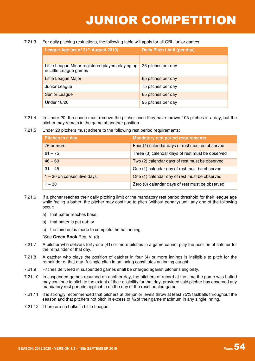#### 7.21.3 For daily pitching restrictions, the following table will apply for all GBL junior games

| League Age (as of 31 <sup>st</sup> August 2019)                             | Daily Pitch Limit (per day) |
|-----------------------------------------------------------------------------|-----------------------------|
|                                                                             |                             |
| Little League Minor registered players playing up<br>in Little League games | 35 pitches per day          |
| Little League Major                                                         | 65 pitches per day          |
| Junior League                                                               | 75 pitches per day          |
| Senior League                                                               | 85 pitches per day          |
| <b>Under 18/20</b>                                                          | 95 pitches per day          |

- 7.21.4 In Under 20, the coach must remove the pitcher once they have thrown 105 pitches in a day, but the pitcher may remain in the game at another position.
- 7.21.5 Under 20 pitchers must adhere to the following rest period requirements:

| Pitches in a day             | <b>Mandatory rest period requirements</b>        |
|------------------------------|--------------------------------------------------|
| 76 or more                   | Four (4) calendar days of rest must be observed  |
| $61 - 75$                    | Three (3) calendar days of rest must be observed |
| $46 - 60$                    | Two (2) calendar days of rest must be observed   |
| $31 - 45$                    | One (1) calendar day of rest must be observed    |
| $1 - 30$ on consecutive days | One (1) calendar day of rest must be observed    |
| $1 - 30$                     | Zero (0) calendar days of rest must be observed  |

- 7.21.6 If a pitcher reaches their daily pitching limit or the mandatory rest period threshold for their league age while facing a batter, the pitcher may continue to pitch (without penalty) until any one of the following occur:
	- a) that batter reaches base;
	- b) that batter is put out; or
	- c) the third out is made to complete the half-inning.

\*See **Green Book** Reg. VI (d)

- 7.21.7 A pitcher who delivers forty-one (41) or more pitches in a game cannot play the position of catcher for the remainder of that day.
- 7.21.8 A catcher who plays the position of catcher in four (4) or more innings is ineligible to pitch for the remainder of that day. A single pitch in an inning constitutes an inning caught.
- 7.21.9 Pitches delivered in suspended games shall be charged against pitcher's eligibility.
- 7.21.10 In suspended games resumed on another day, the pitchers of record at the time the game was halted may continue to pitch to the extent of their eligibility for that day, provided said pitcher has observed any mandatory rest periods applicable on the day of the rescheduled game.
- 7.21.11 It is strongly recommended that pitchers at the junior levels throw at least 75% fastballs throughout the season and that pitchers not pitch in excess of <sup>1</sup> /<sup>3</sup> of their game maximum in any single inning.
- 7.21.12 There are no balks in Little League.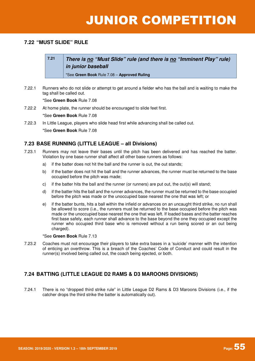### **7.22 "MUST SLIDE" RULE**

**7.21 There is no "Must Slide" rule (and there is no "Imminent Play" rule) in junior baseball** 

\*See **Green Book** Rule 7.08 – **Approved Ruling**

7.22.1 Runners who do not slide or attempt to get around a fielder who has the ball and is waiting to make the tag shall be called out.

\*See **Green Book** Rule 7.08

7.22.2 At home plate, the runner should be encouraged to slide feet first.

\*See **Green Book** Rule 7.08

7.22.3 In Little League, players who slide head first while advancing shall be called out.

\*See **Green Book** Rule 7.08

### **7.23 BASE RUNNING (LITTLE LEAGUE – all Divisions)**

- 7.23.1 Runners may not leave their bases until the pitch has been delivered and has reached the batter. Violation by one base runner shall affect all other base runners as follows:
	- a) if the batter does not hit the ball and the runner is out, the out stands;
	- b) if the batter does not hit the ball and the runner advances, the runner must be returned to the base occupied before the pitch was made;
	- c) if the batter hits the ball and the runner (or runners) are put out, the out(s) will stand;
	- d) if the batter hits the ball and the runner advances, the runner must be returned to the base occupied before the pitch was made or the unoccupied base nearest the one that was left; or
	- e) if the batter bunts, hits a ball within the infield or advances on an uncaught third strike, no run shall be allowed to score (i.e., the runners must be returned to the base occupied before the pitch was made or the unoccupied base nearest the one that was left. If loaded bases and the batter reaches first base safely, each runner shall advance to the base beyond the one they occupied except the runner who occupied third base who is removed without a run being scored or an out being charged).

\*See **Green Book** Rule 7.13

7.23.2 Coaches must not encourage their players to take extra bases in a 'suicide' manner with the intention of enticing an overthrow. This is a breach of the Coaches' Code of Conduct and could result in the runner(s) involved being called out, the coach being ejected, or both.

### **7.24 BATTING (LITTLE LEAGUE D2 RAMS & D3 MAROONS DIVISIONS)**

7.24.1 There is no "dropped third strike rule" in Little League D2 Rams & D3 Maroons Divisions (i.e., if the catcher drops the third strike the batter is automatically out).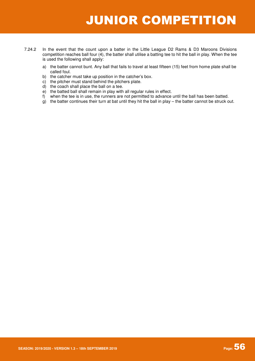- 7.24.2 In the event that the count upon a batter in the Little League D2 Rams & D3 Maroons Divisions competition reaches ball four (4), the batter shall utilise a batting tee to hit the ball in play. When the tee is used the following shall apply:
	- a) the batter cannot bunt. Any ball that fails to travel at least fifteen (15) feet from home plate shall be called foul.
	- b) the catcher must take up position in the catcher's box.
	- c) the pitcher must stand behind the pitchers plate.
	- d) the coach shall place the ball on a tee.
	- e) the batted ball shall remain in play with all regular rules in effect.
	- f) when the tee is in use, the runners are not permitted to advance until the ball has been batted.
	- $\mathbf{g}$ ) the batter continues their turn at bat until they hit the ball in play the batter cannot be struck out.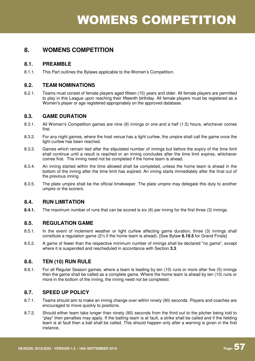### **8.1. PREAMBLE**

8.1.1. This Part outlines the Bylaws applicable to the Women's Competition.

### **8.2. TEAM NOMINATIONS**

8.2.1. Teams must consist of female players aged fifteen (15) years and older. All female players are permitted to play in this League upon reaching their fifteenth birthday. All female players must be registered as a Women's player or age registered appropriately on the approved database.

### **8.3. GAME DURATION**

- 8.3.1. All Women's Competition games are nine (9) innings or one and a half (1.5) hours, whichever comes first.
- 8.3.2. For any night games, where the host venue has a light curfew, the umpire shall call the game once the light curfew has been reached.
- 8.3.3. Games which remain tied after the stipulated number of innings but before the expiry of the time limit shall continue until a result is reached or an inning concludes after the time limit expires, whichever comes first. The inning need not be completed if the home team is ahead.
- 8.3.4. An inning started within the time allowed shall be completed, unless the home team is ahead in the bottom of the inning after the time limit has expired. An inning starts immediately after the final out of the previous inning.
- 8.3.5. The plate umpire shall be the official timekeeper. The plate umpire may delegate this duty to another umpire or the scorers.

### **8.4. RUN LIMITATION**

**8.4.1.** The maximum number of runs that can be scored is six (6) per inning for the first three (3) innings.

### **8.5. REGULATION GAME**

- 8.5.1. In the event of inclement weather or light curfew affecting game duration, three (3) innings shall constitute a regulation game (2½ if the home team is ahead). [See Bylaw **6.19.5** for Grand Finals]
- 8.5.2. A game of fewer than the respective minimum number of innings shall be declared "no game", except where it is suspended and rescheduled in accordance with Section **3.3**.

### **8.6. TEN (10) RUN RULE**

8.6.1. For all Regular Season games, where a team is leading by ten (10) runs or more after five (5) innings then the game shall be called as a complete game. Where the home team is ahead by ten (10) runs or more in the bottom of the inning, the inning need not be completed.

### **8.7. SPEED UP POLICY**

- 8.7.1. Teams should aim to make an inning change over within ninety (90) seconds. Players and coaches are encouraged to move quickly to positions.
- 8.7.2. Should either team take longer than ninety (90) seconds from the third out to the pitcher being told to "play" then penalties may apply. If the batting team is at fault, a strike shall be called and if the fielding team is at fault then a ball shall be called. This should happen only after a warning is given in the first instance.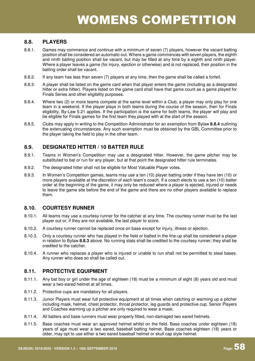### **8.8. PLAYERS**

- 8.8.1. Games may commence and continue with a minimum of seven (7) players, however the vacant batting position shall be considered an automatic out. Where a game commences with seven players, the eighth and ninth batting position shall be vacant, but may be filled at any time by a eighth and ninth player. Where a player leaves a game (for injury, ejection or otherwise) and is not replaced, their position in the batting order shall be vacant.
- 8.8.2. If any team has less than seven (7) players at any time, then the game shall be called a forfeit.
- 8.8.3. A player shall be listed on the game card when that player enters the game (including as a designated hitter or extra hitter). Players listed on the game card shall have that game count as a game played for Finals Series and other eligibility purposes.
- 8.8.4. Where two (2) or more teams compete at the same level within a Club, a player may only play for one team in a weekend. If the player plays in both teams during the course of the season, then for Finals eligibility, By-Law 5.21 applies. If the participation is the same for both teams, the player will play and be eligible for Finals games for the first team they played with at the start of the season.
- 8.8.5. Clubs may apply in writing to the Competition Administrator for an exemption from Bylaw **8.8.4** outlining the extenuating circumstances. Any such exemption must be obtained by the GBL Committee prior to the player taking the field to play in the other team.

### **8.9. DESIGNATED HITTER / 10 BATTER RULE**

- 8.9.1. Teams in Women's Competition may use a designated hitter. However, the game pitcher may be substituted to bat or run for any player, but at that point the designated hitter rule terminates.
- 8.9.2. The designated hitter shall not be eligible for Most Valuable Player votes.
- 8.9.3. In Women's Competition games, teams may use a ten (10) player batting order if they have ten (10) or more players available at the discretion of each team's coach. If a coach elects to use a ten (10) batter order at the beginning of the game, it may only be reduced where a player is ejected, injured or needs to leave the game site before the end of the game and there are no other players available to replace them.

### **8.10. COURTESY RUNNER**

- 8.10.1. All teams may use a courtesy runner for the catcher at any time. The courtesy runner must be the last player out or, if they are not available, the last player to score.
- 8.10.2. A courtesy runner cannot be replaced once on base except for injury, illness or ejection.
- 8.10.3. Only a courtesy runner who has played in the field or batted in the line-up shall be considered a player in relation to Bylaw **8.8.3** above. No running stats shall be credited to the courtesy runner; they shall be credited to the catcher.
- 8.10.4. A runner who replaces a player who is injured or unable to run shall not be permitted to steal bases. Any runner who does so shall be called out.

### **8.11. PROTECTIVE EQUIPMENT**

- 8.11.1. Any bat boy or girl under the age of eighteen (18) must be a minimum of eight (8) years old and must wear a two-eared helmet at all times.
- 8.11.2. Protective cups are mandatory for all players.
- 8.11.3. Junior Players must wear full protective equipment at all times when catching or warming up a pitcher including mask, helmet, chest protector, throat protector, leg guards and protective cup. Senior Players and Coaches warming up a pitcher are only required to wear a mask.
- 8.11.4. All batters and base runners must wear properly fitted, non-damaged two eared helmets.
- 8.11.5. Base coaches must wear an approved helmet whilst on the field. Base coaches under eighteen (18) years of age must wear a two eared, baseball batting helmet. Base coaches eighteen (18) years or older, may opt to use either a two eared baseball helmet or skull cap style helmet.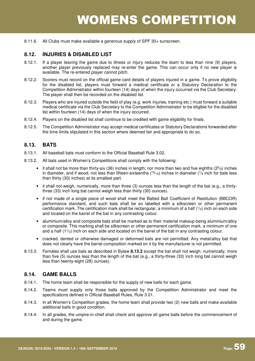8.11.6. All Clubs must make available a generous supply of SPF 30+ sunscreen.

### **8.12. INJURIES & DISABLED LIST**

- 8.12.1. If a player leaving the game due to illness or injury reduces the team to less than nine (9) players, another player previously replaced may re-enter the game. This can occur only if no new player is available. The re-entered player cannot pitch.
- 8.12.2. Scorers must record on the official game card details of players injured in a game. To prove eligibility for the disabled list, players must forward a medical certificate or a Statutory Declaration to the Competition Administrator within fourteen (14) days of when the injury occurred via the Club Secretary. The player shall then be recorded on the disabled list.
- 8.12.3. Players who are injured outside the field of play (e.g. work injuries, training etc.) must forward a suitable medical certificate via the Club Secretary to the Competition Administrator to be eligible for the disabled list within fourteen (14) days of when the injury occurred.
- 8.12.4. Players on the disabled list shall continue to be credited with game eligibility for finals.
- 8.12.5. The Competition Administrator may accept medical certificates or Statutory Declarations forwarded after the time limits stipulated in this section where deemed fair and appropriate to do so.

### **8.13. BATS**

- 8.13.1. All baseball bats must conform to the Official Baseball Rule 3.02.
- 8.13.2. All bats used in Women's Competitions shall comply with the following:
	- $\bullet$  it shall not be more than thirty-six (36) inches in length; nor more than two and five eighths (2 $5/8$ ) inches in diameter, and if wood, not less than fifteen-sixteenths ( $15/16$ ) inches in diameter ( $7/8$  inch for bats less than thirty (30) inches) at its smallest part.
	- it shall not weigh, numerically, more than three (3) ounces less than the length of the bat (e.g., a thirtythree (33) inch long bat cannot weigh less than thirty (30) ounces).
	- if not made of a single piece of wood shall meet the Batted Ball Coefficient of Restitution (BBCOR) performance standard, and such bats shall be so labelled with a silkscreen or other permanent certification mark. The certification mark shall be rectangular, a minimum of a half (<sup>1</sup> /2) inch on each side and located on the barrel of the bat in any contrasting colour.
	- aluminium/alloy and composite bats shall be marked as to their material makeup being aluminium/alloy or composite. This marking shall be silkscreen or other permanent certification mark, a minimum of one and a half  $(1<sup>1</sup>/2)$  inch on each side and located on the barrel of the bat in any contrasting colour.
	- cracked, dented or otherwise damaged or deformed bats are not permitted. Any metal/alloy bat that does not clearly have the barrel composition marked on it by the manufacturer is not permitted.
- 8.13.3. Females shall use bats as described in Bylaw **8.13.2** except the bat shall not weigh, numerically, more than five (5) ounces less than the length of the bat (e.g., a thirty-three (33) inch long bat cannot weigh less than twenty-eight (28) ounces).

### **8.14. GAME BALLS**

- 8.14.1. The home team shall be responsible for the supply of new balls for each game.
- 8.14.2. Teams must supply only those balls approved by the Competition Administrator and meet the specifications defined in Official Baseball Rules, Rule 3.01.
- 8.14.3. In all Women's Competition grades, the home team shall provide two (2) new balls and make available additional balls in good condition.
- 8.14.4. In all grades, the umpire-in-chief shall check and approve all game balls before the commencement of and during the game.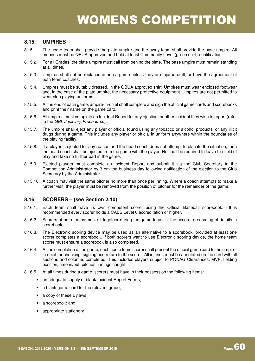### **8.15. UMPIRES**

- 8.15.1. The home team shall provide the plate umpire and the away team shall provide the base umpire. All umpires must be QBUA approved and hold at least Community Level (green shirt) qualification.
- 8.15.2. For all Grades, the plate umpire must call from behind the plate. The base umpire must remain standing at all times.
- 8.15.3. Umpires shall not be replaced during a game unless they are injured or ill, or have the agreement of both team coaches.
- 8.15.4. Umpires must be suitably dressed, in the QBUA approved shirt. Umpires must wear enclosed footwear and, in the case of the plate umpire, the necessary protective equipment. Umpires are not permitted to wear club playing uniforms.
- 8.15.5. At the end of each game, umpire-in-chief shall complete and sign the official game cards and scorebooks and print their name on the game card.
- 8.15.6. All umpires must complete an Incident Report for any ejection, or other incident they wish to report (refer to the GBL Judiciary Procedures).
- 8.15.7. The umpire shall eject any player or official found using any tobacco or alcohol products, or any illicit drugs during a game. This includes any player or official in uniform anywhere within the boundaries of the playing facility.
- 8.15.8. If a player is ejected for any reason and the head coach does not attempt to placate the situation, then the head coach shall be ejected from the game with the player. He shall be required to leave the field of play and take no further part in the game.
- 8.15.9. Ejected players must complete an Incident Report and submit it via the Club Secretary to the Competition Administrator by 3 pm the business day following notification of the ejection to the Club Secretary by the Administrator.
- 8.15.10. A coach may visit the same pitcher no more than once per inning. Where a coach attempts to make a further visit, the player must be removed from the position of pitcher for the remainder of the game.

#### **8.16. SCORERS – (see Section 2.10)**

- 8.16.1. Each team shall have its own competent scorer using the Official Baseball scorebook. It is recommended every scorer holds a CABS Level 0 accreditation or higher.
- 8.16.2. Scorers of both teams must sit together during the game to assist the accurate recording of details in scorebook.
- 8.16.3. The Electronic scoring device may be used as an alternative to a scorebook, provided at least one scorer completes a scorebook. If both scorers want to use Electronic scoring device, the home team scorer must ensure a scorebook is also completed.
- 8.16.4. At the completion of the game, each home team scorer shall present the official game card to the umpirein-chief for checking, signing and return to the scorer. All injuries must be annotated on the card with all sections and columns completed. This includes players subject to PONAG Clearances, MVP, fielding position, time in/out, pitches, innings caught.
- 8.16.5. At all times during a game, scorers must have in their possession the following items:
	- an adequate supply of blank Incident Report Forms;
	- a blank game card for the relevant grade;
	- a copy of these Bylaws:
	- a scorebook; and
	- appropriate stationery.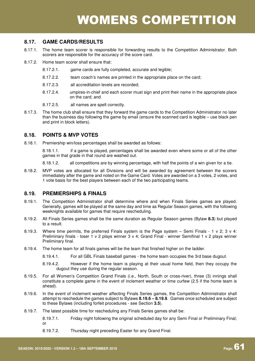### **8.17. GAME CARDS/RESULTS**

- 8.17.1. The home team scorer is responsible for forwarding results to the Competition Administrator. Both scorers are responsible for the accuracy of the score card.
- 8.17.2. Home team scorer shall ensure that:
	- 8.17.2.1. game cards are fully completed, accurate and legible;
	- 8.17.2.2. team coach's names are printed in the appropriate place on the card;
	- 8.17.2.3. all accreditation levels are recorded;
	- 8.17.2.4. umpires-in-chief and each scorer must sign and print their name in the appropriate place on the card; and
	- 8.17.2.5. all names are spelt correctly.
- 8.17.3. The home club shall ensure that they forward the game cards to the Competition Administrator no later than the business day following the game by email (ensure the scanned card is legible – use black pen and print in block letters).

### **8.18. POINTS & MVP VOTES**

8.18.1. Premiership win/loss percentages shall be awarded as follows:

8.18.1.1. if a game is played, percentages shall be awarded even where some or all of the other games in that grade in that round are washed out.

8.18.1.2. all competitions are by winning percentage, with half the points of a win given for a tie.

8.18.2. MVP votes are allocated for all Divisions and will be awarded by agreement between the scorers immediately after the game and noted on the Game Card. Votes are awarded on a 3 votes, 2 votes, and 1 vote basis for the best players between each of the two participating teams.

### **8.19. PREMIERSHIPS & FINALS**

- 8.19.1. The Competition Administrator shall determine where and when Finals Series games are played. Generally, games will be played at the same day and time as Regular Season games, with the following weeknights available for games that require rescheduling.
- 8.19.2. All Finals Series games shall be the same duration as Regular Season games (Bylaw **8.3**) but played to a result.
- 8.19.3. Where time permits, the preferred Finals system is the Page system Semi Finals 1 v 2; 3 v 4: Preliminary finals - loser 1 v 2 plays winner 3 v 4; Grand Final - winner Semifinal 1 v 2 plays winner Preliminary final.
- 8.19.4. The home team for all finals games will be the team that finished higher on the ladder.
	- 8.19.4.1. For all GBL Finals baseball games the home team occupies the 3rd base dugout.
	- 8.19.4.2. However if the home team is playing at their usual home field, then they occupy the dugout they use during the regular season.
- 8.19.5. For all Women's Competition Grand Finals (i.e., North, South or cross-river), three (3) innings shall constitute a complete game in the event of inclement weather or time curfew (2.5 if the home team is ahead).
- 8.19.6. In the event of inclement weather affecting Finals Series games, the Competition Administrator shall attempt to reschedule the games subject to Bylaws **8.19.6 – 8.19.9**. Games once scheduled are subject to these Bylaws (including forfeit procedures - see Section **3.5**).
- 8.19.7. The latest possible time for rescheduling any Finals Series games shall be:
	- 8.19.7.1. Friday night following the original scheduled day for any Semi Final or Preliminary Final; or
	- 8.19.7.2. Thursday night preceding Easter for any Grand Final.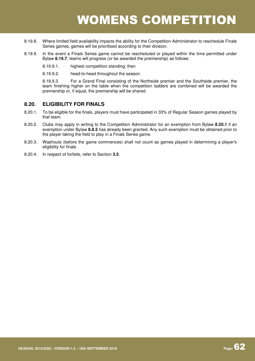- 8.19.8. Where limited field availability impacts the ability for the Competition Administrator to reschedule Finals Series games, games will be prioritised according to their division.
- 8.19.9. In the event a Finals Series game cannot be rescheduled or played within the time permitted under Bylaw **8.19.7**, teams will progress (or be awarded the premiership) as follows:
	- 8.19.9.1. highest competition standing; then
	- 8.19.9.2. head-to-head throughout the season.

8.19.9.3. For a Grand Final consisting of the Northside premier and the Southside premier, the team finishing higher on the table when the competition ladders are combined will be awarded the premiership or, if equal, the premiership will be shared.

### **8.20. ELIGIBILITY FOR FINALS**

- 8.20.1. To be eligible for the finals, players must have participated in 33% of Regular Season games played by that team.
- 8.20.2. Clubs may apply in writing to the Competition Administrator for an exemption from Bylaw **8.20.1** if an exemption under Bylaw **8.8.5** has already been granted. Any such exemption must be obtained prior to the player taking the field to play in a Finals Series game.
- 8.20.3. Washouts (before the game commences) shall not count as games played in determining a player's eligibility for finals.
- 8.20.4. In respect of forfeits, refer to Section **3.5**.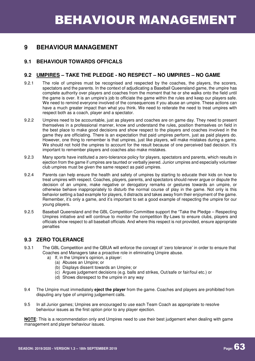### **9 BEHAVIOUR MANAGEMENT**

### **9.1 BEHAVIOUR TOWARDS OFFICALS**

### **9.2 UMPIRES – TAKE THE PLEDGE - NO RESPECT – NO UMPIRES – NO GAME**

- 9.2.1 The role of umpires must be recognised and respected by the coaches, the players, the scorers, spectators and the parents. In the context of adjudicating a Baseball Queensland game, the umpire has complete authority over players and coaches from the moment that he or she walks onto the field until the game is over. It is an umpire's job to officiate the game within the rules and keep our players safe. We need to remind everyone involved of the consequences if you abuse an umpire. These actions can have a much greater impact than what you think. We need to reiterate the need to treat umpires with respect both as a coach, player and a spectator.
- 9.2.2 Umpires need to be accountable, just as players and coaches are on game day. They need to present themselves in a professional manner, know and understand the rules, position themselves on field in the best place to make good decisions and show respect to the players and coaches involved in the game they are officiating. There is an expectation that paid umpires perform, just as paid players do. However, one thing to remember is that umpires, just like players, will make mistakes during a game. We should not hold the umpires to account for the result because of one perceived bad decision. It's important to remember players and coaches also make mistakes.
- 9.2.3 Many sports have instituted a zero-tolerance policy for players, spectators and parents, which results in ejection from the game if umpires are taunted or verbally jeered. Junior umpires and especially volunteer club umpires must be given the same respect as paid umpires.
- 9.2.4 Parents can help ensure the health and safety of umpires by starting to educate their kids on how to treat umpires with respect. Coaches, players, parents, and spectators should never argue or dispute the decision of an umpire, make negative or derogatory remarks or gestures towards an umpire, or otherwise behave inappropriately to disturb the normal course of play in the game. Not only is this behavior setting a bad example for players, it distracts and takes away from their enjoyment of the game. Remember, it's only a game, and it's important to set a good example of respecting the umpire for our young players.
- 9.2.5 Baseball Queensland and the GBL Competition Committee support the "Take the Pledge Respecting Umpires initiative and will continue to monitor the competition By-Laws to ensure clubs, players and officials show respect to all baseball officials. And where this respect is not provided, ensure appropriate penalties

### **9.3 ZERO TOLERANCE**

- 9.3.1 The GBL Competition and the QBUA will enforce the concept of 'zero tolerance' in order to ensure that Coaches and Managers take a proactive role in eliminating Umpire abuse.
	- a) If, in the Umpire's opinion, a player:
		- (a) Abuses an Umpire; or
		- (b) Displays dissent towards an Umpire; or
		- (c) Argues judgement decisions (e.g. balls and strikes, Out/safe or fair/foul etc.) or
		- (d) Shows disrespect to the umpire in any way
- 9.4 The Umpire must immediately **eject the player** from the game. Coaches and players are prohibited from disputing any type of umpiring judgement calls.
- 9.5 In all Junior games; Umpires are encouraged to use each Team Coach as appropriate to resolve behaviour issues as the first option prior to any player ejection.

**NOTE**: This is a recommendation only and Umpires need to use their best judgement when dealing with game management and player behaviour issues.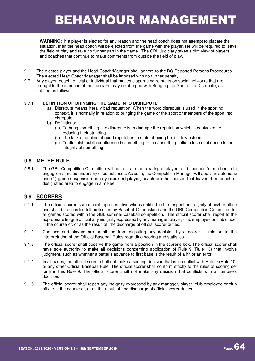## BEHAVIOUR MANAGEMENT

**WARNING**: If a player is ejected for any reason and the head coach does not attempt to placate the situation, then the head coach will be ejected from the game with the player. He will be required to leave the field of play and take no further part in the game. The GBL Judiciary takes a dim view of players and coaches that continue to make comments from outside the field of play.

- 9.6 The ejected player and the Head Coach/Manager shall adhere to the BQ Reported Persons Procedures. The ejected Head Coach/Manager shall be imposed with no further penalty.
- 9.7 Any player, coach, official or individual that makes disparaging remarks on social networks that are brought to the attention of the judiciary, may be charged with Bringing the Game into Disrepute, as defined as follows: -

#### 9.7.1 **DEFINITION OF BRINGING THE GAME INTO DISREPUTE**

- a) Disrepute means literally bad reputation. When the word disrepute is used in the sporting context, it is normally in relation to bringing the game or the sport or members of the sport into disrepute.
- b) Definitions:
	- (a) To bring something into disrepute is to damage the reputation which is equivalent to reducing their standing
	- (b) The lack or decline of good reputation; a state of being held in low esteem
	- (c) To diminish public confidence in something or to cause the public to lose confidence in the integrity of something

### **9.8 MELEE RULE**

9.8.1 The GBL Competition Committee will not tolerate the clearing of players and coaches from a bench to engage in a melee under any circumstances. As such, the Competition Manager will apply an automatic one (1) game suspension on any **reported player**, coach or other person that leaves their bench or designated area to engage in a melee.

### **9.9 SCORERS**

- 9.1.1 The official scorer is an official representative who is entitled to the respect and dignity of his/her office and shall be accorded full protection by Baseball Queensland and the GBL Competition Committee for all games scored within the GBL summer baseball competition. The official scorer shall report to the appropriate league official any indignity expressed by any manager, player, club employee or club officer in the course of, or as the result of, the discharge of official scorer duties.
- 9.1.2 Coaches and players are prohibited from disputing any decision by a scorer in relation to the interpretation of the Official Baseball Rules regarding scoring and statistics.
- 9.1.3 The official scorer shall observe the game from a position in the scorer's box. The official scorer shall have sole authority to make all decisions concerning application of Rule 9 (Rule 10) that involve judgment, such as whether a batter's advance to first base is the result of a hit or an error.
- 9.1.4 In all cases, the official scorer shall not make a scoring decision that is in conflict with Rule 9 (Rule 10) or any other Official Baseball Rule. The official scorer shall conform strictly to the rules of scoring set forth in this Rule 9. The official scorer shall not make any decision that conflicts with an umpire's decision.
- 9.1.5 The official scorer shall report any indignity expressed by any manager, player, club employee or club officer in the course of, or as the result of, the discharge of official scorer duties.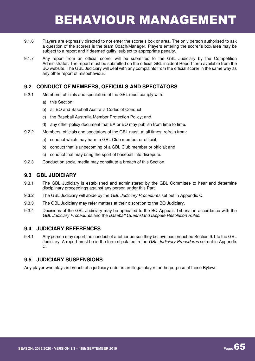## BEHAVIOUR MANAGEMENT

- 9.1.6 Players are expressly directed to not enter the scorer's box or area. The only person authorised to ask a question of the scorers is the team Coach/Manager. Players entering the scorer's box/area may be subject to a report and if deemed guilty, subject to appropriate penalty.
- 9.1.7 Any report from an official scorer will be submitted to the GBL Judiciary by the Competition Administrator. The report must be submitted on the official GBL incident Report form available from the BQ website. The GBL Judiciary will deal with any complaints from the official scorer in the same way as any other report of misbehaviour.

### **9.2 CONDUCT OF MEMBERS, OFFICIALS AND SPECTATORS**

- 9.2.1 Members, officials and spectators of the GBL must comply with:
	- a) this Section;
	- b) all BQ and Baseball Australia Codes of Conduct;
	- c) the Baseball Australia Member Protection Policy; and
	- d) any other policy document that BA or BQ may publish from time to time.
- 9.2.2 Members, officials and spectators of the GBL must, at all times, refrain from:
	- a) conduct which may harm a GBL Club member or official;
	- b) conduct that is unbecoming of a GBL Club member or official; and
	- c) conduct that may bring the sport of baseball into disrepute.
- 9.2.3 Conduct on social media may constitute a breach of this Section.

### **9.3 GBL JUDICIARY**

- 9.3.1 The GBL Judiciary is established and administered by the GBL Committee to hear and determine disciplinary proceedings against any person under this Part.
- 9.3.2 The GBL Judiciary will abide by the GBL Judiciary Procedures set out in Appendix C.
- 9.3.3 The GBL Judiciary may refer matters at their discretion to the BQ Judiciary.
- 9.3.4 Decisions of the GBL Judiciary may be appealed to the BQ Appeals Tribunal in accordance with the GBL Judiciary Procedures and the Baseball Queensland Dispute Resolution Rules.

### **9.4 JUDICIARY REFERENCES**

9.4.1 Any person may report the conduct of another person they believe has breached Section 9.1 to the GBL Judiciary. A report must be in the form stipulated in the GBL Judiciary Procedures set out in Appendix C.

### **9.5 JUDICIARY SUSPENSIONS**

Any player who plays in breach of a judiciary order is an illegal player for the purpose of these Bylaws.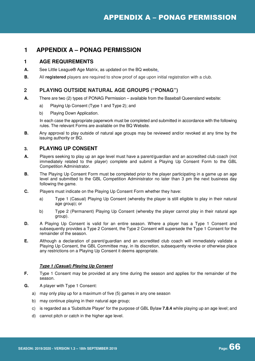### **1 APPENDIX A – PONAG PERMISSION**

### **1 AGE REQUIREMENTS**

- **A.** See Little League® Age Matrix, as updated on the BQ website.
- **B.** All **registered** players are required to show proof of age upon initial registration with a club.

### **2 PLAYING OUTSIDE NATURAL AGE GROUPS ("PONAG")**

- **A.** There are two (2) types of PONAG Permission available from the Baseball Queensland website:
	- a) Playing Up Consent (Type 1 and Type 2); and
	- b) Playing Down Application.

In each case the appropriate paperwork must be completed and submitted in accordance with the following rules. The relevant Forms are available on the BQ Website.

**B.** Any approval to play outside of natural age groups may be reviewed and/or revoked at any time by the issuing authority or BQ.

### **3. PLAYING UP CONSENT**

- **A.** Players seeking to play up an age level must have a parent/guardian and an accredited club coach (not immediately related to the player) complete and submit a Playing Up Consent Form to the GBL Competition Administrator.
- **B.** The Playing Up Consent Form must be completed prior to the player participating in a game up an age level and submitted to the GBL Competition Administrator no later than 3 pm the next business day following the game.
- **C.** Players must indicate on the Playing Up Consent Form whether they have:
	- a) Type 1 (Casual) Playing Up Consent (whereby the player is still eligible to play in their natural age group); or
	- b) Type 2 (Permanent) Playing Up Consent (whereby the player cannot play in their natural age group).
- **D.** A Playing Up Consent is valid for an entire season. Where a player has a Type 1 Consent and subsequently provides a Type 2 Consent, the Type 2 Consent will supersede the Type 1 Consent for the remainder of the season.
- **E.** Although a declaration of parent/guardian and an accredited club coach will immediately validate a Playing Up Consent, the GBL Committee may, in its discretion, subsequently revoke or otherwise place any restrictions on a Playing Up Consent it deems appropriate.

#### **Type 1 (Casual) Playing Up Consent**

- **F.** Type 1 Consent may be provided at any time during the season and applies for the remainder of the season.
- **G.** A player with Type 1 Consent:
	- a) may only play up for a maximum of five (5) games in any one season
	- b) may continue playing in their natural age group;
	- c) is regarded as a 'Substitute Player' for the purpose of GBL Bylaw **7.8.4** while playing up an age level; and
	- d) cannot pitch or catch in the higher age level.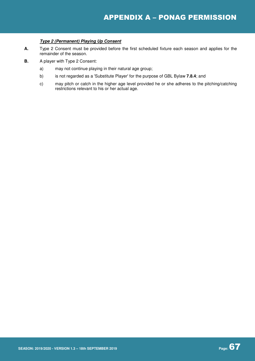#### **Type 2 (Permanent) Playing Up Consent**

- **A.** Type 2 Consent must be provided before the first scheduled fixture each season and applies for the remainder of the season.
- **B.** A player with Type 2 Consent:
	- a) may not continue playing in their natural age group;
	- b) is not regarded as a 'Substitute Player' for the purpose of GBL Bylaw **7.8.4**; and
	- c) may pitch or catch in the higher age level provided he or she adheres to the pitching/catching restrictions relevant to his or her actual age.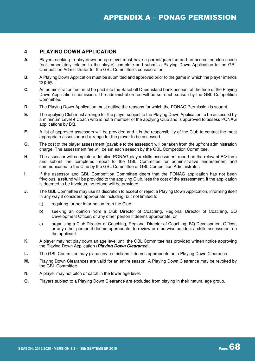### **4 PLAYING DOWN APPLICATION**

- **A.** Players seeking to play down an age level must have a parent/guardian and an accredited club coach (not immediately related to the player) complete and submit a Playing Down Application to the GBL Competition Administrator for the GBL Committee's consideration.
- **B.** A Playing Down Application must be submitted and approved prior to the game in which the player intends to play.
- **C.** An administration fee must be paid into the Baseball Queensland bank account at the time of the Playing Down Application submission. The administration fee will be set each season by the GBL Competition Committee.
- **D.** The Playing Down Application must outline the reasons for which the PONAG Permission is sought.
- **E.** The applying Club must arrange for the player subject to the Playing Down Application to be assessed by a minimum Level 4 Coach who is not a member of the applying Club and is approved to assess PONAG applications by BQ.
- **F.** A list of approved assessors will be provided and it is the responsibility of the Club to contact the most appropriate assessor and arrange for the player to be assessed.
- **G.** The cost of the player assessment (payable to the assessor) will be taken from the upfront administration charge. The assessment fee will be set each season by the GBL Competition Committee.
- **H.** The assessor will complete a detailed PONAG player skills assessment report on the relevant BQ form and submit the completed report to the GBL Committee for administrative endorsement and communicated to the Club by the GBL Committee or GBL Competition Administrator.
- **I.** If the assessor and GBL Competition Committee deem that the PONAG application has not been frivolous, a refund will be provided to the applying Club, less the cost of the assessment. If the application is deemed to be frivolous, no refund will be provided.
- **J.** The GBL Committee may use its discretion to accept or reject a Playing Down Application, informing itself in any way it considers appropriate including, but not limited to:
	- a) requiring further information from the Club;
	- b) seeking an opinion from a Club Director of Coaching, Regional Director of Coaching, BQ Development Officer, or any other person it deems appropriate; or
	- c) organising a Club Director of Coaching, Regional Director of Coaching, BQ Development Officer, or any other person it deems appropriate, to review or otherwise conduct a skills assessment on the applicant.
- **K.** A player may not play down an age level until the GBL Committee has provided written notice approving the Playing Down Application (**Playing Down Clearance**).
- **L.** The GBL Committee may place any restrictions it deems appropriate on a Playing Down Clearance.
- **M.** Playing Down Clearances are valid for an entire season. A Playing Down Clearance may be revoked by the GBL Committee.
- **N.** A player may not pitch or catch in the lower age level.
- **O.** Players subject to a Playing Down Clearance are excluded from playing in their natural age group.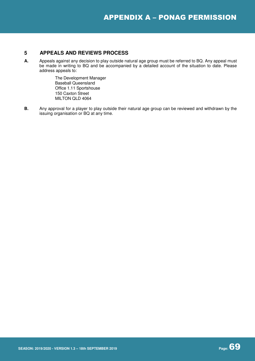#### **5 APPEALS AND REVIEWS PROCESS**

**A.** Appeals against any decision to play outside natural age group must be referred to BQ. Any appeal must be made in writing to BQ and be accompanied by a detailed account of the situation to date. Please address appeals to:

> The Development Manager Baseball Queensland Office 1.11 Sportshouse 150 Caxton Street MILTON QLD 4064

**B.** Any approval for a player to play outside their natural age group can be reviewed and withdrawn by the issuing organisation or BQ at any time.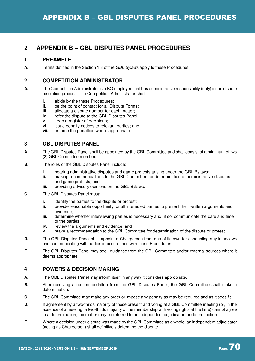### **2 APPENDIX B – GBL DISPUTES PANEL PROCEDURES**

### **1 PREAMBLE**

**A.** Terms defined in the Section 1.3 of the GBL Bylaws apply to these Procedures.

### **2 COMPETITION ADMINISTRATOR**

- **A.** The Competition Administrator is a BQ employee that has administrative responsibility (only) in the dispute resolution process. The Competition Administrator shall:
	- **i.** abide by the these Procedures:
	- **ii.** be the point of contact for all Dispute Forms:
	- **iii.** allocate a dispute number for each matter;<br>**iv.** refer the dispute to the GBL Disputes Pane
	- **iv.** refer the dispute to the GBL Disputes Panel;
	- **v.** keep a register of decisions;
	- **vi.** issue penalty notices to relevant parties; and
	- **vii.** enforce the penalties where appropriate.

### **3 GBL DISPUTES PANEL**

- **A.** The GBL Disputes Panel shall be appointed by the GBL Committee and shall consist of a minimum of two (2) GBL Committee members.
- **B.** The roles of the GBL Disputes Panel include:
	- **i.** hearing administrative disputes and game protests arising under the GBL Bylaws;
	- **ii.** making recommendations to the GBL Committee for determination of administrative disputes and game protests; and
	- **iii.** providing advisory opinions on the GBL Bylaws.
- **C.** The GBL Disputes Panel must:
	- **i. identify the parties to the dispute or protest;**
	- **ii.** provide reasonable opportunity for all interested parties to present their written arguments and evidence;
	- **iii.** determine whether interviewing parties is necessary and, if so, communicate the date and time to the parties;
	- **iv.** review the arguments and evidence; and
	- **v.** make a recommendation to the GBL Committee for determination of the dispute or protest.
- **D.** The GBL Disputes Panel shall appoint a Chairperson from one of its own for conducting any interviews and communicating with parties in accordance with these Procedures.
- **E.** The GBL Disputes Panel may seek guidance from the GBL Committee and/or external sources where it deems appropriate.

### **4 POWERS & DECISION MAKING**

- **A.** The GBL Disputes Panel may inform itself in any way it considers appropriate.
- **B.** After receiving a recommendation from the GBL Disputes Panel, the GBL Committee shall make a determination.
- **C.** The GBL Committee may make any order or impose any penalty as may be required and as it sees fit.
- **D.** If agreement by a two-thirds majority of those present and voting at a GBL Committee meeting (or, in the absence of a meeting, a two-thirds majority of the membership with voting rights at the time) cannot agree to a determination, the matter may be referred to an independent adjudicator for determination.
- **E.** Where a decision under dispute was made by the GBL Committee as a whole, an independent adjudicator (acting as Chairperson) shall definitively determine the dispute.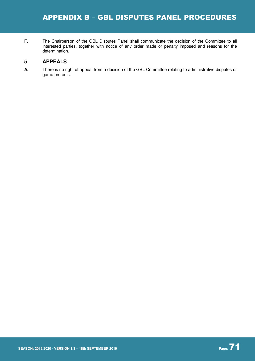**F.** The Chairperson of the GBL Disputes Panel shall communicate the decision of the Committee to all interested parties, together with notice of any order made or penalty imposed and reasons for the determination.

### **5 APPEALS**

**A.** There is no right of appeal from a decision of the GBL Committee relating to administrative disputes or game protests.

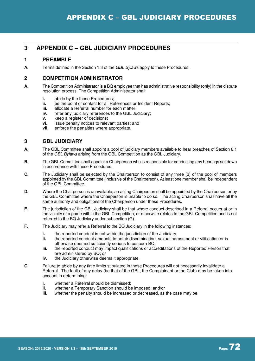# **1 PREAMBLE**

**A.** Terms defined in the Section 1.3 of the GBL Bylaws apply to these Procedures.

# **2 COMPETITION ADMINISTRATOR**

- **A.** The Competition Administrator is a BQ employee that has administrative responsibility (only) in the dispute resolution process. The Competition Administrator shall:
	- **i.** abide by the these Procedures;
	- **ii.** be the point of contact for all References or Incident Reports:
	- **iii.** allocate a Referral number for each matter:
	- **iv.** refer any judiciary references to the GBL Judiciary;
	- **v.** keep a register of decisions;
	- **vi.** issue penalty notices to relevant parties; and
	- **vii.** enforce the penalties where appropriate.

# **3 GBL JUDICIARY**

- **A.** The GBL Committee shall appoint a pool of judiciary members available to hear breaches of Section 8.1 of the GBL Bylaws arising from the GBL Competition as the GBL Judiciary.
- **B.** The GBL Committee shall appoint a Chairperson who is responsible for conducting any hearings set down in accordance with these Procedures.
- **C.** The Judiciary shall be selected by the Chairperson to consist of any three (3) of the pool of members appointed by the GBL Committee (inclusive of the Chairperson). At least one member shall be independent of the GBL Committee.
- **D.** Where the Chairperson is unavailable, an acting Chairperson shall be appointed by the Chairperson or by the GBL Committee where the Chairperson is unable to do so. The acting Chairperson shall have all the same authority and obligations of the Chairperson under these Procedures.
- **E.** The jurisdiction of the GBL Judiciary shall be that where conduct described in a Referral occurs at or in the vicinity of a game within the GBL Competition, or otherwise relates to the GBL Competition and is not referred to the BQ Judiciary under subsection (G).
- **F.** The Judiciary may refer a Referral to the BQ Judiciary in the following instances:
	- **i.** the reported conduct is not within the jurisdiction of the Judiciary;
	- **ii.** the reported conduct amounts to unfair discrimination, sexual harassment or vilification or is otherwise deemed sufficiently serious to concern BQ;
	- **iii.** the reported conduct may impact qualifications or accreditations of the Reported Person that are administered by BQ; or
	- **iv.** the Judiciary otherwise deems it appropriate.
- **G.** Failure to abide by any time limits stipulated in these Procedures will not necessarily invalidate a Referral. The fault of any delay (be that of the GBL, the Complainant or the Club) may be taken into account in determining:
	- **i.** whether a Referral should be dismissed;<br>**ii.** whether a Temporary Sanction should be
	- whether a Temporary Sanction should be imposed; and/or
	- **iii.** whether the penalty should be increased or decreased, as the case may be.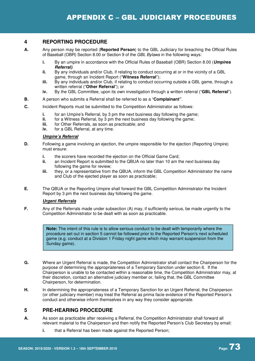# **4 REPORTING PROCEDURE**

- **A.** Any person may be reported (**Reported Person**) to the GBL Judiciary for breaching the Official Rules of Baseball (OBR) Section 8.00 or Section 9 of the GBL Bylaws in the following ways:
	- **i.** By an umpire in accordance with the Official Rules of Baseball (OBR) Section 8.00 (**Umpires Referral)**.
	- **ii.** By any individuals and/or Club, if relating to conduct occurring at or in the vicinity of a GBL game, through an Incident Report ("**Witness Referral**");
	- **iii.** By any individuals and/or Club, if relating to conduct occurring outside a GBL game, through a written referral ("**Other Referral**"); or
	- **iv.** By the GBL Committee, upon its own investigation through a written referral ("**GBL Referral**").
- **B.** A person who submits a Referral shall be referred to as a "**Complainant"**.
- **C.** Incident Reports must be submitted to the Competition Administrator as follows:
	- **i. for an Umpire's Referral, by 3 pm the next business day following the game;<br><b>ii. for a Witness Referral, by 3 pm the next business day following the game:**
	- for a Witness Referral, by 3 pm the next business day following the game;
	- **iii.** for Other Referrals, as soon as practicable; and
	- **iv.** for a GBL Referral, at any time.

#### **Umpire's Referral**

- **D.** Following a game involving an ejection, the umpire responsible for the ejection (Reporting Umpire) must ensure:
	- **i.** the scorers have recorded the ejection on the Official Game Card;
	- **ii.** an Incident Report is submitted to the QBUA no later than 10 am the next business day following the game for review;
	- **iii.** they, or a representative from the QBUA, inform the GBL Competition Administrator the name and Club of the ejected player as soon as practicable;
- **E.** The QBUA or the Reporting Umpire shall forward the GBL Competition Administrator the Incident Report by 3 pm the next business day following the game.

#### **Urgent Referrals**

**F.** Any of the Referrals made under subsection (A) may, if sufficiently serious, be made urgently to the Competition Administrator to be dealt with as soon as practicable.

> **Note:** The intent of this rule is to allow serious conduct to be dealt with temporarily where the procedure set out in section 5 cannot be followed prior to the Reported Person's next scheduled game (e.g. conduct at a Division 1 Friday night game which may warrant suspension from the Sunday game).

- **G.** Where an Urgent Referral is made, the Competition Administrator shall contact the Chairperson for the purpose of determining the appropriateness of a Temporary Sanction under section 6. If the Chairperson is unable to be contacted within a reasonable time, the Competition Administrator may, at their discretion, contact an alternative judiciary member or, failing that, the GBL Committee Chairperson, for determination.
- **H.** In determining the appropriateness of a Temporary Sanction for an Urgent Referral, the Chairperson (or other judiciary member) may treat the Referral as prima facie evidence of the Reported Person's conduct and otherwise inform themselves in any way they consider appropriate.

# **5 PRE-HEARING PROCEDURE**

- **A.** As soon as practicable after receiving a Referral, the Competition Administrator shall forward all relevant material to the Chairperson and then notify the Reported Person's Club Secretary by email:
	- **i.** that a Referral has been made against the Reported Person;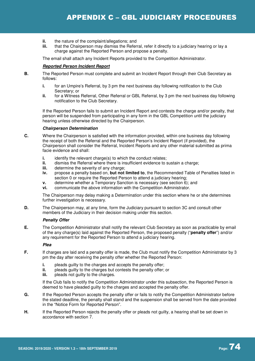- **ii.** the nature of the complaint/allegations; and<br>**iii** that the Chairperson may dismiss the Befer
- that the Chairperson may dismiss the Referral, refer it directly to a judiciary hearing or lay a charge against the Reported Person and propose a penalty.

The email shall attach any Incident Reports provided to the Competition Administrator.

#### **Reported Person Incident Report**

- **B.** The Reported Person must complete and submit an Incident Report through their Club Secretary as follows:
	- **i.** for an Umpire's Referral, by 3 pm the next business day following notification to the Club Secretary; or
	- **ii.** for a Witness Referral, Other Referral or GBL Referral, by 3 pm the next business day following notification to the Club Secretary.

If the Reported Person fails to submit an Incident Report and contests the charge and/or penalty, that person will be suspended from participating in any form in the GBL Competition until the judiciary hearing unless otherwise directed by the Chairperson.

#### **Chairperson Determination**

- **C.** Where the Chairperson is satisfied with the information provided, within one business day following the receipt of both the Referral and the Reported Person's Incident Report (if provided), the Chairperson shall consider the Referral, Incident Reports and any other material submitted as prima facie evidence and shall:
	- **i.** identify the relevant charge(s) to which the conduct relates;
	- **ii.** dismiss the Referral where there is insufficient evidence to sustain a charge;
	- **iii.** determine the severity of any charge;
	- **iv.** propose a penalty based on, **but not limited to**, the Recommended Table of Penalties listed in section 0 or require the Reported Person to attend a judiciary hearing;
	- **v.** determine whether a Temporary Sanction is necessary (see section 6); and
	- **vi.** communicate the above information with the Competition Administrator.

The Chairperson may delay making a Determination under this section where he or she determines further investigation is necessary.

**D.** The Chairperson may, at any time, form the Judiciary pursuant to section 3C and consult other members of the Judiciary in their decision making under this section.

#### **Penalty Offer**

**E.** The Competition Administrator shall notify the relevant Club Secretary as soon as practicable by email of the any charge(s) laid against the Reported Person, the proposed penalty ("**penalty offer**") and/or any requirement for the Reported Person to attend a judiciary hearing.

#### **Plea**

- **F.** If charges are laid and a penalty offer is made, the Club must notify the Competition Administrator by 3 pm the day after receiving the penalty offer whether the Reported Person:
	- **i.** pleads guilty to the charges and accepts the penalty offer;
	- **ii.** pleads guilty to the charges but contests the penalty offer; or
	- **iii.** pleads not quilty to the charges.

If the Club fails to notify the Competition Administrator under this subsection, the Reported Person is deemed to have pleaded guilty to the charges and accepted the penalty offer.

- **G.** If the Reported Person accepts the penalty offer or fails to notify the Competition Administrator before the stated deadline, the penalty shall stand and the suspension shall be served from the date provided in the "Notice Form for Reported Person".
- **H.** If the Reported Person rejects the penalty offer or pleads not guilty, a hearing shall be set down in accordance with section 7.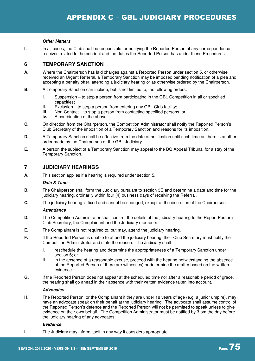#### **Other Matters**

**I.** In all cases, the Club shall be responsible for notifying the Reported Person of any correspondence it receives related to the conduct and the duties the Reported Person has under these Procedures.

## **6 TEMPORARY SANCTION**

- **A.** Where the Chairperson has laid charges against a Reported Person under section 5, or otherwise received an Urgent Referral, a Temporary Sanction may be imposed pending notification of a plea and accepting a penalty offer, attending a judiciary hearing or as otherwise ordered by the Chairperson.
- **B.** A Temporary Sanction can include, but is not limited to, the following orders:
	- **i.** Suspension to stop a person from participating in the GBL Competition in all or specified capacities;
	- **ii.** Exclusion to stop a person from entering any GBL Club facility;
	- **iii.** Non-Contact to stop a person from contacting specified persons; or
	- **iv.** A combination of the above.
- **C.** On direction from the Chairperson, the Competition Administrator shall notify the Reported Person's Club Secretary of the imposition of a Temporary Sanction and reasons for its imposition.
- **D.** A Temporary Sanction shall be effective from the date of notification until such time as there is another order made by the Chairperson or the GBL Judiciary.
- **E.** A person the subject of a Temporary Sanction may appeal to the BQ Appeal Tribunal for a stay of the Temporary Sanction.

# **7 JUDICIARY HEARINGS**

**A.** This section applies if a hearing is required under section 5.

#### **Date & Time**

- **B.** The Chairperson shall form the Judiciary pursuant to section 3C and determine a date and time for the judiciary hearing, ordinarily within four (4) business days of receiving the Referral.
- **C.** The judiciary hearing is fixed and cannot be changed, except at the discretion of the Chairperson.

#### **Attendance**

- **D.** The Competition Administrator shall confirm the details of the judiciary hearing to the Report Person's Club Secretary, the Complainant and the Judiciary members.
- **E.** The Complainant is not required to, but may, attend the judiciary hearing.
- **F.** If the Reported Person is unable to attend the judiciary hearing, their Club Secretary must notify the Competition Administrator and state the reason. The Judiciary shall:
	- **i.** reschedule the hearing and determine the appropriateness of a Temporary Sanction under section 6; or
	- **ii.** in the absence of a reasonable excuse, proceed with the hearing notwithstanding the absence of the Reported Person (if there are witnesses) or determine the matter based on the written evidence.
- **G.** If the Reported Person does not appear at the scheduled time nor after a reasonable period of grace, the hearing shall go ahead in their absence with their written evidence taken into account.

#### **Advocates**

**H.** The Reported Person, or the Complainant if they are under 18 years of age (e.g. a junior umpire), may have an advocate speak on their behalf at the judiciary hearing. The advocate shall assume control of the Reported Person's defence and the Reported Person will not be permitted to speak unless to give evidence on their own behalf. The Competition Administrator must be notified by 3 pm the day before the judiciary hearing of any advocates.

#### **Evidence**

**I.** The Judiciary may inform itself in any way it considers appropriate.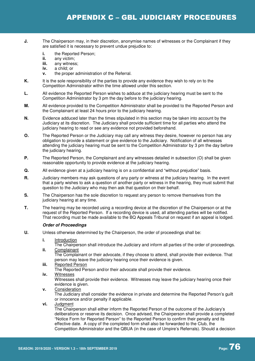- **J.** The Chairperson may, in their discretion, anonymise names of witnesses or the Complainant if they are satisfied it is necessary to prevent undue prejudice to:
	- **i.** the Reported Person;
	- **ii.** any victim;<br>**iii.** any witness
	- any witness;
	- **iv.** a child; or
	- **v.** the proper administration of the Referral.
- **K.** It is the sole responsibility of the parties to provide any evidence they wish to rely on to the Competition Administrator within the time allowed under this section.
- **L.** All evidence the Reported Person wishes to adduce at the judiciary hearing must be sent to the Competition Administrator by 3 pm the day before to the judiciary hearing.
- **M.** All evidence provided to the Competition Administrator shall be provided to the Reported Person and the Complainant at least 24 hours prior to the judiciary hearing.
- **N.** Evidence adduced later than the times stipulated in this section may be taken into account by the Judiciary at its discretion. The Judiciary shall provide sufficient time for all parties who attend the judiciary hearing to read or see any evidence not provided beforehand.
- **O.** The Reported Person or the Judiciary may call any witness they desire, however no person has any obligation to provide a statement or give evidence to the Judiciary. Notification of all witnesses attending the judiciary hearing must be sent to the Competition Administrator by 3 pm the day before the judiciary hearing.
- **P.** The Reported Person, the Complainant and any witnesses detailed in subsection (O) shall be given reasonable opportunity to provide evidence at the judiciary hearing.
- **Q.** All evidence given at a judiciary hearing is on a confidential and "without prejudice" basis.
- **R.** Judiciary members may ask questions of any party or witness at the judiciary hearing. In the event that a party wishes to ask a question of another party or witness in the hearing, they must submit that question to the Judiciary who may then ask that question on their behalf.
- **S.** The Chairperson has the sole discretion to request any person to remove themselves from the judiciary hearing at any time.
- **T.** The hearing may be recorded using a recording device at the discretion of the Chairperson or at the request of the Reported Person. If a recording device is used, all attending parties will be notified. That recording must be made available to the BQ Appeals Tribunal on request if an appeal is lodged.

#### **Order of Proceedings**

- **U.** Unless otherwise determined by the Chairperson, the order of proceedings shall be:
	- **i.** Introduction

The Chairperson shall introduce the Judiciary and inform all parties of the order of proceedings. **ii.** Complainant

The Complainant or their advocate, if they choose to attend, shall provide their evidence. That person may leave the judiciary hearing once their evidence is given.

- **iii.** Reported Person The Reported Person and/or their advocate shall provide their evidence.
- **iv.** Witnesses

Witnesses shall provide their evidence. Witnesses may leave the judiciary hearing once their evidence is given.

- **v.** Consideration The Judiciary shall consider the evidence in private and determine the Reported Person's guilt or innocence and/or penalty if applicable.
- **vi.** Judgment

The Chairperson shall either inform the Reported Person of the outcome of the Judiciary's deliberations or reserve its decision. Once advised, the Chairperson shall provide a completed "Notice Form for Reported Person" to the Reported Person to confirm their penalty and its effective date. A copy of the completed form shall also be forwarded to the Club, the Competition Administrator and the QBUA (in the case of Umpire's Referrals). Should a decision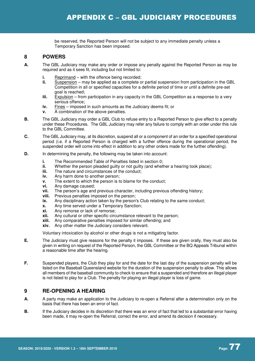be reserved, the Reported Person will not be subject to any immediate penalty unless a Temporary Sanction has been imposed.

# **8 POWERS**

- **A.** The GBL Judiciary may make any order or impose any penalty against the Reported Person as may be required and as it sees fit, including but not limited to:
	- **i.** Reprimand with the offence being recorded;<br>**ii.** Suspension may be applied as a complete of
	- Suspension may be applied as a complete or partial suspension from participation in the GBL Competition in all or specified capacities for a definite period of time or until a definite pre-set goal is reached;
	- **iii.** Expulsion from participation in any capacity in the GBL Competition as a response to a very serious offence;
	- **iv.** Fines imposed in such amounts as the Judiciary deems fit; or
	- **v.** A combination of the above penalties.
- **B.** The GBL Judiciary may order a GBL Club to refuse entry to a Reported Person to give effect to a penalty under these Procedures. The GBL Judiciary may refer any failure to comply with an order under this rule to the GBL Committee.
- **C.** The GBL Judiciary may, at its discretion, suspend all or a component of an order for a specified operational period (i.e. if a Reported Person is charged with a further offence during the operational period, the suspended order will come into effect in addition to any other orders made for the further offending).
- **D.** In determining the penalty, the following may be taken into account:
	- **i.** The Recommended Table of Penalties listed in section 0;
	- **ii.** Whether the person pleaded guilty or not guilty (and whether a hearing took place);<br>**iii.** The nature and circumstances of the conduct:
	- The nature and circumstances of the conduct;
	- **iv.** Any harm done to another person;
	- **v.** The extent to which the person is to blame for the conduct;
	- **vi.** Any damage caused;
	- **vii.** The person's age and previous character, including previous offending history;
	- **viii.** Previous penalties imposed on the person:
	- **ix.** Any disciplinary action taken by the person's Club relating to the same conduct;
	- **x.** Any time served under a Temporary Sanction;
	- **xi.** Any remorse or lack of remorse;
	- **xii.** Any cultural or other specific circumstance relevant to the person;
	- **xiii.** Any comparative penalties imposed for similar offending; and
	- **xiv.** Any other matter the Judiciary considers relevant.

Voluntary intoxication by alcohol or other drugs is not a mitigating factor.

- **E.** The Judiciary must give reasons for the penalty it imposes. If these are given orally, they must also be given in writing on request of the Reported Person, the GBL Committee or the BQ Appeals Tribunal within a reasonable time after the hearing.
- **F.** Suspended players, the Club they play for and the date for the last day of the suspension penalty will be listed on the Baseball Queensland website for the duration of the suspension penalty to allow. This allows all members of the baseball community to check to ensure that a suspended and therefore an illegal player is not listed to play for a Club. The penalty for playing an illegal player is loss of game.

# **9 RE-OPENING A HEARING**

- **A.** A party may make an application to the Judiciary to re-open a Referral after a determination only on the basis that there has been an error of fact.
- **B.** If the Judiciary decides in its discretion that there was an error of fact that led to a substantial error having been made, it may re-open the Referral, correct the error, and amend its decision if necessary.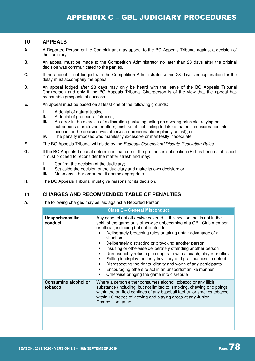## **10 APPEALS**

- **A.** A Reported Person or the Complainant may appeal to the BQ Appeals Tribunal against a decision of the Judiciary.
- **B.** An appeal must be made to the Competition Administrator no later than 28 days after the original decision was communicated to the parties.
- **C.** If the appeal is not lodged with the Competition Administrator within 28 days, an explanation for the delay must accompany the appeal.
- **D.** An appeal lodged after 28 days may only be heard with the leave of the BQ Appeals Tribunal Chairperson and only if the BQ Appeals Tribunal Chairperson is of the view that the appeal has reasonable prospects of success.
- **E.** An appeal must be based on at least one of the following grounds:
	- **i.** A denial of natural justice:
	- **ii.** A denial of procedural fairness;<br>**iii.** An error in the exercise of a dis
	- **iii.** An error in the exercise of a discretion (including acting on a wrong principle, relying on extraneous or irrelevant matters, mistake of fact, failing to take a material consideration into account or the decision was otherwise unreasonable or plainly unjust); or
	- **iv.** The penalty imposed was manifestly excessive or manifestly inadequate.
- **F.** The BQ Appeals Tribunal will abide by the Baseball Queensland Dispute Resolution Rules.
- **G.** If the BQ Appeals Tribunal determines that one of the grounds in subsection (E) has been established, it must proceed to reconsider the matter afresh and may:
	- **i.** Confirm the decision of the Judiciary:
	- **ii.** Set aside the decision of the Judiciary and make its own decision; or
	- **iii.** Make any other order that it deems appropriate.
- **H.** The BQ Appeals Tribunal must give reasons for its decision.

# **11 CHARGES AND RECOMMENDED TABLE OF PENALTIES**

**A.** The following charges may be laid against a Reported Person:

| <b>Class E - General Misconduct</b>    |                                                                                                                                                                                                                                                                                                                                                                                                                                                                                                                                                                                                                                                                                                                                                                                   |  |  |
|----------------------------------------|-----------------------------------------------------------------------------------------------------------------------------------------------------------------------------------------------------------------------------------------------------------------------------------------------------------------------------------------------------------------------------------------------------------------------------------------------------------------------------------------------------------------------------------------------------------------------------------------------------------------------------------------------------------------------------------------------------------------------------------------------------------------------------------|--|--|
| Unsportsmanlike<br>conduct             | Any conduct not otherwise covered in this section that is not in the<br>spirit of the game or is otherwise unbecoming of a GBL Club member<br>or official, including but not limited to:<br>Deliberately breaching rules or taking unfair advantage of a<br>situation<br>Deliberately distracting or provoking another person<br>٠<br>Insulting or otherwise deliberately offending another person<br>$\bullet$<br>Unreasonably refusing to cooperate with a coach, player or official<br>$\bullet$<br>Failing to display modesty in victory and graciousness in defeat<br>Disrespecting the rights, dignity and worth of any participants<br>$\bullet$<br>Encouraging others to act in an unsportsmanlike manner<br>$\bullet$<br>Otherwise bringing the game into disrepute<br>٠ |  |  |
| <b>Consuming alcohol or</b><br>tobacco | Where a person either consumes alcohol, tobacco or any illicit<br>substance (including, but not limited to, smoking, chewing or dipping)<br>within the on-field confines of any baseball facility, or smokes tobacco<br>within 10 metres of viewing and playing areas at any Junior<br>Competition game.                                                                                                                                                                                                                                                                                                                                                                                                                                                                          |  |  |
|                                        |                                                                                                                                                                                                                                                                                                                                                                                                                                                                                                                                                                                                                                                                                                                                                                                   |  |  |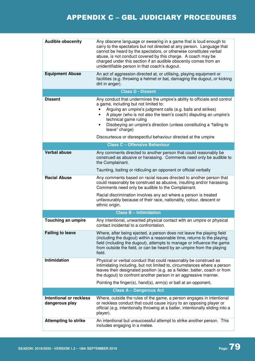| <b>Audible obscenity</b><br><b>Equipment Abuse</b> | Any obscene language or swearing in a game that is loud enough to<br>carry to the spectators but not directed at any person. Language that<br>cannot be heard by the spectators, or otherwise constitutes verbal<br>abuse, is not conduct covered by this charge. A coach may be<br>charged under this section if an audible obscenity comes from an<br>unidentifiable person in that coach's dugout.<br>An act of aggression directed at, or utilising, playing equipment or<br>facilities (e.g. throwing a helmet or bat, damaging the dugout, or kicking<br>dirt in anger). |
|----------------------------------------------------|--------------------------------------------------------------------------------------------------------------------------------------------------------------------------------------------------------------------------------------------------------------------------------------------------------------------------------------------------------------------------------------------------------------------------------------------------------------------------------------------------------------------------------------------------------------------------------|
|                                                    | <b>Class D - Dissent</b>                                                                                                                                                                                                                                                                                                                                                                                                                                                                                                                                                       |
| <b>Dissent</b>                                     | Any conduct that undermines the umpire's ability to officiate and control<br>a game, including but not limited to:<br>Arguing an umpire's judgment calls (e.g. balls and strikes)<br>A player (who is not also the team's coach) disputing an umpire's<br>technical game ruling<br>Disobeying an umpire's direction (unless constituting a "failing to<br>$\bullet$<br>leave" charge)                                                                                                                                                                                          |
|                                                    | Discourteous or disrespectful behaviour directed at the umpire                                                                                                                                                                                                                                                                                                                                                                                                                                                                                                                 |
|                                                    | <b>Class C - Offensive Behaviour</b>                                                                                                                                                                                                                                                                                                                                                                                                                                                                                                                                           |
| <b>Verbal abuse</b>                                | Any comments directed to another person that could reasonably be<br>construed as abusive or harassing. Comments need only be audible to<br>the Complainant.                                                                                                                                                                                                                                                                                                                                                                                                                    |
|                                                    | Taunting, baiting or ridiculing an opponent or official verbally                                                                                                                                                                                                                                                                                                                                                                                                                                                                                                               |
| <b>Racial Abuse</b>                                | Any comments based on racial issues directed to another person that<br>could reasonably be construed as abusive, insulting and/or harassing.<br>Comments need only be audible to the Complainant.                                                                                                                                                                                                                                                                                                                                                                              |
|                                                    | Racial discrimination involves any act where a person is treated<br>unfavourably because of their race, nationality, colour, descent or<br>ethnic origin.                                                                                                                                                                                                                                                                                                                                                                                                                      |
|                                                    | <b>Class B - Intimidation</b>                                                                                                                                                                                                                                                                                                                                                                                                                                                                                                                                                  |
| <b>Touching an umpire</b>                          | Any intentional, unwanted physical contact with an umpire or physical<br>contact incidental to a confrontation.                                                                                                                                                                                                                                                                                                                                                                                                                                                                |
| <b>Failing to leave</b>                            | Where, after being ejected, a person does not leave the playing field<br>(including the dugout) within a reasonable time, returns to the playing<br>field (including the dugout), attempts to manage or influence the game<br>from outside the field, or can be heard by an umpire from the playing<br>field.                                                                                                                                                                                                                                                                  |
| <b>Intimidation</b>                                | Physical or verbal conduct that could reasonably be construed as<br>intimidating including, but not limited to, circumstances where a person<br>leaves their designated position (e.g. as a fielder, batter, coach or from<br>the dugout) to confront another person in an aggressive manner.                                                                                                                                                                                                                                                                                  |
|                                                    | Pointing the finger(s), hand(s), arm(s) or ball at an opponent,                                                                                                                                                                                                                                                                                                                                                                                                                                                                                                                |
|                                                    | <b>Class A - Dangerous Act</b>                                                                                                                                                                                                                                                                                                                                                                                                                                                                                                                                                 |
| Intentional or reckless<br>dangerous play          | Where, outside the rules of the game, a person engages in intentional<br>or reckless conduct that could cause injury to an opposing player or<br>official (e.g. intentionally throwing at a batter, intentionally sliding into a<br>player).                                                                                                                                                                                                                                                                                                                                   |
| <b>Attempting to strike</b>                        | An intentional but unsuccessful attempt to strike another person. This<br>includes engaging in a melee.                                                                                                                                                                                                                                                                                                                                                                                                                                                                        |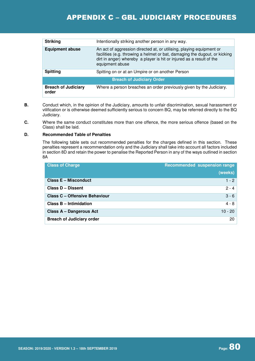| <b>Striking</b>                     | Intentionally striking another person in any way.                                                                                                                                                                                             |  |
|-------------------------------------|-----------------------------------------------------------------------------------------------------------------------------------------------------------------------------------------------------------------------------------------------|--|
| <b>Equipment abuse</b>              | An act of aggression directed at, or utilising, playing equipment or<br>facilities (e.g. throwing a helmet or bat, damaging the dugout, or kicking<br>dirt in anger) whereby a player is hit or injured as a result of the<br>equipment abuse |  |
| <b>Spitting</b>                     | Spitting on or at an Umpire or on another Person                                                                                                                                                                                              |  |
| <b>Breach of Judiciary Order</b>    |                                                                                                                                                                                                                                               |  |
| <b>Breach of Judiciary</b><br>order | Where a person breaches an order previously given by the Judiciary.                                                                                                                                                                           |  |

- **B.** Conduct which, in the opinion of the Judiciary, amounts to unfair discrimination, sexual harassment or vilification or is otherwise deemed sufficiently serious to concern BQ, may be referred directly to the BQ Judiciary.
- **C.** Where the same conduct constitutes more than one offence, the more serious offence (based on the Class) shall be laid.

#### **D. Recommended Table of Penalties**

The following table sets out recommended penalties for the charges defined in this section. These penalties represent a recommendation only and the Judiciary shall take into account all factors included in section 8D and retain the power to penalise the Reported Person in any of the ways outlined in section 8A

| <b>Class of Charge</b>               | Recommended suspension range |
|--------------------------------------|------------------------------|
|                                      | (weeks)                      |
| <b>Class E - Misconduct</b>          | $1 - 2$                      |
| <b>Class D - Dissent</b>             | $2 - 4$                      |
| <b>Class C - Offensive Behaviour</b> | $3 - 6$                      |
| <b>Class B - Intimidation</b>        | $4 - 8$                      |
| <b>Class A - Dangerous Act</b>       | $10 - 20$                    |
| <b>Breach of Judiciary order</b>     | 20                           |